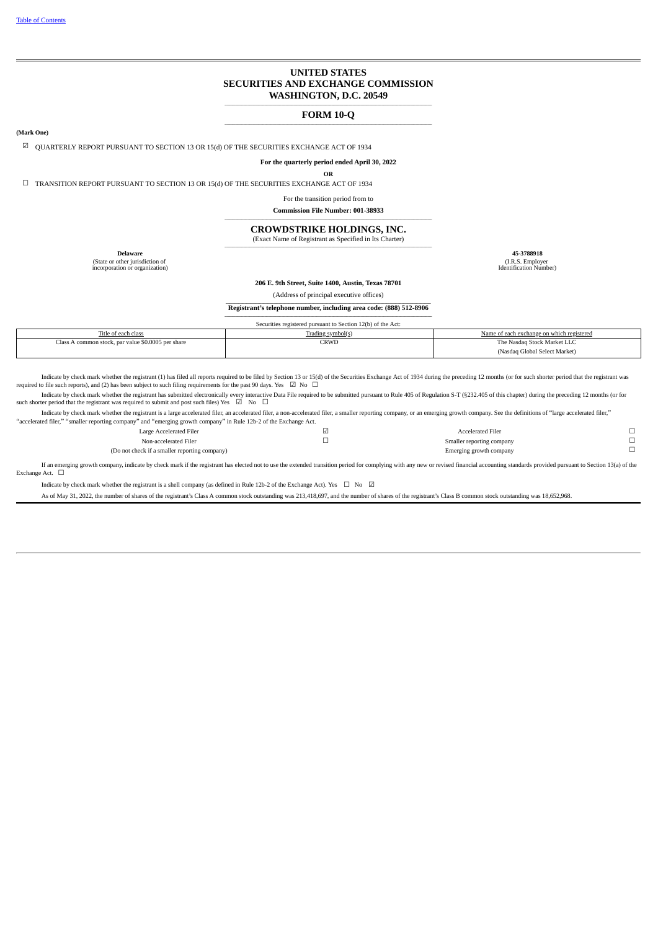#### **UNITED STATES SECURITIES AND EXCHANGE COMMISSION WASHINGTON, D.C. 20549**

#### **\_\_\_\_\_\_\_\_\_\_\_\_\_\_\_\_\_\_\_\_\_\_\_\_\_\_\_\_\_\_\_\_\_\_\_\_\_\_\_\_\_\_\_\_\_\_\_\_\_\_\_\_\_\_\_\_\_\_\_\_\_\_\_\_\_\_\_\_\_\_\_\_\_\_\_\_\_\_\_\_\_\_\_\_\_\_\_\_\_\_\_\_\_\_\_\_\_\_\_ FORM 10-Q \_\_\_\_\_\_\_\_\_\_\_\_\_\_\_\_\_\_\_\_\_\_\_\_\_\_\_\_\_\_\_\_\_\_\_\_\_\_\_\_\_\_\_\_\_\_\_\_\_\_\_\_\_\_\_\_\_\_\_\_\_\_\_\_\_\_\_\_\_\_\_\_\_\_\_\_\_\_\_\_\_\_\_\_\_\_\_\_\_\_\_\_\_\_\_\_\_\_\_**

#### **(Mark One)**

 $\boxtimes$  OUARTERLY REPORT PURSUANT TO SECTION 13 OR 15(d) OF THE SECURITIES EXCHANGE ACT OF 1934

**For the quarterly period ended April 30, 2022**

**OR**

☐ TRANSITION REPORT PURSUANT TO SECTION 13 OR 15(d) OF THE SECURITIES EXCHANGE ACT OF 1934

For the transition period from to

**Commission File Number: 001-38933**

**\_\_\_\_\_\_\_\_\_\_\_\_\_\_\_\_\_\_\_\_\_\_\_\_\_\_\_\_\_\_\_\_\_\_\_\_\_\_\_\_\_\_\_\_\_\_\_\_\_\_\_\_\_\_\_\_\_\_\_\_\_\_\_\_\_\_\_\_\_\_\_\_\_\_\_\_\_\_\_\_\_\_\_\_\_\_\_\_\_\_\_\_\_\_\_\_\_\_\_ CROWDSTRIKE HOLDINGS, INC.**

(Exact Name of Registrant as Specified in Its Charter)

**\_\_\_\_\_\_\_\_\_\_\_\_\_\_\_\_\_\_\_\_\_\_\_\_\_\_\_\_\_\_\_\_\_\_\_\_\_\_\_\_\_\_\_\_\_\_\_\_\_\_\_\_\_\_\_\_\_\_\_\_\_\_\_\_\_\_\_\_\_\_\_\_\_\_\_\_\_\_\_\_\_\_\_\_\_\_\_\_\_\_\_\_\_\_\_\_\_\_\_**

(State or other jurisdiction of incorporation or organization)

**Delaware 45-3788918** (I.R.S. Employer Identification Number)

#### **206 E. 9th Street, Suite 1400, Austin, Texas 78701**

(Address of principal executive offices)

Registrant's telephone number, including area code: (888) 512-8906 **\_\_\_\_\_\_\_\_\_\_\_\_\_\_\_\_\_\_\_\_\_\_\_\_\_\_\_\_\_\_\_\_\_\_\_\_\_\_\_\_\_\_\_\_\_\_\_\_\_\_\_\_\_\_\_\_\_\_\_\_\_\_\_\_\_\_\_\_\_\_\_\_\_\_\_\_\_\_\_\_\_\_\_\_\_\_\_\_\_\_\_\_\_\_\_\_\_\_\_**

|                                                    | Securities registered pursuant to Section 12(b) of the Act: |                                           |
|----------------------------------------------------|-------------------------------------------------------------|-------------------------------------------|
| Title of each class                                | Trading symbol(s)                                           | Name of each exchange on which registered |
| Class A common stock, par value \$0.0005 per share | CRWD                                                        | The Nasdaq Stock Market LLC               |
|                                                    |                                                             | (Nasdag Global Select Market)             |

Indicate by check mark whether the registrant (1) has filed all reports required to be filed by Section 13 or 15(d) of the Securities Exchange Act of 1934 during the preceding 12 months (or for such shorter period that th

Indicate by check mark whether the registrant has submitted electronically every interactive Data File required to be submitted pursuant to Rule 405 of Regulation S-T (\$232.405 of this chapter) during the preceding 12 mont such shorter period that the registrant was required to submit and post such files) Yes  $\Box$  No  $\Box$ 

Indicate by check mark whether the registrant is a large accelerated filer, an accelerated filer, a non-accelerated filer, a maller reporting company, or an emerging growth company. See the definitions of "large accelerate "accelerated filer," "smaller reporting company" and "emerging growth company" in Rule 12b-2 of the Exchange Act.

| Large Accelerated Filer                       | ⊻ | <b>Accelerated Filer</b>  |  |
|-----------------------------------------------|---|---------------------------|--|
| Non-accelerated Filer                         |   | Smaller reporting company |  |
| (Do not check if a smaller reporting company) |   | Emerging growth company   |  |

If an emerging growth company, indicate by check mark if the registrant has elected not to use the extended transition period for complying with any new or revised financial accounting standards provided pursuant to Sectio Exchange Act.  $\quad \Box$ 

Indicate by check mark whether the registrant is a shell company (as defined in Rule 12b-2 of the Exchange Act). Yes  $\Box$  No  $\Box$ 

<span id="page-0-0"></span>As of May 31, 2022, the number of shares of the registrant's Class A common stock outstanding was 213,418,697, and the number of shares of the registrant's Class B common stock outstanding was 18,652,968.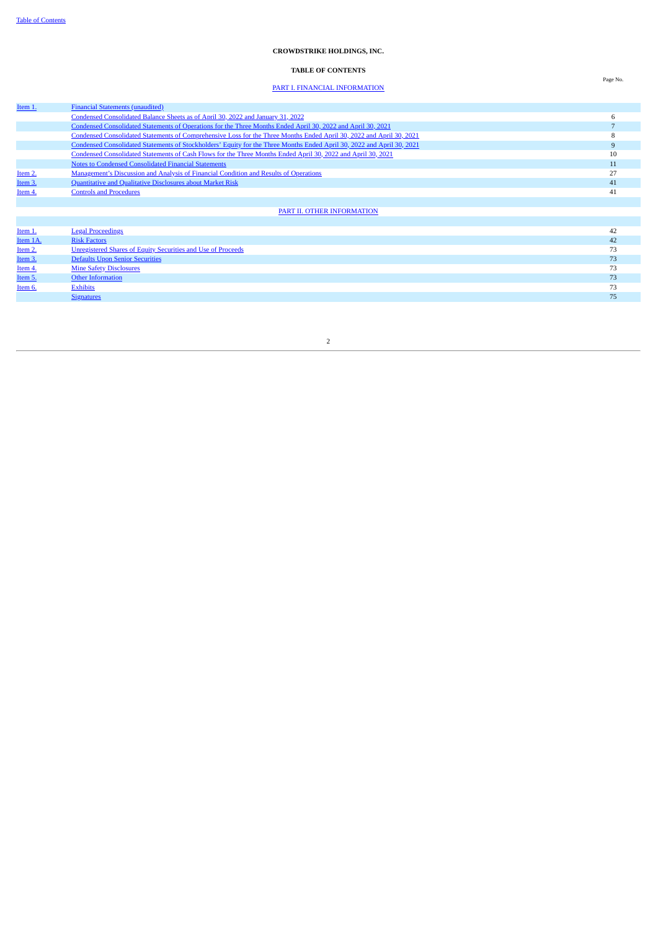#### **CROWDSTRIKE HOLDINGS, INC.**

#### **TABLE OF CONTENTS**

### PART I. FINANCIAL [INFORMATION](#page-4-0)

| Item 1.  | <b>Financial Statements (unaudited)</b>                                                                                |    |
|----------|------------------------------------------------------------------------------------------------------------------------|----|
|          | Condensed Consolidated Balance Sheets as of April 30, 2022 and January 31, 2022                                        | b  |
|          | Condensed Consolidated Statements of Operations for the Three Months Ended April 30, 2022 and April 30, 2021           |    |
|          | Condensed Consolidated Statements of Comprehensive Loss for the Three Months Ended April 30, 2022 and April 30, 2021   | ö  |
|          | Condensed Consolidated Statements of Stockholders' Equity for the Three Months Ended April 30, 2022 and April 30, 2021 |    |
|          | Condensed Consolidated Statements of Cash Flows for the Three Months Ended April 30, 2022 and April 30, 2021           | 10 |
|          | <b>Notes to Condensed Consolidated Financial Statements</b>                                                            | 11 |
| Item 2.  | Management's Discussion and Analysis of Financial Condition and Results of Operations                                  | 27 |
| Item 3.  | Quantitative and Qualitative Disclosures about Market Risk                                                             | 41 |
| Item 4.  | <b>Controls and Procedures</b>                                                                                         | 41 |
|          |                                                                                                                        |    |
|          | PART II. OTHER INFORMATION                                                                                             |    |
|          |                                                                                                                        |    |
| Item 1.  | <b>Legal Proceedings</b>                                                                                               | 42 |
| Item 1A. | <b>Risk Factors</b>                                                                                                    | 42 |
| Item 2.  | <b>Unregistered Shares of Equity Securities and Use of Proceeds</b>                                                    | 73 |
| Item 3.  | <b>Defaults Upon Senior Securities</b>                                                                                 | 73 |
| Item 4.  | <b>Mine Safety Disclosures</b>                                                                                         | 73 |
| Item 5.  | <b>Other Information</b>                                                                                               | 73 |
| Item 6.  | <b>Exhibits</b>                                                                                                        | 73 |
|          | <b>Signatures</b>                                                                                                      | 75 |

2

Page No.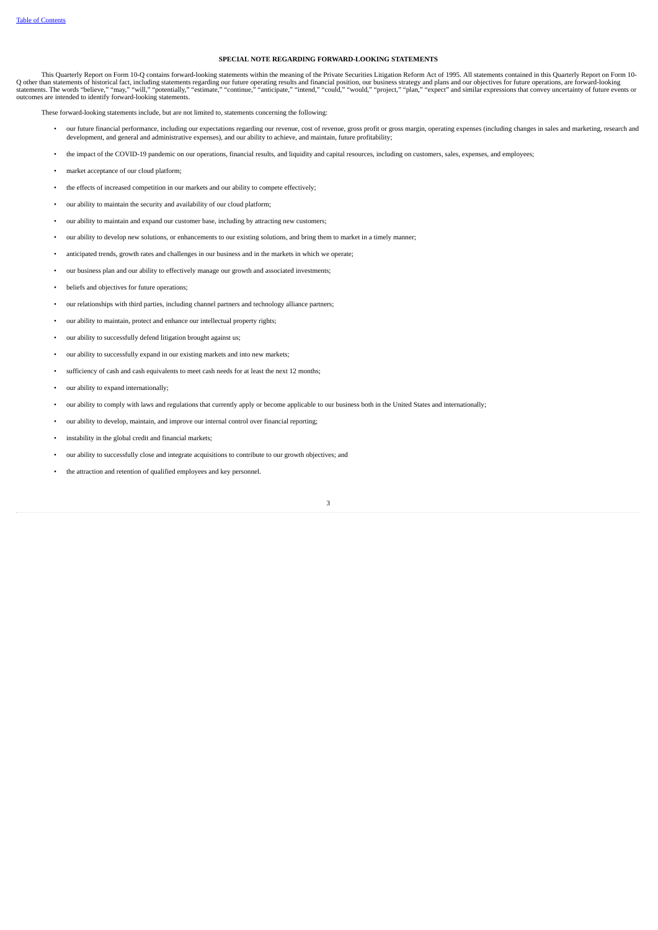#### **SPECIAL NOTE REGARDING FORWARD-LOOKING STATEMENTS**

This Quarterly Report on Form 10-Q contains forward-looking statements within the meaning of the Private Securities Litigation Reform Act of 1995. All statements contained in this Quarterly Report on Form 10-Q other than statements of historical fact, including statements regarding our future operating results and financial position, our business strategy and plans and our objectives for future operations, are forward-looking<br>

These forward-looking statements include, but are not limited to, statements concerning the following:

- our future financial performance, including our expectations regarding our revenue, cost of revenue, gross profit or gross margin, operating expenses (including changes in sales and marketing, research and development, and
- the impact of the COVID-19 pandemic on our operations, financial results, and liquidity and capital resources, including on customers, sales, expenses, and employees;
- market acceptance of our cloud platform;
- the effects of increased competition in our markets and our ability to compete effectively;
- our ability to maintain the security and availability of our cloud platform;
- our ability to maintain and expand our customer base, including by attracting new customers;
- our ability to develop new solutions, or enhancements to our existing solutions, and bring them to market in a timely manner;
- anticipated trends, growth rates and challenges in our business and in the markets in which we operate;
- our business plan and our ability to effectively manage our growth and associated investments;
- beliefs and objectives for future operations;
- our relationships with third parties, including channel partners and technology alliance partners;
- our ability to maintain, protect and enhance our intellectual property rights;
- our ability to successfully defend litigation brought against us;
- our ability to successfully expand in our existing markets and into new markets;
- sufficiency of cash and cash equivalents to meet cash needs for at least the next 12 months;
- our ability to expand internationally;
- our ability to comply with laws and regulations that currently apply or become applicable to our business both in the United States and internationally;
- our ability to develop, maintain, and improve our internal control over financial reporting;
- instability in the global credit and financial markets;
- our ability to successfully close and integrate acquisitions to contribute to our growth objectives; and
- the attraction and retention of qualified employees and key personnel.

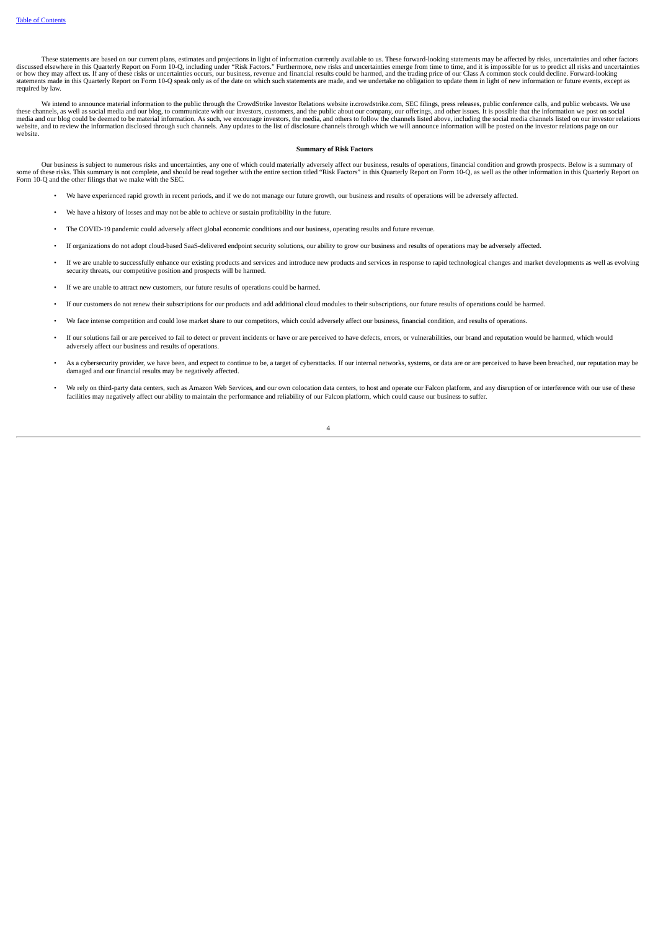These statements are based on our current plans, estimates and projections in light of information currently available to us. These forward-looking statements may be affected by risks, uncertainties and other factors discu required by law.

We intend to announce material information to the public through the CrowdStrike Investor Relations website ir.crowdstrike.com, SEC filings, press releases, public conference calls, and public webcasts. We use<br>these channe website, and to review the information disclosed through such channels. Any updates to the list of disclosure channels through which we will announce information will be posted on the investor relations page on our website website.

#### **Summary of Risk Factors**

Our business is subject to numerous risks and uncertainties, any one of which could materially adversely affect our business, results of operations, financial condition and growth prospects. Below is a summary of some of these risks. This summary is not complete, and should be read together with the entire section titled "Risk Factors" in this Quarterly Report on Form 10-Q, as well as the other information in this Quarterly Report

- We have experienced rapid growth in recent periods, and if we do not manage our future growth, our business and results of operations will be adversely affected.
- We have a history of losses and may not be able to achieve or sustain profitability in the future.
- The COVID-19 pandemic could adversely affect global economic conditions and our business, operating results and future revenue.
- If organizations do not adopt cloud-based SaaS-delivered endpoint security solutions, our ability to grow our business and results of operations may be adversely affected.
- If we are unable to successfully enhance our existing products and services and introduce new products and services in response to rapid technological changes and market developments as well as evolving security threats, our competitive position and prospects will be harmed.
- If we are unable to attract new customers, our future results of operations could be harmed.
- If our customers do not renew their subscriptions for our products and add additional cloud modules to their subscriptions, our future results of operations could be harmed.
- We face intense competition and could lose market share to our competitors, which could adversely affect our business, financial condition, and results of operations.
- If our solutions fail or are perceived to fail to detect or prevent incidents or have or are perceived to have defects, errors, or vulnerabilities, our brand and reputation would be harmed, which would adversely affect our business and results of operations.
- As a cybersecurity provider, we have been, and expect to continue to be, a target of cyberattacks. If our internal networks, systems, or data are or are perceived to have been breached, our reputation may be damaged and our financial results may be negatively affected.
- We rely on third-party data centers, such as Amazon Web Services, and our own colocation data centers, to host and operate our Falcon platform, and any disruption of or interference with our use of these facilities may negatively affect our ability to maintain the performance and reliability of our Falcon platform, which could cause our business to suffer.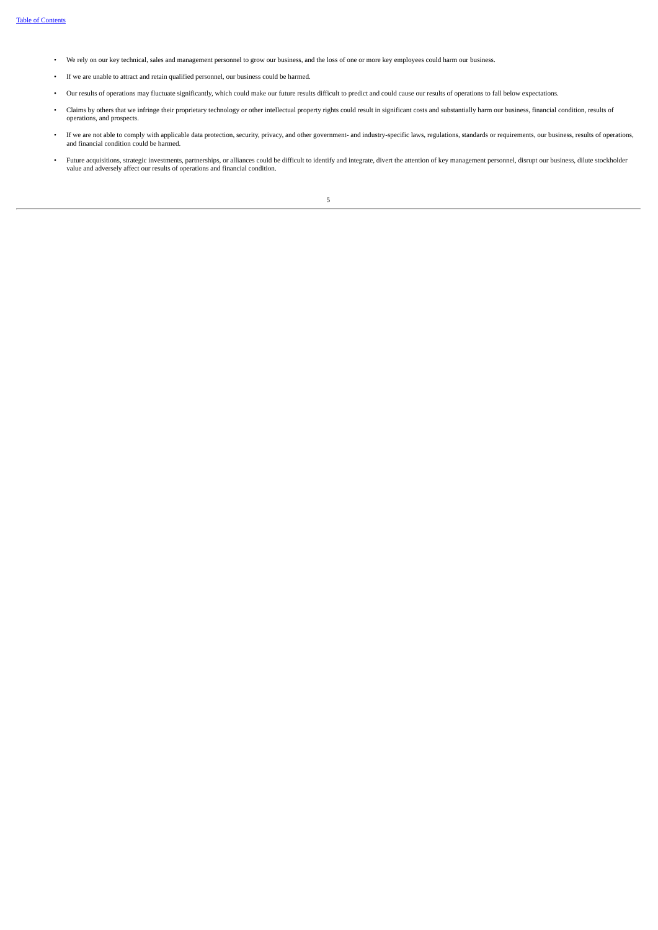- We rely on our key technical, sales and management personnel to grow our business, and the loss of one or more key employees could harm our business.
- If we are unable to attract and retain qualified personnel, our business could be harmed.
- Our results of operations may fluctuate significantly, which could make our future results difficult to predict and could cause our results of operations to fall below expectations.
- Claims by others that we infringe their proprietary technology or other intellectual property rights could result in significant costs and substantially harm our business, financial condition, results of operations, and prospects.
- If we are not able to comply with applicable data protection, security, privacy, and other government- and industry-specific laws, regulations, standards or requirements, our business, results of operations, and financial
- <span id="page-4-0"></span>• Future acquisitions, strategic investments, partnerships, or alliances could be difficult to identify and integrate, divert the attention of key management personnel, disrupt our business, dilute stockholder value and ad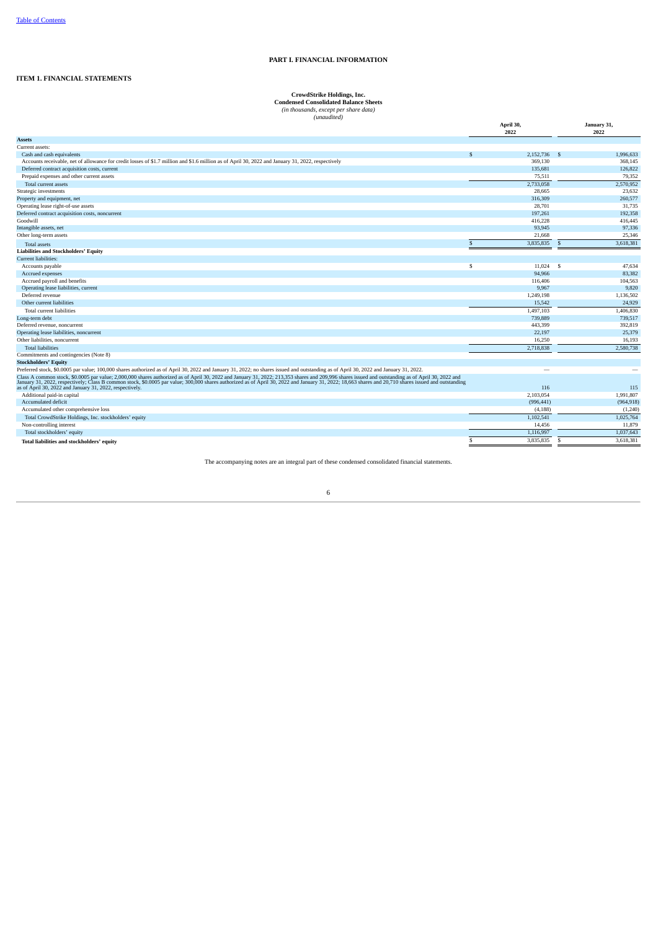#### **PART I. FINANCIAL INFORMATION**

#### <span id="page-5-1"></span><span id="page-5-0"></span>**ITEM 1. FINANCIAL STATEMENTS**

**CrowdStrike Holdings, Inc. Condensed Consolidated Balance Sheets** *(in thousands, except per share data) (unaudited)*

|                                                                                                                                                                                                                                                                                                                                                                                                             | April 30,<br>2022 |          | January 31,<br>2022 |  |
|-------------------------------------------------------------------------------------------------------------------------------------------------------------------------------------------------------------------------------------------------------------------------------------------------------------------------------------------------------------------------------------------------------------|-------------------|----------|---------------------|--|
| <b>Assets</b>                                                                                                                                                                                                                                                                                                                                                                                               |                   |          |                     |  |
| Current assets:                                                                                                                                                                                                                                                                                                                                                                                             |                   |          |                     |  |
| Cash and cash equivalents                                                                                                                                                                                                                                                                                                                                                                                   | 2.152.736<br>\$   |          | - \$<br>1.996.633   |  |
| Accounts receivable, net of allowance for credit losses of \$1.7 million and \$1.6 million as of April 30, 2022 and January 31, 2022, respectively                                                                                                                                                                                                                                                          | 369,130           |          | 368,145             |  |
| Deferred contract acquisition costs, current                                                                                                                                                                                                                                                                                                                                                                | 135,681           |          | 126,822             |  |
| Prepaid expenses and other current assets                                                                                                                                                                                                                                                                                                                                                                   |                   | 75,511   | 79,352              |  |
| Total current assets                                                                                                                                                                                                                                                                                                                                                                                        | 2,733,058         |          | 2,570,952           |  |
| Strategic investments                                                                                                                                                                                                                                                                                                                                                                                       |                   | 28,665   | 23,632              |  |
| Property and equipment, net                                                                                                                                                                                                                                                                                                                                                                                 | 316,309           |          | 260,577             |  |
| Operating lease right-of-use assets                                                                                                                                                                                                                                                                                                                                                                         |                   | 28,701   | 31.735              |  |
| Deferred contract acquisition costs, noncurrent                                                                                                                                                                                                                                                                                                                                                             | 197,261           |          | 192,358             |  |
| Goodwill                                                                                                                                                                                                                                                                                                                                                                                                    | 416,228           |          | 416,445             |  |
| Intangible assets, net                                                                                                                                                                                                                                                                                                                                                                                      |                   | 93.945   | 97,336              |  |
| Other long-term assets                                                                                                                                                                                                                                                                                                                                                                                      |                   | 21,668   | 25,346              |  |
| <b>Total assets</b>                                                                                                                                                                                                                                                                                                                                                                                         | 3,835,835<br>\$.  |          | 3,618,381<br>-S     |  |
| <b>Liabilities and Stockholders' Equity</b>                                                                                                                                                                                                                                                                                                                                                                 |                   |          |                     |  |
| Current liabilities:                                                                                                                                                                                                                                                                                                                                                                                        |                   |          |                     |  |
| Accounts payable                                                                                                                                                                                                                                                                                                                                                                                            | S                 | 11,024   | 47,634<br>- S       |  |
| Accrued expenses                                                                                                                                                                                                                                                                                                                                                                                            |                   | 94,966   | 83.382              |  |
| Accrued payroll and benefits                                                                                                                                                                                                                                                                                                                                                                                | 116,406           |          | 104,563             |  |
| Operating lease liabilities, current                                                                                                                                                                                                                                                                                                                                                                        |                   | 9,967    | 9,820               |  |
| Deferred revenue                                                                                                                                                                                                                                                                                                                                                                                            | 1,249,198         |          | 1,136,502           |  |
| Other current liabilities                                                                                                                                                                                                                                                                                                                                                                                   |                   | 15,542   | 24,929              |  |
| Total current liabilities                                                                                                                                                                                                                                                                                                                                                                                   | 1,497,103         |          | 1,406,830           |  |
| Long-term debt                                                                                                                                                                                                                                                                                                                                                                                              | 739,889           |          | 739,517             |  |
| Deferred revenue, noncurrent                                                                                                                                                                                                                                                                                                                                                                                | 443,399           |          | 392,819             |  |
| Operating lease liabilities, noncurrent                                                                                                                                                                                                                                                                                                                                                                     |                   | 22.197   | 25,379              |  |
| Other liabilities, noncurrent                                                                                                                                                                                                                                                                                                                                                                               |                   | 16,250   | 16,193              |  |
| <b>Total liabilities</b>                                                                                                                                                                                                                                                                                                                                                                                    | 2,718,838         |          | 2,580,738           |  |
| Commitments and contingencies (Note 8)                                                                                                                                                                                                                                                                                                                                                                      |                   |          |                     |  |
| <b>Stockholders' Equity</b>                                                                                                                                                                                                                                                                                                                                                                                 |                   |          |                     |  |
| Preferred stock, \$0.0005 par value; 100,000 shares authorized as of April 30, 2022 and January 31, 2022; no shares issued and outstanding as of April 30, 2022 and January 31, 2022.                                                                                                                                                                                                                       |                   |          |                     |  |
| Class A common stock, \$0.0005 par value; 2,000,000 shares authorized as of April 30, 2022 and January 31, 2022; 213,353 shares and 209,996 shares issued and outstanding as of April 30, 2022 and<br>January 31, 2022, respectively; Class B common stock, \$0.0005 par value; 300,000 shares authorized as of April 30, 2022 and January 31, 2022; 18,663 shares and 20,710 shares issued and outstanding |                   |          |                     |  |
| as of April 30, 2022 and January 31, 2022, respectively.<br>Additional paid-in capital                                                                                                                                                                                                                                                                                                                      |                   | 116      | 115<br>1,991,807    |  |
| Accumulated deficit                                                                                                                                                                                                                                                                                                                                                                                         | 2,103,054         |          |                     |  |
|                                                                                                                                                                                                                                                                                                                                                                                                             | (996, 441)        | (4, 188) | (964, 918)          |  |
| Accumulated other comprehensive loss                                                                                                                                                                                                                                                                                                                                                                        |                   |          | (1,240)             |  |
| Total CrowdStrike Holdings, Inc. stockholders' equity                                                                                                                                                                                                                                                                                                                                                       | 1.102.541         |          | 1,025,764           |  |
| Non-controlling interest                                                                                                                                                                                                                                                                                                                                                                                    |                   | 14,456   | 11,879              |  |
| Total stockholders' equity                                                                                                                                                                                                                                                                                                                                                                                  | 1,116,997         |          | 1,037,643           |  |
| Total liabilities and stockholders' equity                                                                                                                                                                                                                                                                                                                                                                  | 3,835,835<br>\$   |          | 3,618,381<br>s      |  |

<span id="page-5-2"></span>The accompanying notes are an integral part of these condensed consolidated financial statements.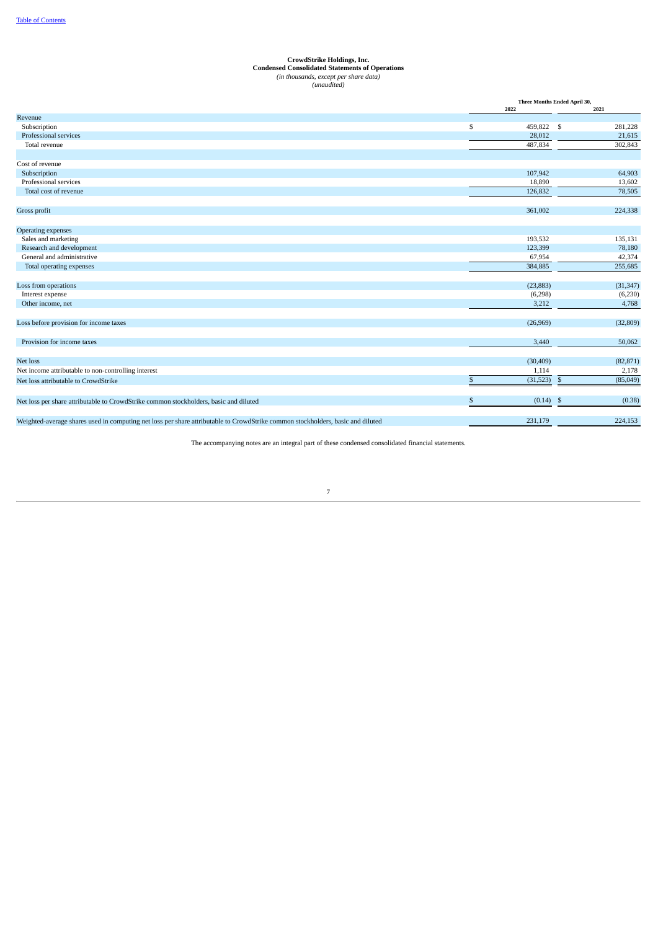## **CrowdStrike Holdings, Inc.**<br>**Condensed Consolidated Statements of Operations**<br>(in thousands, except per share data)<br>(*unaudited*)

|                                                                                                                                 |              | Three Months Ended April 30, |              |           |  |  |
|---------------------------------------------------------------------------------------------------------------------------------|--------------|------------------------------|--------------|-----------|--|--|
|                                                                                                                                 |              | 2022                         |              | 2021      |  |  |
| Revenue                                                                                                                         |              |                              |              |           |  |  |
| Subscription                                                                                                                    | \$           | 459,822 \$                   |              | 281,228   |  |  |
| Professional services                                                                                                           |              | 28,012                       |              | 21,615    |  |  |
| Total revenue                                                                                                                   |              | 487,834                      |              | 302,843   |  |  |
| Cost of revenue                                                                                                                 |              |                              |              |           |  |  |
| Subscription                                                                                                                    |              | 107,942                      |              | 64,903    |  |  |
| Professional services                                                                                                           |              | 18,890                       |              | 13,602    |  |  |
| Total cost of revenue                                                                                                           |              | 126,832                      |              | 78,505    |  |  |
|                                                                                                                                 |              |                              |              |           |  |  |
| Gross profit                                                                                                                    |              | 361,002                      |              | 224,338   |  |  |
| <b>Operating expenses</b>                                                                                                       |              |                              |              |           |  |  |
| Sales and marketing                                                                                                             |              | 193,532                      |              | 135,131   |  |  |
| Research and development                                                                                                        |              | 123,399                      |              | 78,180    |  |  |
| General and administrative                                                                                                      |              | 67,954                       |              | 42,374    |  |  |
| Total operating expenses                                                                                                        |              | 384,885                      |              | 255,685   |  |  |
|                                                                                                                                 |              |                              |              |           |  |  |
| Loss from operations                                                                                                            |              | (23, 883)                    |              | (31, 347) |  |  |
| Interest expense                                                                                                                |              | (6,298)                      |              | (6,230)   |  |  |
| Other income, net                                                                                                               |              | 3,212                        |              | 4,768     |  |  |
| Loss before provision for income taxes                                                                                          |              | (26,969)                     |              | (32, 809) |  |  |
| Provision for income taxes                                                                                                      |              | 3,440                        |              | 50,062    |  |  |
|                                                                                                                                 |              |                              |              |           |  |  |
| Net loss                                                                                                                        |              | (30, 409)                    |              | (82, 871) |  |  |
| Net income attributable to non-controlling interest                                                                             |              | 1,114                        |              | 2,178     |  |  |
| Net loss attributable to CrowdStrike                                                                                            | $\mathbf{s}$ | (31,523)                     | $\mathbb{S}$ | (85,049)  |  |  |
| Net loss per share attributable to CrowdStrike common stockholders, basic and diluted                                           | \$           | $(0.14)$ \$                  |              | (0.38)    |  |  |
| Weighted-average shares used in computing net loss per share attributable to CrowdStrike common stockholders, basic and diluted |              | 231,179                      |              | 224,153   |  |  |

<span id="page-6-0"></span>The accompanying notes are an integral part of these condensed consolidated financial statements.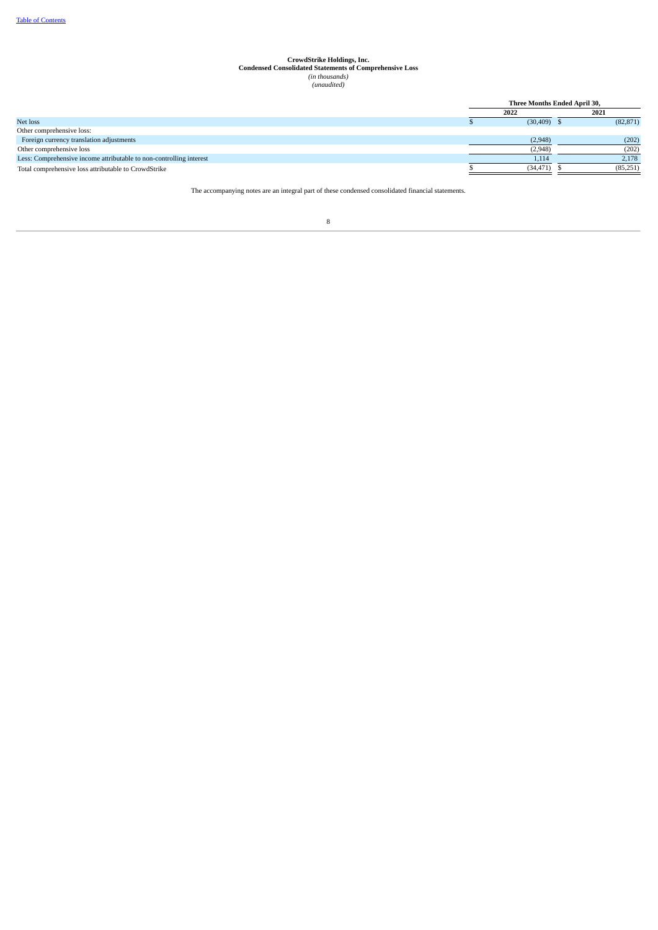# **CrowdStrike Holdings, Inc. Condensed Consolidated Statements of Comprehensive Loss** *(in thousands) (unaudited)*

<span id="page-7-0"></span>

|                                                                     |  | Three Months Ended April 30, |  |           |
|---------------------------------------------------------------------|--|------------------------------|--|-----------|
|                                                                     |  | 2022                         |  | 2021      |
| Net loss                                                            |  | $(30, 409)$ \$               |  | (82, 871) |
| Other comprehensive loss:                                           |  |                              |  |           |
| Foreign currency translation adjustments                            |  | (2,948)                      |  | (202)     |
| Other comprehensive loss                                            |  | (2,948)                      |  | (202)     |
| Less: Comprehensive income attributable to non-controlling interest |  | 1,114                        |  | 2,178     |
| Total comprehensive loss attributable to CrowdStrike                |  | (34, 471)                    |  | (85,251)  |

The accompanying notes are an integral part of these condensed consolidated financial statements.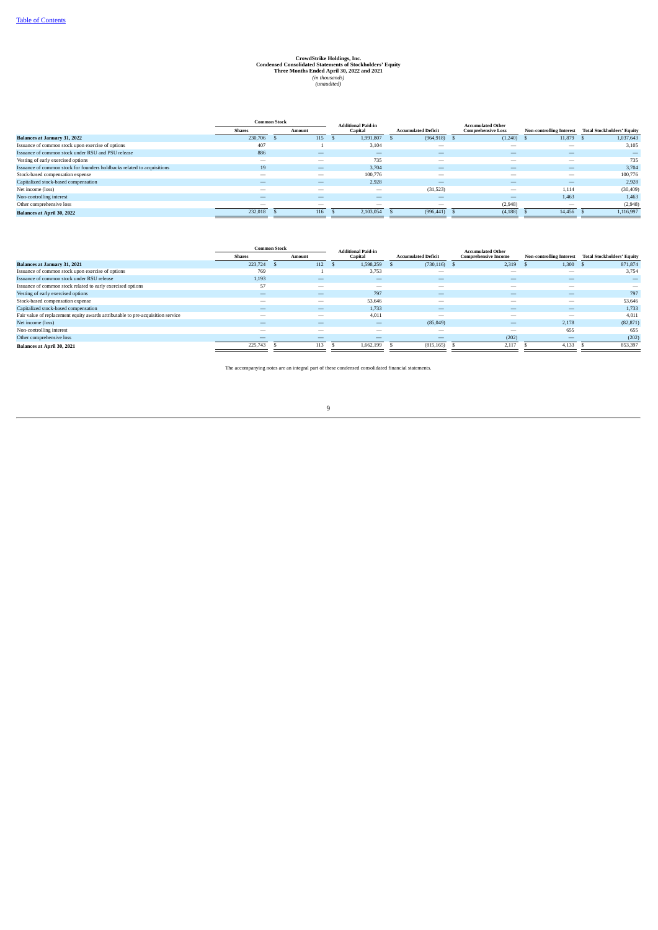### CrowdStrike Holdings, Inc.<br>Condensed Consolidated Statements of Stockholders' Equity<br>Three Months Ended April 30, 2022 and 2021<br>(in thousands)<br>(Consolided)

|                                                                         | <b>Common Stock</b><br><b>Shares</b><br>Amount |                          | <b>Additional Paid-in</b> |                            | <b>Accumulated Other</b>  |                                 |                                   |
|-------------------------------------------------------------------------|------------------------------------------------|--------------------------|---------------------------|----------------------------|---------------------------|---------------------------------|-----------------------------------|
|                                                                         |                                                |                          | Capital                   | <b>Accumulated Deficit</b> | <b>Comprehensive Loss</b> | <b>Non-controlling Interest</b> | <b>Total Stockholders' Equity</b> |
| <b>Balances at January 31, 2022</b>                                     | 230,706                                        | 115                      | 1.991.807                 | (964, 918)                 | $(1,240)$ \$              | 11,879                          | 1,037,643                         |
| Issuance of common stock upon exercise of options                       | 407                                            |                          | 3,104                     | $\overline{\phantom{a}}$   | $\overline{\phantom{a}}$  | $\overline{\phantom{a}}$        | 3,105                             |
| Issuance of common stock under RSU and PSU release                      | 886                                            | $\overline{\phantom{a}}$ | $\overline{\phantom{a}}$  | $-$                        | $\overline{\phantom{a}}$  | $\overline{\phantom{a}}$        |                                   |
| Vesting of early exercised options                                      | $\overline{\phantom{a}}$                       | $\overline{\phantom{a}}$ | 735                       | $\overline{\phantom{a}}$   | $\overline{\phantom{a}}$  | $\overline{\phantom{a}}$        | 735                               |
| Issuance of common stock for founders holdbacks related to acquisitions | 19                                             | $\overline{\phantom{a}}$ | 3.704                     | $-$                        | $\overline{\phantom{a}}$  | $\overline{\phantom{a}}$        | 3,704                             |
| Stock-based compensation expense                                        | $\overline{\phantom{a}}$                       | $\overline{\phantom{a}}$ | 100,776                   | $\overline{\phantom{a}}$   | $\overline{\phantom{a}}$  | $\overline{\phantom{a}}$        | 100,776                           |
| Capitalized stock-based compensation                                    | $\overline{\phantom{a}}$                       | $\overline{\phantom{a}}$ | 2,928                     | $\overline{\phantom{a}}$   | $\overline{\phantom{a}}$  | $\overline{\phantom{a}}$        | 2,928                             |
| Net income (loss)                                                       | $\overline{\phantom{a}}$                       | $\overline{\phantom{a}}$ | $\overline{\phantom{a}}$  | (31,523)                   | $\overline{\phantom{a}}$  | 1,114                           | (30, 409)                         |
| Non-controlling interest                                                |                                                | $-$                      |                           | $\overline{\phantom{a}}$   | $\overline{\phantom{a}}$  | 1.463                           | 1.463                             |
| Other comprehensive loss                                                | $\overline{\phantom{a}}$                       | $\overline{\phantom{a}}$ | $\overline{\phantom{a}}$  | $\overline{\phantom{a}}$   | (2,948)                   | $\overline{\phantom{a}}$        | (2,948)                           |
| <b>Balances at April 30, 2022</b>                                       | 232,018                                        | 116                      | 2,103,054                 | (996, 441)                 | (4, 188)                  | 14,456                          | 1,116,997                         |

<span id="page-8-0"></span>

| <b>Shares</b><br>Amount  |  |                          |                          |                            |                             |                                                          |                                   |
|--------------------------|--|--------------------------|--------------------------|----------------------------|-----------------------------|----------------------------------------------------------|-----------------------------------|
|                          |  |                          | Capital                  | <b>Accumulated Deficit</b> | <b>Comprehensive Income</b> | <b>Non-controlling Interest</b>                          | <b>Total Stockholders' Equity</b> |
| 223,724                  |  |                          | 1,598,259                |                            |                             | 1,300                                                    | 871,874                           |
| 769                      |  |                          | 3,753                    | $\overline{\phantom{a}}$   | $\overline{\phantom{a}}$    | $\overline{\phantom{a}}$                                 | 3,754                             |
| 1.193                    |  | $\overline{\phantom{a}}$ | $\overline{\phantom{a}}$ | $-$                        | $\overline{\phantom{a}}$    | $\overline{\phantom{a}}$                                 |                                   |
| 57                       |  | $\overline{\phantom{a}}$ | $\overline{\phantom{a}}$ | $\overline{\phantom{a}}$   | -                           | $\overline{\phantom{a}}$                                 |                                   |
| $\overline{\phantom{a}}$ |  | $\overline{\phantom{a}}$ | 797                      | $\overline{\phantom{a}}$   | $\overline{\phantom{a}}$    | $\overline{\phantom{a}}$                                 | 797                               |
| $\overline{\phantom{a}}$ |  | $\overline{\phantom{a}}$ | 53,646                   | $\overline{\phantom{a}}$   | -                           | $\overline{\phantom{a}}$                                 | 53,646                            |
| $\overline{\phantom{a}}$ |  | $\overline{\phantom{a}}$ | 1.733                    | $-$                        | $\overline{\phantom{a}}$    | $\overline{\phantom{a}}$                                 | 1,733                             |
| $\overline{\phantom{a}}$ |  | $\overline{\phantom{a}}$ | 4,011                    | $\overline{\phantom{a}}$   | $\overline{\phantom{a}}$    | $\overline{\phantom{a}}$                                 | 4,011                             |
| $\overline{\phantom{a}}$ |  | $\overline{\phantom{a}}$ | $\overline{\phantom{a}}$ | (85,049)                   | $\overline{\phantom{a}}$    | 2,178                                                    | (82, 871)                         |
| $\overline{\phantom{a}}$ |  | $\overline{\phantom{a}}$ | $\overline{\phantom{a}}$ | $\overline{\phantom{a}}$   | $\overline{\phantom{a}}$    | 655                                                      | 655                               |
|                          |  |                          |                          |                            |                             | $\overline{\phantom{m}}$                                 | (202)                             |
| 225,743                  |  |                          | 1.662.199                | (815, 165)                 |                             | 4,133                                                    | 853,397                           |
|                          |  | <b>Common Stock</b>      | 112<br>113               | <b>Additional Paid-in</b>  |                             | <b>Accumulated Other</b><br>(730, 116)<br>2,319<br>2,117 | (202)                             |

The accompanying notes are an integral part of these condensed consolidated financial statements.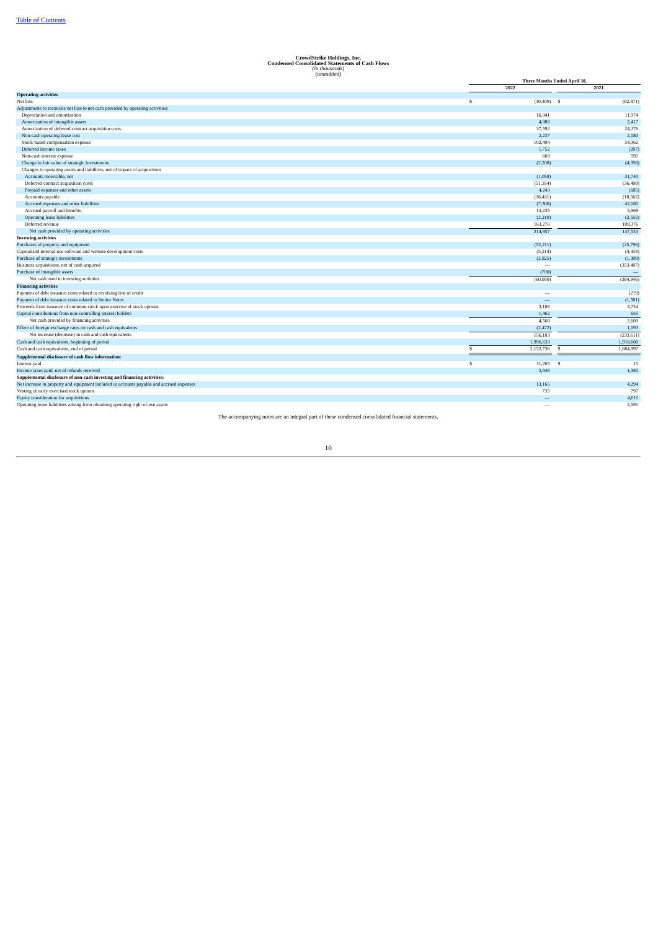### **CrowdStrike Holdings, Inc. Condensed Consolidated Statements of Cash Flows** *(in thousands) (unaudited)*

|                                                                                          |                          | Three Months Ended April 30, |  |  |
|------------------------------------------------------------------------------------------|--------------------------|------------------------------|--|--|
|                                                                                          | 2022                     | 2021                         |  |  |
| <b>Operating activities</b>                                                              |                          |                              |  |  |
| Net loss                                                                                 | s<br>$(30, 409)$ \$      | (82, 871)                    |  |  |
| Adjustments to reconcile net loss to net cash provided by operating activities:          |                          |                              |  |  |
| Depreciation and amortization                                                            | 16,341                   | 11,974                       |  |  |
| Amortization of intangible assets                                                        | 4,088                    | 2,417                        |  |  |
| Amortization of deferred contract acquisition costs                                      | 37,592                   | 24,376                       |  |  |
| Non-cash operating lease cost                                                            | 2.237                    | 2,180                        |  |  |
| Stock-based compensation expense                                                         | 102,494                  | 54,362                       |  |  |
| Deferred income taxes                                                                    | 1,752                    | (207)                        |  |  |
| Non-cash interest expense                                                                | 669                      | 595                          |  |  |
| Change in fair value of strategic investments                                            | (2, 208)                 | (4,356)                      |  |  |
| Changes in operating assets and liabilities, net of impact of acquisitions               |                          |                              |  |  |
| Accounts receivable, net                                                                 | (1,058)                  | 31,740                       |  |  |
| Deferred contract acquisition costs                                                      | (51, 354)                | (36, 400)                    |  |  |
| Prepaid expenses and other assets                                                        | 4,243                    | (685)                        |  |  |
| Accounts payable                                                                         | (36, 431)                | (10, 562)                    |  |  |
| Accrued expenses and other liabilities                                                   | (7, 300)                 | 42,180                       |  |  |
| Accrued payroll and benefits                                                             | 13,235                   | 5,969                        |  |  |
| Operating lease liabilities                                                              | (2,210)                  | (2,555)                      |  |  |
| Deferred revenue                                                                         | 163,276                  | 109,376                      |  |  |
| Net cash provided by operating activities                                                | 214,957                  | 147,533                      |  |  |
| <b>Investing activities</b>                                                              |                          |                              |  |  |
| Purchases of property and equipment                                                      | (52,211)                 | (25,796)                     |  |  |
| Capitalized internal-use software and website development costs                          | (5,214)                  | (4,434)                      |  |  |
| Purchase of strategic investments                                                        | (2,825)                  | (1,309)                      |  |  |
| Business acquisitions, net of cash acquired                                              | $\overline{\phantom{a}}$ | (353, 407)                   |  |  |
| Purchase of intangible assets                                                            | (700)                    |                              |  |  |
| Net cash used in investing activities                                                    | (60, 950)                | (384, 946)                   |  |  |
| <b>Financing activities</b>                                                              |                          |                              |  |  |
| Payment of debt issuance costs related to revolving line of credit                       |                          | (219)                        |  |  |
| Payment of debt issuance costs related to Senior Notes                                   | $\overline{\phantom{0}}$ | (1,581)                      |  |  |
| Proceeds from issuance of common stock upon exercise of stock options                    | 3,106                    | 3,754                        |  |  |
| Capital contributions from non-controlling interest holders                              | 1,462                    | 655                          |  |  |
| Net cash provided by financing activities                                                | 4,568                    | 2,609                        |  |  |
| Effect of foreign exchange rates on cash and cash equivalents                            | (2, 472)                 | 1,193                        |  |  |
| Net increase (decrease) in cash and cash equivalents                                     | 156,103                  | (233, 611)                   |  |  |
| Cash and cash equivalents, beginning of period                                           | 1,996,633                | 1,918,608                    |  |  |
| Cash and cash equivalents, end of period                                                 | 2,152,736                | 1,684,997<br>S               |  |  |
| Supplemental disclosure of cash flow information:                                        |                          |                              |  |  |
| Interest paid                                                                            | s<br>11,265              | - \$<br>11                   |  |  |
| Income taxes paid, net of refunds received                                               | 3.948                    | 1,385                        |  |  |
| Supplemental disclosure of non-cash investing and financing activities:                  |                          |                              |  |  |
| Net increase in property and equipment included in accounts payable and accrued expenses | 13,165                   | 4,294                        |  |  |
| Vesting of early exercised stock options                                                 | 735                      | 797                          |  |  |
| Equity consideration for acquisitions                                                    | -                        | 4,011                        |  |  |
| Operating lease liabilities arising from obtaining operating right of-use assets         | $\overline{\phantom{0}}$ | 2,591                        |  |  |
|                                                                                          |                          |                              |  |  |

<span id="page-9-0"></span>The accompanying notes are an integral part of these condensed consolidated financial statements.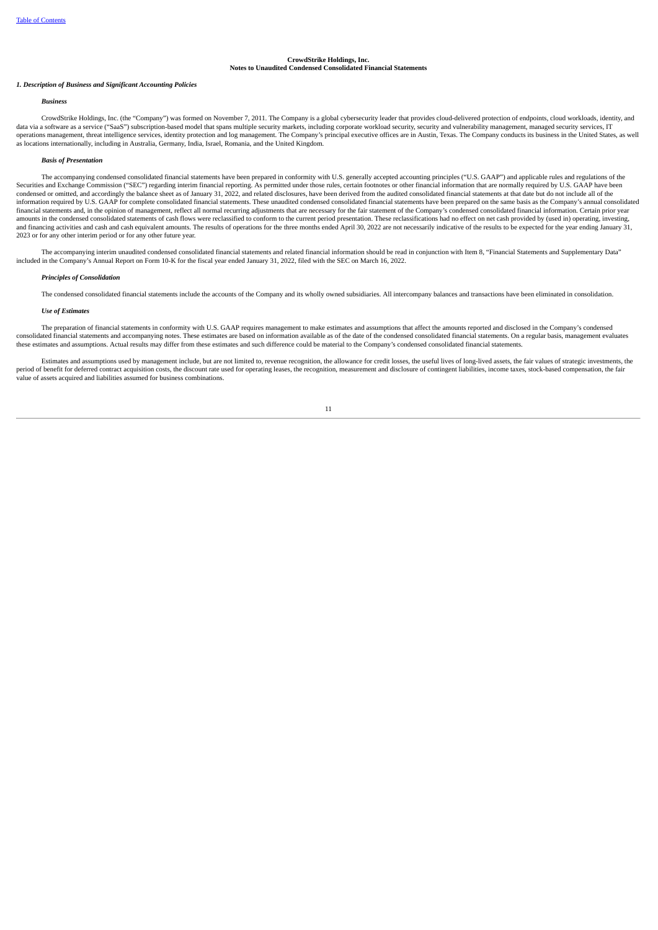#### **CrowdStrike Holdings, Inc.**

#### **Notes to Unaudited Condensed Consolidated Financial Statements**

#### *1. Description of Business and Significant Accounting Policies*

#### *Business*

CrowdStrike Holdings, Inc. (the "Company") was formed on November 7, 2011. The Company is a global cybersecurity leader that provides cloud-delivered protection of endpoints, cloud workloads, identity, and data via a software as a service ("SaaS") subscription-based model that spans multiple security markets, including corporate workload security, security and vulnerability management, managed security services, IT operations management, threat intelligence services, identity protection and log management. The Company's principal executive offices are in Austin, Texas. The Company conducts its business in the United States, as well<br>a

#### *Basis of Presentation*

The accompanying condensed consolidated financial statements have been prepared in conformity with U.S. generally accepted accounting principles ("U.S. GAAP") and applicable rules and regulations of the Securities and Exchange Commission ("SEC") regarding interim financial reporting. As permitted under those rules, certain footnotes or other financial information that are normally required by U.S. GAAP have been condensed or omitted, and accordingly the balance sheet as of January 31, 2022, and related disclosures, have been derived from the audited consolidated financial statements at that date but do not include all of the information required by U.S. GAAP for complete consolidated financial statements. These unaudited condensed consolidated financial statements have been prepared on the same basis as the Company's annual consolidated financial statements and, in the opinion of management, reflect all normal recurring adjustments that are necessary for the fair statement of the Company's condensed consolidated financial information. Certain prior year amounts in the condensed consolidated statements of cash flows were reclassified to conform to the current period presentation. These reclassifications had no effect on net cash provided by (used in) operating, investing,<br> 2023 or for any other interim period or for any other future year.

The accompanying interim unaudited condensed consolidated financial statements and related financial information should be read in conjunction with Item 8, "Financial Statements and Supplementary Data" included in the Company's Annual Report on Form 10-K for the fiscal year ended January 31, 2022, filed with the SEC on March 16, 2022.

#### *Principles of Consolidation*

The condensed consolidated financial statements include the accounts of the Company and its wholly owned subsidiaries. All intercompany balances and transactions have been eliminated in consolidation.

#### *Use of Estimates*

The preparation of financial statements in conformity with U.S. GAAP requires management to make estimates and assumptions that affect the amounts reported and disclosed in the Company's condensed consolidated financial st these estimates and assumptions. Actual results may differ from these estimates and such difference could be material to the Company's condensed consolidated financial statements.

Estimates and assumptions used by management include, but are not limited to, revenue recognition, the allowance for credit losses, the useful lives of long-lived assets, the fair values of strategic investments, the perio value of assets acquired and liabilities assumed for business combinations.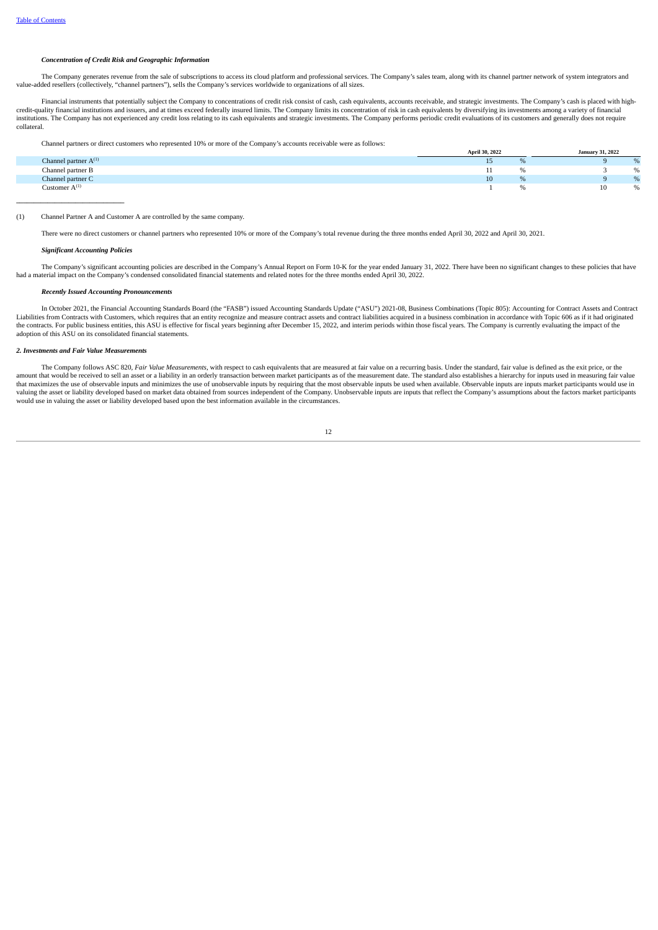#### *Concentration of Credit Risk and Geographic Information*

The Company generates revenue from the sale of subscriptions to access its cloud platform and professional services. The Company's sales team, along with its channel partner network of system integrators and value-added resellers (collectively, "channel partners"), sells the Company's services worldwide to organizations of all sizes.

Financial instruments that potentially subject the Company to concentrations of credit risk consist of cash, cash equivalents, accounts receivable, and strategic investments. The Company's cash is placed with highcredit-quality financial institutions and issuers, and at times exceed federally insured limits. The Company limits its concentration of risk in cash equivalents by diversifying its investments among a variety of financial collateral.

Channel partners or direct customers who represented 10% or more of the Company's accounts receivable were as follows:

|                           | April 30, 2022 |   | January 31, 2022 |     |
|---------------------------|----------------|---|------------------|-----|
| Channel partner $A^{(1)}$ | 15             |   |                  |     |
| Channel partner B         |                |   |                  |     |
| Channel partner C         | 10             | % |                  | 0/2 |
| Customer $A^{(1)}$        |                |   | 10               | %   |
|                           |                |   |                  |     |

#### (1) Channel Partner A and Customer A are controlled by the same company.

There were no direct customers or channel partners who represented 10% or more of the Company's total revenue during the three months ended April 30, 2022 and April 30, 2021.

#### *Significant Accounting Policies*

The Company's significant accounting policies are described in the Company's Annual Report on Form 10-K for the year ended January 31, 2022. There have been no significant changes to these policies that have had a material impact on the Company's condensed consolidated financial statements and related notes for the three months ended April 30, 2022.

#### *Recently Issued Accounting Pronouncements*

In October 2021, the Financial Accounting Standards Board (the "FASB") issued Accounting Standards Update ("ASU") 2021-08, Business Combinations (Topic 805): Accounting for Contract Assets and Contract Liabilities from Contracts with Customers, which requires that an entity recognize and measure contract assets and contract liabilities acquired in a business combination in accordance with Topic 606 as if it had originated the contracts. For public business entities, this ASU is effective for fiscal years beginning after December 15, 2022, and interim periods within those fiscal years. The Company is currently evaluating the impact of the adoption of this ASU on its consolidated financial statements.

#### *2. Investments and Fair Value Measurements*

The Company follows ASC 820, Fair Value Measurements, with respect to cash equivalents that are measured at fair value on a recurring basis. Under the standard, fair value is defined as the exit price, or the amount that would be received to sell an asset or a liability in an orderly transaction between market participants as of the measurement date. The standard also establishes a hierarchy for inputs used in measuring fair va that maximizes the use of observable inputs and minimizes the use of unobservable inputs by requiring that the most observable inputs be used when available. Observable inputs are inputs market participants would use in valuing the asset or liability developed based on market data obtained from sources independent of the Company. Unobservable inputs are inputs that reflect the Company's assumptions about the factors market participants would use in valuing the asset or liability developed based upon the best information available in the circumstances.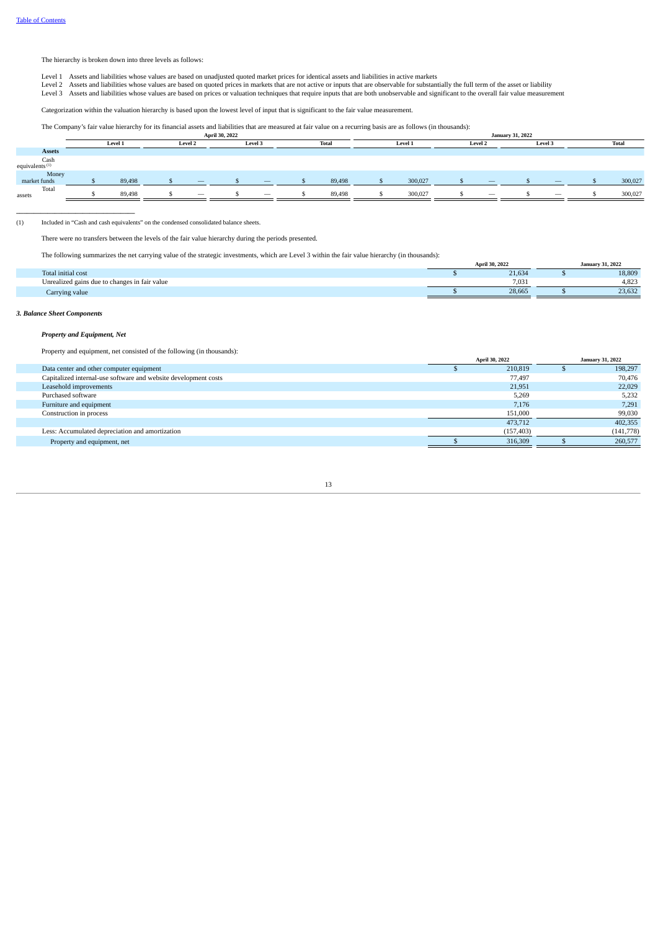The hierarchy is broken down into three levels as follows:

- 
- Level 1 Assets and liabilities whose values are based on unadjusted quoted market prices for identical assets and liabilities in active markets<br>Level 2 Assets and liabilities whose values are based on quoted prices in mark
- Level 3 Assets and liabilities whose values are based on prices or valuation techniques that require inputs that are both unobservable and significant to the overall fair value measurement

Categorization within the valuation hierarchy is based upon the lowest level of input that is significant to the fair value measurement.

The Company's fair value hierarchy for its financial assets and liabilities that are measured at fair value on a recurring basis are as follows (in thousands):

|                                             |         |                                | April 30, 2022 |                                 |  | <b>January 31, 2022</b> |  |         |  |                                |  |                          |  |              |
|---------------------------------------------|---------|--------------------------------|----------------|---------------------------------|--|-------------------------|--|---------|--|--------------------------------|--|--------------------------|--|--------------|
|                                             | Level 1 | Level 2                        |                | Level 3                         |  | <b>Total</b>            |  | Level 1 |  | Level 2                        |  | Level 3                  |  | <b>Total</b> |
| <b>Assets</b>                               |         |                                |                |                                 |  |                         |  |         |  |                                |  |                          |  |              |
| $\operatorname{Cash}^{\operatorname{Cash}}$ |         |                                |                |                                 |  |                         |  |         |  |                                |  |                          |  |              |
| Money<br>market funds                       | 89,498  |                                |                | $\qquad \qquad - \qquad$        |  | 89,498                  |  | 300,027 |  |                                |  | $\qquad \qquad - \qquad$ |  | 300,027      |
| Total<br>assets                             | 89,498  | $\qquad \qquad \longleftarrow$ |                | $\hspace{0.1mm}-\hspace{0.1mm}$ |  | 89,498                  |  | 300,027 |  | $\qquad \qquad \longleftarrow$ |  | $\qquad \qquad -$        |  | 300,027      |

(1) Included in "Cash and cash equivalents" on the condensed consolidated balance sheets.

There were no transfers between the levels of the fair value hierarchy during the periods presented.

The following summarizes the net carrying value of the strategic investments, which are Level 3 within the fair value hierarchy (in thousands):

| The following summarizes the net carrying value of the strategic investments, which are Lever 5 within the fair value meratchy (in thousands). |                |                         |
|------------------------------------------------------------------------------------------------------------------------------------------------|----------------|-------------------------|
|                                                                                                                                                | April 30, 2022 | <b>January 31, 2022</b> |
| Total initial cost                                                                                                                             | 21.634         | 18,809                  |
| Unrealized gains due to changes in fair value                                                                                                  | 7.031          | 4.823                   |
| Carrying value                                                                                                                                 | 28.665         | 23.632                  |
|                                                                                                                                                |                |                         |

#### *3. Balance Sheet Components*

#### *Property and Equipment, Net*

**\_\_\_\_\_\_\_\_\_\_\_\_\_\_\_\_\_\_\_\_\_\_\_\_\_\_\_\_\_\_\_\_\_\_**

Property and equipment, net consisted of the following (in thousands):

|                                                                 | April 30, 2022 |            | <b>January 31, 2022</b> |           |
|-----------------------------------------------------------------|----------------|------------|-------------------------|-----------|
| Data center and other computer equipment                        |                | 210,819    |                         | 198,297   |
| Capitalized internal-use software and website development costs |                | 77,497     |                         | 70.476    |
| Leasehold improvements                                          |                | 21,951     |                         | 22,029    |
| Purchased software                                              |                | 5,269      |                         | 5,232     |
| Furniture and equipment                                         |                | 7,176      |                         | 7,291     |
| Construction in process                                         |                | 151,000    |                         | 99,030    |
|                                                                 |                | 473.712    |                         | 402,355   |
| Less: Accumulated depreciation and amortization                 |                | (157, 403) |                         | (141,778) |
| Property and equipment, net                                     |                | 316,309    |                         | 260,577   |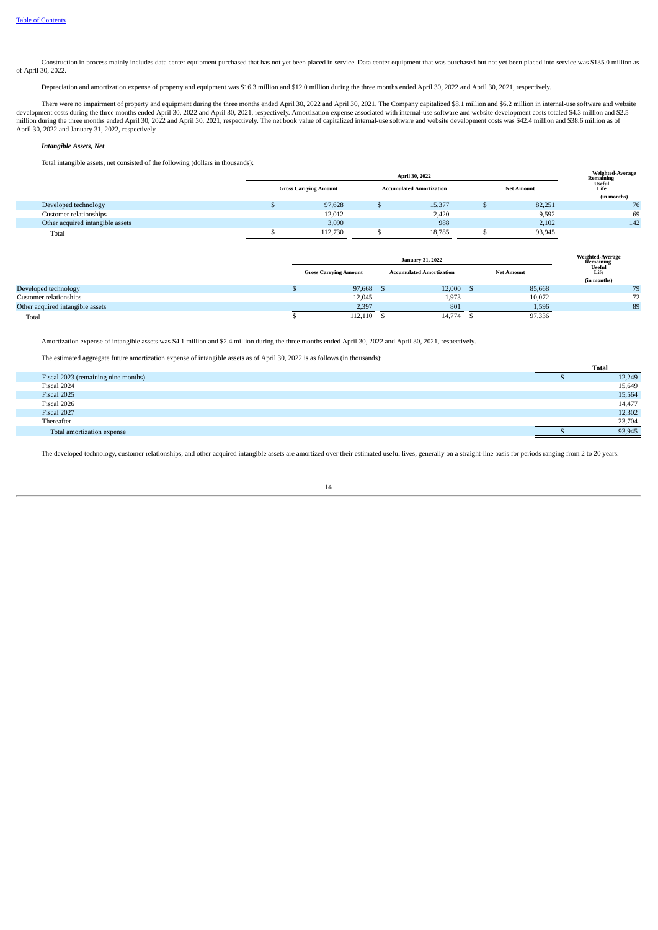Construction in process mainly includes data center equipment purchased that has not yet been placed in service. Data center equipment that was purchased but not yet been placed into service was \$135.0 million as of April 30, 2022.

Depreciation and amortization expense of property and equipment was \$16.3 million and \$12.0 million during the three months ended April 30, 2022 and April 30, 2021, respectively.

There were no impairment of property and equipment during the three months ended April 30, 2022 and April 30, 2022 and April 30, 2022 and April 30, 2022 and April 30, 2021, respectively. Amortization expense associated wit April 30, 2022 and January 31, 2022, respectively.

#### *Intangible Assets, Net*

Total intangible assets, net consisted of the following (dollars in thousands):

|                                  | April 30, 2022 |                              |  |                                 |  |                   | Weighted-Average<br>Remaining<br>Useful |
|----------------------------------|----------------|------------------------------|--|---------------------------------|--|-------------------|-----------------------------------------|
|                                  |                | <b>Gross Carrying Amount</b> |  | <b>Accumulated Amortization</b> |  | <b>Net Amount</b> | Life                                    |
|                                  |                |                              |  |                                 |  |                   | (in months)                             |
| Developed technology             |                | 97,628                       |  | 15,377                          |  | 82,251            | 76                                      |
| Customer relationships           |                | 12,012                       |  | 2,420                           |  | 9,592             | 69                                      |
| Other acquired intangible assets |                | 3,090                        |  | 988                             |  | 2,102             | 142                                     |
| Total                            |                | 112,730                      |  | 18,785                          |  | 93,945            |                                         |

|                                  |                              | <b>January 31, 2022</b> |                                                      |        |  | <b>Weighted-Average</b> |                             |
|----------------------------------|------------------------------|-------------------------|------------------------------------------------------|--------|--|-------------------------|-----------------------------|
|                                  | <b>Gross Carrying Amount</b> |                         | <b>Accumulated Amortization</b><br><b>Net Amount</b> |        |  |                         | Remaining<br>Useful<br>Life |
|                                  |                              |                         |                                                      |        |  |                         | (in months)                 |
| Developed technology             |                              | 97,668 \$               |                                                      | 12,000 |  | 85,668                  | 79                          |
| Customer relationships           |                              | 12,045                  |                                                      | 1,973  |  | 10,072                  | 72                          |
| Other acquired intangible assets |                              | 2,397                   |                                                      | 801    |  | 1,596                   | 89                          |
| Total                            |                              | 112,110                 |                                                      | 14,774 |  | 97,336                  |                             |

Amortization expense of intangible assets was \$4.1 million and \$2.4 million during the three months ended April 30, 2022 and April 30, 2021, respectively.

The estimated aggregate future amortization expense of intangible assets as of April 30, 2022 is as follows (in thousands):

|                                     | Total  |
|-------------------------------------|--------|
| Fiscal 2023 (remaining nine months) | 12,249 |
| Fiscal 2024                         | 15,649 |
| Fiscal 2025                         | 15,564 |
| Fiscal 2026                         | 14,477 |
| Fiscal 2027                         | 12,302 |
| Thereafter                          | 23,704 |
| Total amortization expense          | 93,945 |

The developed technology, customer relationships, and other acquired intangible assets are amortized over their estimated useful lives, generally on a straight-line basis for periods ranging from 2 to 20 years.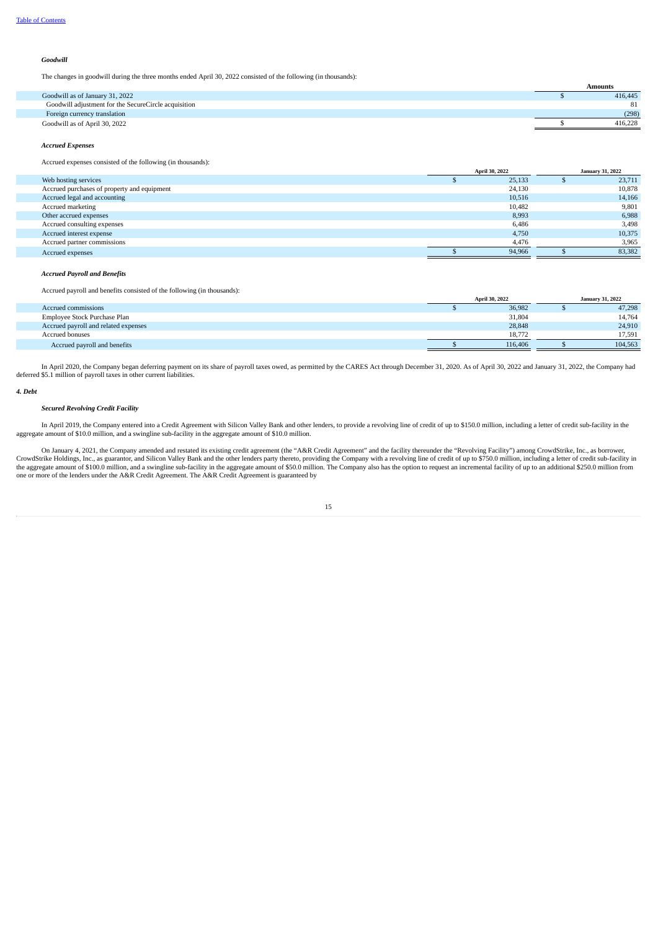#### *Goodwill*

The changes in goodwill during the three months ended April 30, 2022 consisted of the following (in thousands):

|                                                      | Amounts |
|------------------------------------------------------|---------|
| Goodwill as of January 31, 2022                      | 416,445 |
| Goodwill adjustment for the SecureCircle acquisition | 81      |
| Foreign currency translation                         | (298)   |
| Goodwill as of April 30, 2022                        | 416,228 |

#### *Accrued Expenses*

#### Accrued expenses consisted of the following (in thousands):

|                                             | April 30, 2022 |  | <b>January 31, 2022</b> |
|---------------------------------------------|----------------|--|-------------------------|
| Web hosting services                        | 25,133         |  | 23,711                  |
| Accrued purchases of property and equipment | 24,130         |  | 10,878                  |
| Accrued legal and accounting                | 10,516         |  | 14,166                  |
| Accrued marketing                           | 10,482         |  | 9,801                   |
| Other accrued expenses                      | 8,993          |  | 6,988                   |
| Accrued consulting expenses                 | 6,486          |  | 3,498                   |
| Accrued interest expense                    | 4,750          |  | 10,375                  |
| Accrued partner commissions                 | 4,476          |  | 3,965                   |
| Accrued expenses                            | 94,966         |  | 83,382                  |

#### *Accrued Payroll and Benefits*

Accrued payroll and benefits consisted of the following (in thousands):

|                                      | <b>April 30, 2022</b> | <b>January 31, 2022</b> |         |  |
|--------------------------------------|-----------------------|-------------------------|---------|--|
| Accrued commissions                  | 36,982                |                         | 47,298  |  |
| Employee Stock Purchase Plan         | 31,804                |                         | 14,764  |  |
| Accrued payroll and related expenses | 28,848                |                         | 24,910  |  |
| Accrued bonuses                      | 18.772                |                         | 17.591  |  |
| Accrued payroll and benefits         | 116,406               |                         | 104.563 |  |

In April 2020, the Company began deferring payment on its share of payroll taxes owed, as permitted by the CARES Act through December 31, 2020. As of April 30, 2022 and January 31, 2022, the Company had deferred \$5.1 milli

#### *4. Debt*

#### *Secured Revolving Credit Facility*

In April 2019, the Company entered into a Credit Agreement with Silicon Valley Bank and other lenders, to provide a revolving line of credit of up to \$150.0 million, including a letter of credit sub-facility in the aggregate amount of \$10.0 million, and a swingline sub-facility in the aggregate amount of \$10.0 million.

On January 4, 2021, the Company amended and restated its existing credit agreement (the "A&R Credit Agreement" and the facility thereunder the "Revolving Facility") among CrowdStrike, Inc., as borrower,<br>CrowdStrike Holding one or more of the lenders under the A&R Credit Agreement. The A&R Credit Agreement is guaranteed by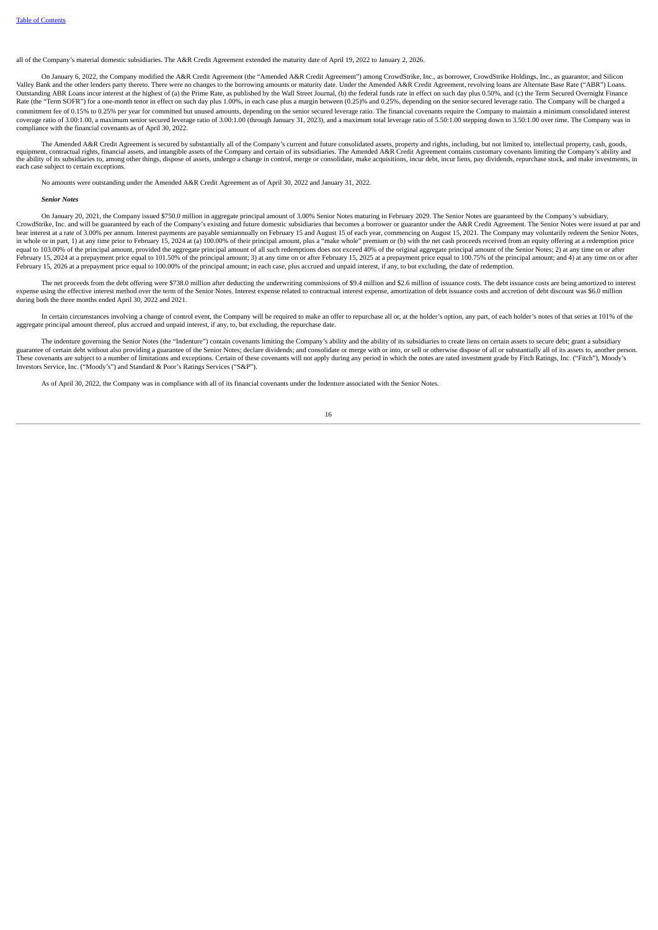all of the Company's material domestic subsidiaries. The A&R Credit Agreement extended the maturity date of April 19, 2022 to January 2, 2026.

On January 6, 2022, the Company modified the A&R Credit Agreement (the "Amended A&R Credit Agreement") among CrowdStrike, Inc., as borrower, CrowdStrike Holdings, Inc., as guarantor, and Silicon Valley Bank and the other lenders party thereto. There were no changes to the borrowing amounts or maturity date. Under the Amended A&R Credit Agreement, revolving loans are Alternate Base Rate ("ABR") Loans. Outstanding ABR Loans incur interest at the highest of (a) the Prime Rate, as published by the Wall Street Journal, (b) the federal funds rate in effect on such day plus 0.50%, and (c) the Term Secured Overnight Finance Rate (the "Term SOFR") for a one-month tenor in effect on such day plus 1.00%, in each case plus a margin between (0.25)% and 0.25%, depending on the senior secured leverage ratio. The Company will be charged a commitment fee of 0.15% to 0.25% per year for committed but unused amounts, depending on the senior secured leverage ratio. The financial covenants require the Company to maintain a minimum consolidated interest coverage ratio of 3.00:1.00, a maximum senior secured leverage ratio of 3.00:1.00 (through January 31, 2023), and a maximum total leverage ratio of 5.50:1.00 stepping down to 3.50:1.00 over time. The Company was in compliance with the financial covenants as of April 30, 2022.

The Amended A&R Credit Agreement is secured by substantially all of the Company's current and future consolidated assets, property and rights, including, but not limited to, intellectual property, cash, goods,<br>equipment, c the ability of its subsidiaries to, among other things, dispose of assets, undergo a change in control, merge or consolidate, make acquisitions, incur debt, incur liens, pay dividends, repurchase stock, and make investment each case subject to certain exception

No amounts were outstanding under the Amended A&R Credit Agreement as of April 30, 2022 and January 31, 2022.

#### *Senior Notes*

On January 20, 2021, the Company issued \$750.0 million in aggregate principal amount of 3.00% Senior Notes maturing in February 2029. The Senior Notes are guaranteed by the Company's subsidiary, CrowdStrike, Inc. and will be guaranteed by each of the Company's existing and future domestic subsidiaries that becomes a borrower or guarantor under the A&R Credit Agreement. The Senior Notes were issued at par and<br>bear in whole or in part, 1) at any time prior to February 15, 2024 at (a) 100.00% of their principal amount, plus a "make whole" premium or (b) with the net cash proceeds received from an equity offering at a redemption price equal to 103.00% of the principal amount, provided the aggregate principal amount of all such redemptions does not exceed 40% of the original aggregate principal amount of the Senior Notes; 2) at any time on or after<br>Febru February 15, 2026 at a prepayment price equal to 100.00% of the principal amount; in each case, plus accrued and unpaid interest, if any, to but excluding, the date of redemption.

The net proceeds from the debt offering were \$738.0 million after deducting the underwriting commissions of \$9.4 million and \$2.6 million of issuance costs. The debt issuance costs are being amortized to interest expense using the effective interest method over the term of the Senior Notes. Interest expense related to contractual interest expense, amortization of debt issuance costs and accretion of debt discount was \$6.0 million during both the three months ended April 30, 2022 and 2021.

In certain circumstances involving a change of control event, the Company will be required to make an offer to repurchase all or, at the holder's option, any part, of each holder's notes of that series at 101% of the aggregate principal amount thereof, plus accrued and unpaid interest, if any, to, but excluding, the repurchase date.

The indenture governing the Senior Notes (the "Indenture") contain covenants limiting the Company's ability and the ability of its subsidiaries to create liens on certain assets to secure debt; grant a subsidiary guarantee of certain debt without also providing a guarantee of the Senior Notes; declare dividends; and consolidate or merge with or into, or sell or otherwise dispose of all or substantially all of its assets to, another These covenants are subject to a number of limitations and exceptions. Certain of these covenants will not apply during any period in which the notes are rated investment grade by Fitch Ratings, Inc. ("Fitch"), Moody's Investors Service, Inc. ("Moody's") and Standard & Poor's Ratings Services ("S&P").

As of April 30, 2022, the Company was in compliance with all of its financial covenants under the Indenture associated with the Senior Notes.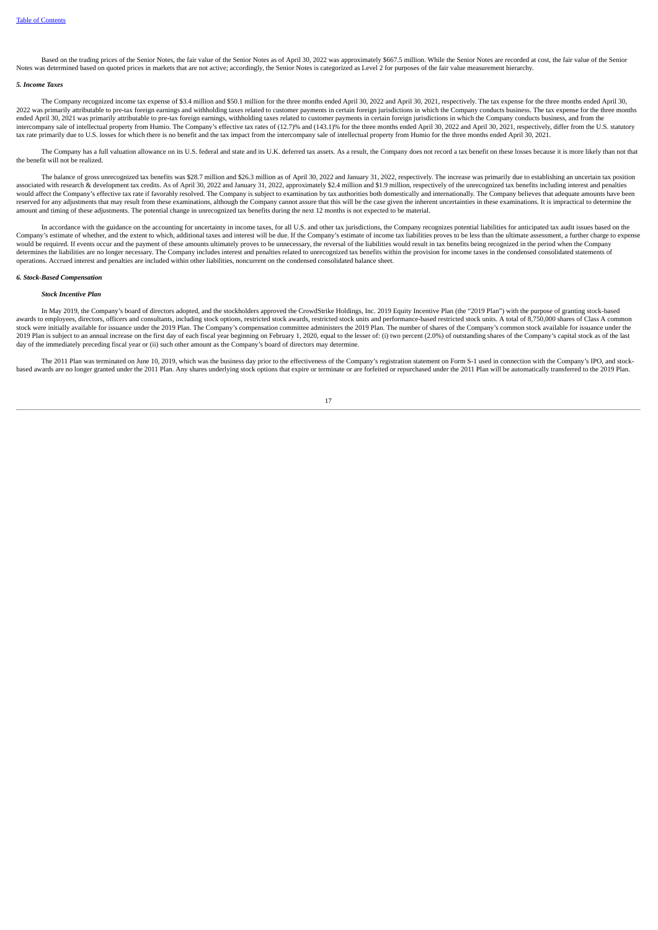Based on the trading prices of the Senior Notes, the fair value of the Senior Notes as of April 30, 2022 was approximately \$667.5 million. While the Senior Notes are recorded at cost, the fair value of the Senior Notes was determined based on quoted prices in markets that are not active; accordingly, the Senior Notes is categorized as Level 2 for purposes of the fair value measurement hierarchy.

#### *5. Income Taxes*

The Company recognized income tax expense of \$3.4 million and \$50.1 million for the three months ended April 30, 2022 and April 30, 2021, respectively. The tax expense for the three months ended April 30, 2022 was primarily attributable to pre-tax foreign earnings and withholding taxes related to customer payments in certain foreign jurisdictions in which the Company conducts business. The tax expense for the three months ended April 30, 2021 was primarily attributable to pre-tax foreign earnings, withholding taxes related to customer payments in certain foreign jurisdictions in which the Company conducts business, and from the ended April intercompany sale of intellectual property from Humio. The Company's effective tax rates of (12.7)% and (143.1)% for the three months ended April 30, 2022 and April 30, 2021, respectively, differ from the U.S. statutory tax rate primarily due to U.S. losses for which there is no benefit and the tax impact from the intercompany sale of intellectual property from Humio for the three months ended April 30, 2021.

The Company has a full valuation allowance on its U.S. federal and state and its U.K. deferred tax assets. As a result, the Company does not record a tax benefit on these losses because it is more likely than not that the benefit will not be realized.

The balance of gross unrecognized tax benefits was \$28.7 million and \$26.3 million as of April 30, 2022 and January 31, 2022, respectively. The increase was primarily due to establishing an uncertain tax position associated with research & development tax credits. As of April 30, 2022 and January 31, 2022, approximately \$2.4 million and \$1.9 million, respectively of the unrecognized tax benefits including interest and penalties would affect the Company's effective tax rate if favorably resolved. The Company is subject to examination by tax authorities both domestically and internationally. The Company believes that adequate amounts have been<br>rese amount and timing of these adjustments. The potential change in unrecognized tax benefits during the next 12 months is not expected to be material.

In accordance with the guidance on the accounting for uncertainty in income taxes, for all U.S. and other tax jurisdictions, the Company recognizes potential liabilities for anticipated tax audit issues based on the Company's estimate of income tax liabilities proves to be less than the ultimate assessment, a further charge to expense would be required. If events occur and the payment of these amounts ultimately proves to be unnecessary, the reversal of the liabilities would result in tax benefits being recognized in the period when the Company Notation in the liabilities are no longer necessary. The Company includes interest and penalties related to unrecognized tax benefits within the provision for income taxes in the condensed consolidated statements of determ operations. Accrued interest and penalties are included within other liabilities, noncurrent on the condensed consolidated balance sheet.

#### *6. Stock-Based Compensation*

#### *Stock Incentive Plan*

In May 2019, the Company's board of directors adopted, and the stockholders approved the CrowdStrike Holdings, Inc. 2019 Equity Incentive Plan (the "2019 Plan") with the purpose of granting stock-based awards to employees, directors, officers and consultants, including stock options, restricted stock awards, restricted stock units and performance-based restricted stock units. A total of 8,750,000 shares of Class A common stock were initially available for issuance under the 2019 Plan. The Company's compensation committee administers the 2019 Plan. The number of shares of the Company's common stock available for issuance under the 2019 Plan is subject to an annual increase on the first day of each fiscal verbeting in February 3 company scenarios can experiment on February 1. 2020, equal to the lesser of: (i) two percent (2.0%) of outstanding shares day of the immediately preceding fiscal year or (ii) such other amount as the Company's board of directors may determine.

The 2011 Plan was terminated on June 10, 2019, which was the business day prior to the effectiveness of the Company's registration statement on Form S-1 used in connection with the Company's IPO, and stock-<br>based awards ar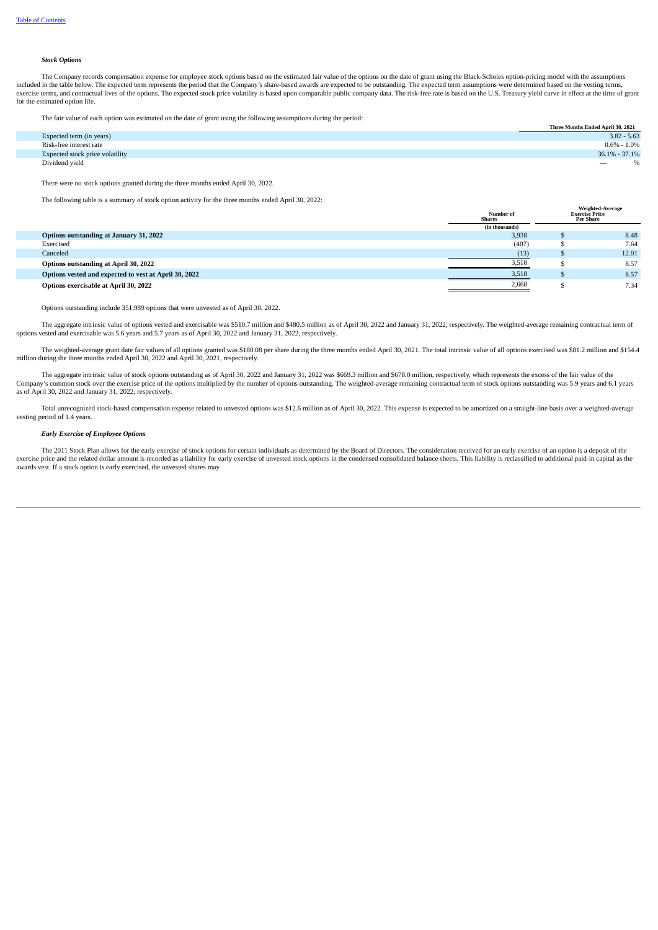#### *Stock Options*

The Company records compensation expense for employee stock options based on the estimated fair value of the options on the date of grant using the Black-Scholes option-pricing model with the assumptions were determined ba exercise terms, and contractual lives of the options. The expected stock price volatility is based upon comparable public company data. The risk-free rate is based on the U.S. Treasury vield curve in effect at the time of for the estimated option life.

The fair value of each option was estimated on the date of grant using the following assumptions during the period:

|                                 | Three Months Ended April 30, 2021 |
|---------------------------------|-----------------------------------|
| Expected term (in years)        | $3.82 - 5.63$                     |
| Risk-free interest rate         | $0.6\% - 1.0\%$                   |
| Expected stock price volatility | $36.1\% - 37.1\%$                 |
| Dividend vield                  | $\overline{\phantom{a}}$          |

There were no stock options granted during the three months ended April 30, 2022.

The following table is a summary of stock option activity for the three months ended April 30, 2022:

|                                                       | Number of<br><b>Shares</b> | Weighted-Average<br><b>Exercise Price</b><br>Per Share |
|-------------------------------------------------------|----------------------------|--------------------------------------------------------|
|                                                       | (in thousands)             |                                                        |
| Options outstanding at January 31, 2022               | 3,938                      | 8.48                                                   |
| Exercised                                             | (407)                      | 7.64                                                   |
| Canceled                                              | (13)                       | 12.01                                                  |
| Options outstanding at April 30, 2022                 | 3,518                      | 8.57                                                   |
| Options vested and expected to vest at April 30, 2022 | 3,518                      | 8.57                                                   |
| Options exercisable at April 30, 2022                 | 2,668                      | 7.34                                                   |

Options outstanding include 351,989 options that were unvested as of April 30, 2022.

The aggregate intrinsic value of options vested and exercisable was \$510.7 million and \$480.5 million as of April 30, 2022 and January 31, 2022, respectively. The weighted-average remaining contractual term of options vested and exercisable was 5.6 years and 5.7 years as of April 30, 2022 and January 31, 2022, respectively.

The weighted-average grant date fair values of all options granted was \$180.08 per share during the three months ended April 30, 2021. The total intrinsic value of all options exercised was \$81.2 million and \$154.4 million during the three months ended April 30, 2022 and April 30, 2021, respectively.

The aggregate intrinsic value of stock options outstanding as of April 30, 2022 and January 31, 2022 was \$669.3 million and \$678.0 million, respectively, which represents the excess of the fair value of the Company's common stock over the exercise price of the options multiplied by the number of options outstanding. The weighted-average remaining contractual term of stock options outstanding was 5.9 years and 6.1 years as of April 30, 2022 and January 31, 2022, respectively.

Total unrecognized stock-based compensation expense related to unvested options was \$12.6 million as of April 30, 2022. This expense is expected to be amortized on a straight-line basis over a weighted-average vesting period of 1.4 years.

#### *Early Exercise of Employee Options*

The 2011 Stock Plan allows for the early exercise of stock options for certain individuals as determined by the Board of Directors. The consideration received for an early exercise of an option is a deposit of the exercise price and the related dollar amount is recorded as a liability for early exercise of unvested stock options in the condensed consolidated balance sheets. This liability is reclassified to additional paid-in capita awards vest. If a stock option is early exercised, the unvested shares may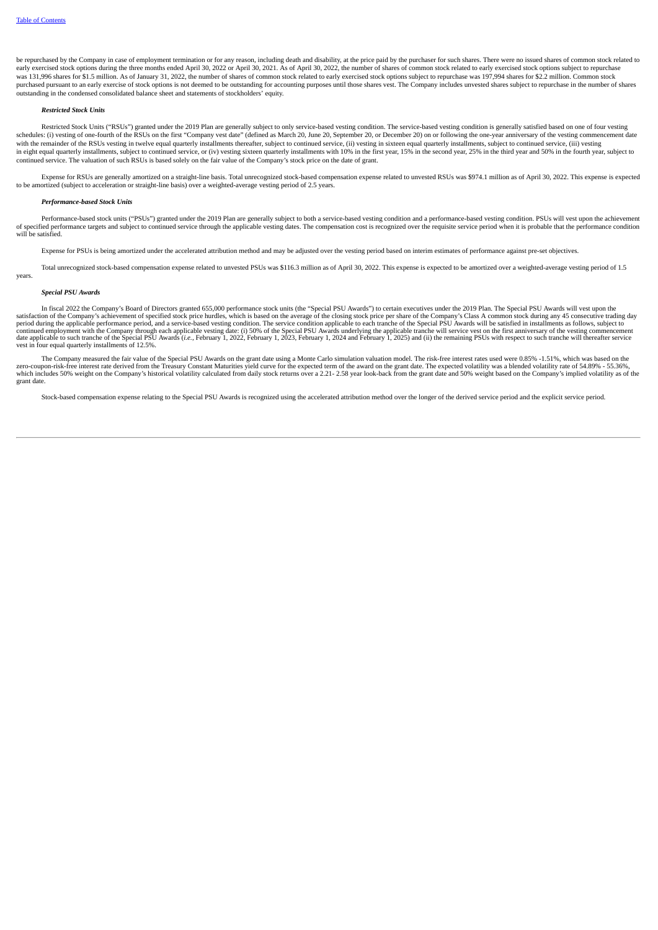be repurchased by the Company in case of employment termination or for any reason, including death and disability, at the price paid by the purchaser for such shares. There were no issued shares of common stock related to early exercised stock options during the three months ended April 30, 2022 or April 30, 2021. As of April 30, 2022, the number of shares of common stock related to early exercised stock options subject to repurchase was 131,996 shares for \$1.5 million. As of January 31, 2022, the number of shares of common stock related to early exercised stock options subject to repurchase was 197,994 shares for \$2.2 million. Common stock purchased pursuant to an early exercise of stock options is not deemed to be outstanding for accounting purposes until those shares vest. The Company includes unvested shares subject to repurchase in the number of shares outstanding in the condensed consolidated balance sheet and statements of stockholders' equity.

#### *Restricted Stock Units*

Restricted Stock Units ("RSUs") granted under the 2019 Plan are generally subject to only service-based vesting condition. The service-based vesting condition is generally satisfied based on one of four vesting schedules: (i) vesting of one-fourth of the RSUs on the first "Company vest date" (defined as March 20, June 20, September 20, or December 20) on or following the one-year anniversary of the vesting commencement date<br>with in eight equal quarterly installments, subject to continued service, or (iv) vesting sixteen quarterly installments with 10% in the first year, 15% in the second year, 25% in the third year and 50% in the fourth year, subj continued service. The valuation of such RSUs is based solely on the fair value of the Company's stock price on the date of grant.

Expense for RSUs are generally amortized on a straight-line basis. Total unrecognized stock-based compensation expense related to unvested RSUs was \$974.1 million as of April 30, 2022. This expense is expected to be amortized (subject to acceleration or straight-line basis) over a weighted-average vesting period of 2.5 years.

#### *Performance-based Stock Units*

Performance-based stock units ("PSUs") granted under the 2019 Plan are generally subject to both a service-based vesting condition and a performance-based vesting condition. PSUs will vest upon the achievement of specified will be satisfied.

Expense for PSUs is being amortized under the accelerated attribution method and may be adjusted over the vesting period based on interim estimates of performance against pre-set objectives.

Total unrecognized stock-based compensation expense related to unvested PSUs was \$116.3 million as of April 30, 2022. This expense is expected to be amortized over a weighted-average vesting period of 1.5 years.

#### *Special PSU Awards*

In fiscal 2022 the Company's Board of Directors granted 655,000 performance stock units (the "Special PSU Awards") to certain executives under the 2019 Plan. The Special PSU Awards will vest upon the satisfaction of the Co continued employment with the Company through each applicable vesting date: (i) 50% of the Special PSU Awards underlying the applicable tranche will service vest on the first anniversary of the vesting commencement<br>date ap vest in four equal quarterly installments of 12.5%.

The Company measured the fair value of the Special PSU Awards on the grant date using a Monte Carlo simulation valuation model. The risk-free interest rates used were 0.85% -1.51%, which was based on the exerced on the cro grant date.

Stock-based compensation expense relating to the Special PSU Awards is recognized using the accelerated attribution method over the longer of the derived service period and the explicit service period.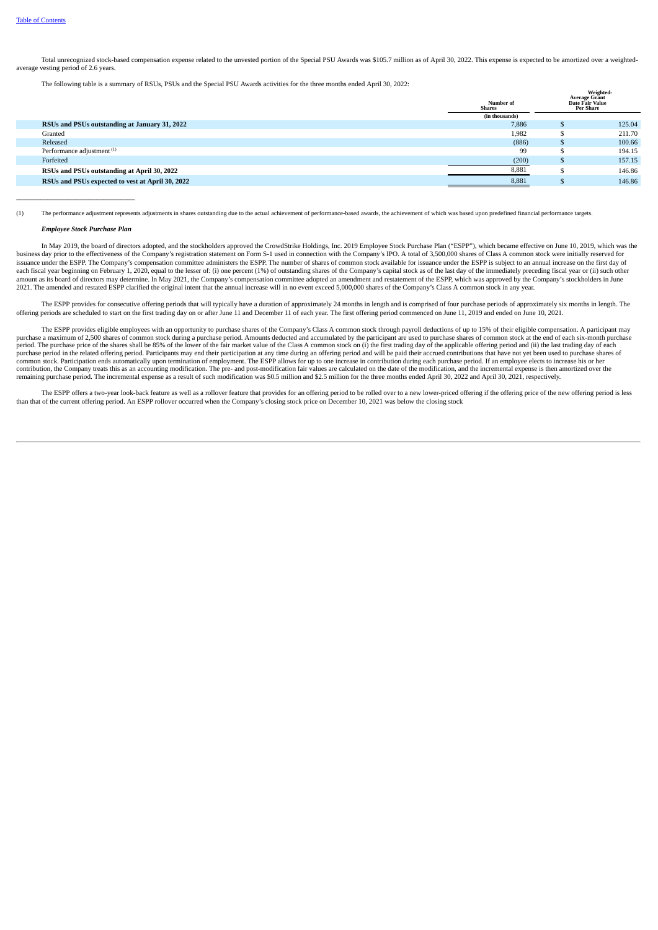Total unrecognized stock-based compensation expense related to the unvested portion of the Special PSU Awards was \$105.7 million as of April 30, 2022. This expense is expected to be amortized over a weightedaverage vesting period of 2.6 years.

The following table is a summary of RSUs, PSUs and the Special PSU Awards activities for the three months ended April 30, 2022:

|                                                  | Number of<br><b>Shares</b> | Weighted-<br><b>Average Grant</b><br>Date Fair Value<br><b>Per Share</b> |
|--------------------------------------------------|----------------------------|--------------------------------------------------------------------------|
|                                                  | (in thousands)             |                                                                          |
| RSUs and PSUs outstanding at January 31, 2022    | 7,886                      | 125.04                                                                   |
| Granted                                          | 1,982                      | 211.70                                                                   |
| Released                                         | (886)                      | 100.66                                                                   |
| Performance adjustment <sup>(1)</sup>            | 99                         | 194.15                                                                   |
| Forfeited                                        | (200)                      | 157.15                                                                   |
| RSUs and PSUs outstanding at April 30, 2022      | 8,881                      | 146.86                                                                   |
| RSUs and PSUs expected to vest at April 30, 2022 | 8,881                      | 146.86                                                                   |

(1) The performance adjustment represents adjustments in shares outstanding due to the actual achievement of performance-based awards, the achievement of which was based upon predefined financial performance targets.

#### *Employee Stock Purchase Plan*

**\_\_\_\_\_\_\_\_\_\_\_\_\_\_\_\_\_\_\_\_\_\_\_\_\_\_\_\_\_\_\_\_\_\_**

In May 2019, the board of directors adopted, and the stockholders approved the CrowdStrike Holdings, Inc. 2019 Employee Stock Purchase Plan ("ESPP"), which became effective on June 10, 2019, which was the business day prior to the effectiveness of the Company's registration statement on Form S-1 used in connection with the Company's IPO. A total of 3,500,000 shares of Class A common stock were initially reserved for issuance under the ESPP. The Company's compensation committee administers the ESPP. The number of shares of common stock available for issuance under the ESPP is subject to an annual increase on the first day of each fiscal year beginning on February 1, 2020, equal to the lesser of: (i) one percent (1%) of outstanding shares of the Company's capital stock as of the last day of the immediately preceding fiscal year or (ii) such oth amount as its board of directors may determine. In May 2021, the Company's compensation committee adopted an amendment and restatement of the ESPP, which was approved by the Company's stockholders in June 2021. The amended and restated ESPP clarified the original intent that the annual increase will in no event exceed 5,000,000 shares of the Company's Class A common stock in any year.

The ESPP provides for consecutive offering periods that will typically have a duration of approximately 24 months in length and is comprised of four purchase periods of approximately six months in length. The first offerin

The ESPP provides eligible employees with an opportunity to purchase shares of the Company's Class A common stock through payroll deductions of up to 15% of their eligible compensation. A participant may<br>purchase a maximum period. The purchase price of the shares shall be 85% of the lower of the fair market value of the Class A common stock on (i) the first trading day of the applicable offering period and (ii) the last trading day of each<br>p common stock. Participation ends automatically upon termination of employment. The ESPP allows for up to one increase in contribution during each purchase period. If an employee elects to increase his or her<br>contribution, remaining purchase period. The incremental expense as a result of such modification was \$0.5 million and \$2.5 million for the three months ended April 30, 2022 and April 30, 2021, respectively.

The ESPP offers a two-year look-back feature as well as a rollover feature that provides for an offering period to be rolled over to a new lower-priced offering if the offering price of the new offering period is less than that of the current offering period. An ESPP rollover occurred when the Company's closing stock price on December 10, 2021 was below the closing stock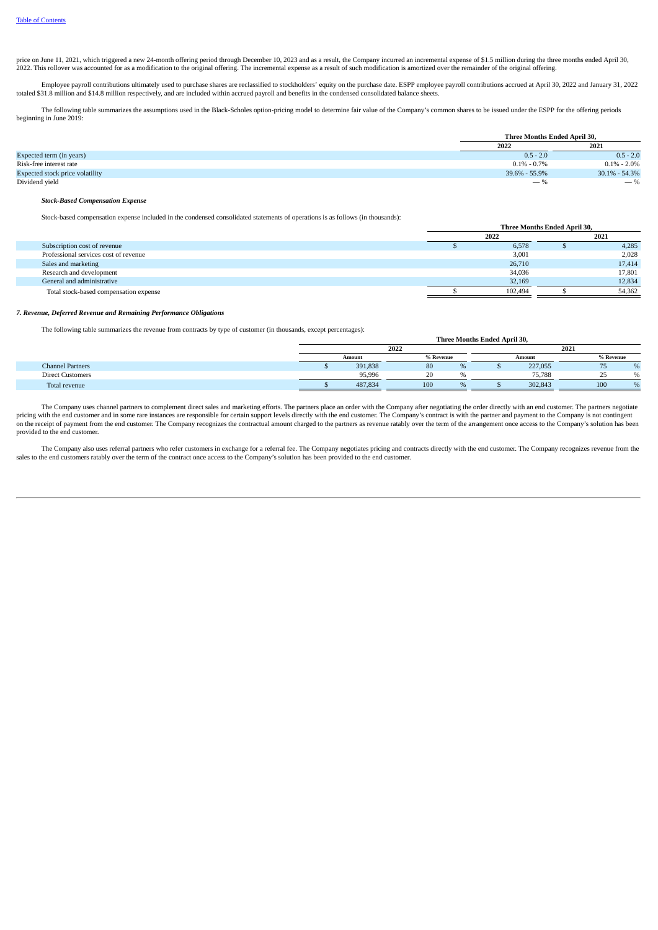price on June 11, 2021, which triggered a new 24-month offering period through December 10, 2023 and as a result, the Company incurred an incremental expense of \$1.5 million during the three months ended April 30,<br>2022. Th

Employee payroll contributions ultimately used to purchase shares are reclassified to stockholders' equity on the purchase date. ESPP employee payroll contributions accrued at April 30, 2022 and January 31, 2022 totaled \$31.8 million and \$14.8 million respectively, and are included within accrued payroll and benefits in the condensed consolidated balance sheets.

The following table summarizes the assumptions used in the Black-Scholes option-pricing model to determine fair value of the Company's common shares to be issued under the ESPP for the offering periods beginning in June 2019:

|                                        | Three Months Ended April 30. |                 |
|----------------------------------------|------------------------------|-----------------|
|                                        | 2022                         | 2021            |
| Expected term (in years)               | $0.5 - 2.0$                  | $0.5 - 2.0$     |
| Risk-free interest rate                | $0.1\%$ - $0.7\%$            | $0.1\% - 2.0\%$ |
| <b>Expected stock price volatility</b> | 39.6% - 55.9%                | 30.1% - 54.3%   |
| Dividend yield                         | $-$ %                        | $-$ %           |

#### *Stock-Based Compensation Expense*

Stock-based compensation expense included in the condensed consolidated statements of operations is as follows (in thousands):

|                                        | Three Months Ended April 30, |         |  |        |
|----------------------------------------|------------------------------|---------|--|--------|
|                                        |                              | 2022    |  | 2021   |
| Subscription cost of revenue           |                              | 6,578   |  | 4,285  |
| Professional services cost of revenue  |                              | 3,001   |  | 2,028  |
| Sales and marketing                    |                              | 26,710  |  | 17,414 |
| Research and development               |                              | 34,036  |  | 17,801 |
| General and administrative             |                              | 32,169  |  | 12,834 |
| Total stock-based compensation expense |                              | 102.494 |  | 54,362 |

#### *7. Revenue, Deferred Revenue and Remaining Performance Obligations*

The following table summarizes the revenue from contracts by type of customer (in thousands, except percentages):

|                         | 2022   |         |           |  |        |         | 2021                     |               |
|-------------------------|--------|---------|-----------|--|--------|---------|--------------------------|---------------|
|                         | Amount |         | % Revenue |  | Amount |         | % Revenue                |               |
| <b>Channel Partners</b> |        | 391,838 | υu        |  |        | 227,055 | $\overline{\phantom{a}}$ |               |
| <b>Direct Customers</b> |        | 95.996  |           |  |        | 75.788  | ر ے                      | $\mathcal{L}$ |
| Total revenue           |        | 487,834 | 100       |  |        | 302,843 | 100                      |               |

**Three Months Ended April 30,**

The Company uses channel partners to complement direct sales and marketing efforts. The partners place an order with the Company after negotiating the order directly with an end customer. The partners negotiate pricing with the end customer and in some rare instances are responsible for certain support levels directly with the end customer. The Company's contract is with the partner and payment to the Company is not contingent pr on the receipt of payment from the end customer. The Company recognizes the contractual amount charged to the partners as revenue ratably over the term of the arrangement once access to the Company's solution has been provided to the end customer.

The Company also uses referral partners who refer customers in exchange for a referral fee. The Company negotiates pricing and contracts directly with the end customer. The Company recognizes revenue from the sales to the end customers ratably over the term of the contract once access to the Company's solution has been provided to the end customer.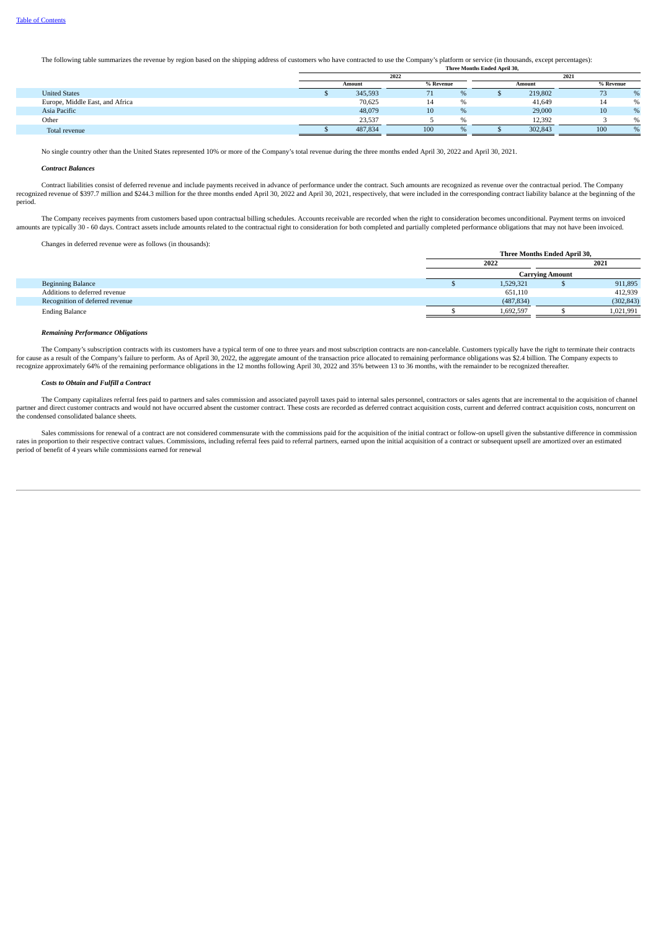The following table summarizes the revenue by region based on the shipping address of customers who have contracted to use the Company's platform or service (in thousands, except percentages): **Three Months Ended April 30,**

|                                 | 2022   |         |           |  | 2021    |           |              |  |
|---------------------------------|--------|---------|-----------|--|---------|-----------|--------------|--|
|                                 | Amount |         | % Revenue |  | Amount  | % Revenue |              |  |
| <b>United States</b>            |        | 345,593 | $\Omega$  |  | 219,802 | ر ،       |              |  |
| Europe, Middle East, and Africa |        | 70,625  | -14       |  | 41,649  | 14        | %            |  |
| Asia Pacific                    |        | 48,079  | 10        |  | 29,000  | 10        | 0/2          |  |
| Other                           |        | 23,537  |           |  | 12.392  |           | 0/2          |  |
| Total revenue                   |        | 487,834 | 100<br>O  |  | 302.843 | 100       | $O_{\alpha}$ |  |

No single country other than the United States represented 10% or more of the Company's total revenue during the three months ended April 30, 2022 and April 30, 2021.

#### *Contract Balances*

Contract liabilities consist of deferred revenue and include payments received in advance of performance under the contract. Such amounts are recognized as revenue over the contractual period. The Company recognized revenue of \$397.7 million and \$244.3 million for the three months ended April 30, 2022 and April 30, 2021, respectively, that were included in the corresponding contract liability balance at the beginning of the period.

The Company receives payments from customers based upon contractual billing schedules. Accounts receivable are recorded when the right to consideration becomes unconditional. Payment terms on invoiced and partially somplet

Changes in deferred revenue were as follows (in thousands):

| Changes in acterica revenue were as follows (in diodounds). |                              |            |  |            |  |
|-------------------------------------------------------------|------------------------------|------------|--|------------|--|
|                                                             | Three Months Ended April 30, |            |  |            |  |
|                                                             |                              | 2022       |  | 2021       |  |
|                                                             | <b>Carrying Amount</b>       |            |  |            |  |
| <b>Beginning Balance</b>                                    |                              | 1,529,321  |  | 911,895    |  |
| Additions to deferred revenue                               |                              | 651,110    |  | 412,939    |  |
| Recognition of deferred revenue                             |                              | (487, 834) |  | (302, 843) |  |
| <b>Ending Balance</b>                                       |                              | 1,692,597  |  | 1,021,991  |  |

#### *Remaining Performance Obligations*

The Company's subscription contracts with its customers have a typical term of one to three years and most subscription contracts are non-cancelable. Customers typically have the right to terminate their contracts for cause as a result of the Company's failure to perform. As of April 30, 2022, the aggregate amount of the transaction price allocated to remaining performance obligations was \$2.4 billion. The Company expects to<br>recogni

#### *Costs to Obtain and Fulfill a Contract*

The Company capitalizes referral fees paid to partners and sales commission and associated payroll taxes paid to internal sales personnel, contractors or sales agents that are incremental to the acquisition of channel partner and direct customer contracts and would not have occurred absent the customer contract. These costs are recorded as deferred contract acquisition costs, current and deferred contract acquisition costs, noncurrent o the condensed consolidated balance sheets.

Sales commissions for renewal of a contract are not considered commensurate with the commissions paid for the acquisition of the initial contract or follow-on upsell given the substantive difference in commission rates in proportion to their respective contract values. Commissions, including referral fees paid to referral partners, earned upon the initial acquisition of a contract or subsequent upsell are amortized over an estimated period of benefit of 4 years while commissions earned for renewal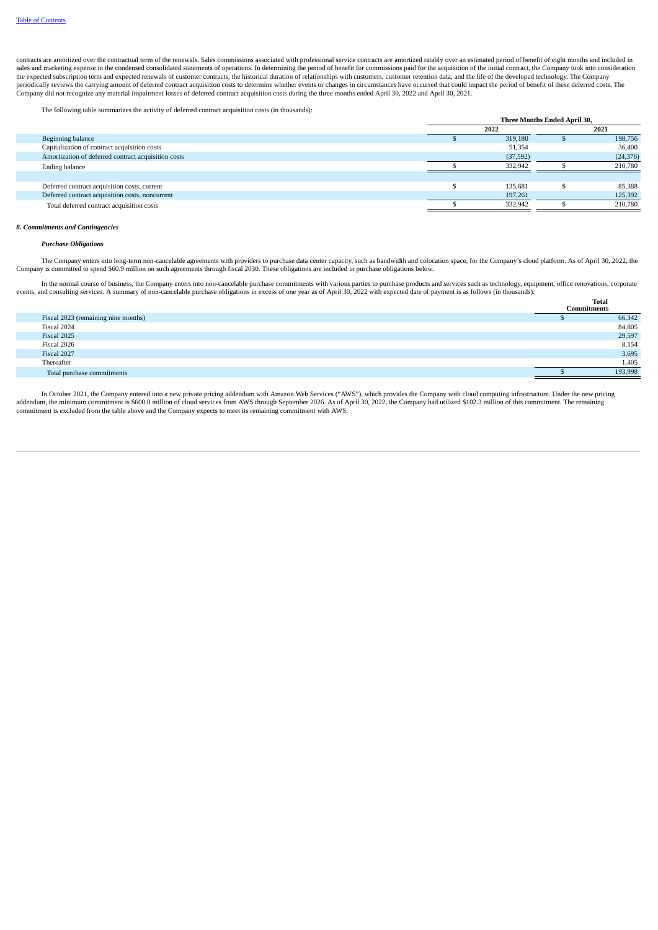contracts are amortized over the contractual term of the renewals. Sales commissions associated with professional service contracts are amortized ratably over an estimated period of benefit of eight months and included in sales and marketing expense in the condensed consolidated statements of operations. In determining the period of benefit for commissions paid for the acquisition of the initial contract, the Company took into consideration the expected subscription term and expected renewals of customer contracts, the historical duration of relationships with customers, customer retention data, and the life of the developed technology. The Company periodical

The following table summarizes the activity of deferred contract acquisition costs (in thousands):

|                                                     | Three Months Ended April 30, |           |  |           |  |  |
|-----------------------------------------------------|------------------------------|-----------|--|-----------|--|--|
|                                                     |                              | 2022      |  | 2021      |  |  |
| Beginning balance                                   |                              | 319,180   |  | 198,756   |  |  |
| Capitalization of contract acquisition costs        |                              | 51,354    |  | 36,400    |  |  |
| Amortization of deferred contract acquisition costs |                              | (37, 592) |  | (24, 376) |  |  |
| Ending balance                                      |                              | 332,942   |  | 210,780   |  |  |
|                                                     |                              |           |  |           |  |  |
| Deferred contract acquisition costs, current        |                              | 135.681   |  | 85,388    |  |  |
| Deferred contract acquisition costs, noncurrent     |                              | 197,261   |  | 125,392   |  |  |
| Total deferred contract acquisition costs           |                              | 332,942   |  | 210,780   |  |  |
|                                                     |                              |           |  |           |  |  |

#### *8. Commitments and Contingencies*

#### *Purchase Obligations*

The Company enters into long-term non-cancelable agreements with providers to purchase data center capacity, such as bandwidth and colocation space, for the Company's cloud platform. As of April 30, 2022, the Company is committed to spend \$60.9 million on such agreements through fiscal 2030. These obligations are included in purchase obligations below.

In the normal course of business, the Company enters into non-cancelable purchase commitments with various parties to purchase products and services such as technology, equipment, office renovations, corporate events, and consulting services. A summary of non-cancelable purchase obligations in excess of one year as of April 30, 2022 with expected date of payment is as follows (in thousands):  $\alpha_{\text{e}}$ 

|                                     | <b>Commitments</b> | Total   |
|-------------------------------------|--------------------|---------|
| Fiscal 2023 (remaining nine months) |                    | 66,342  |
| Fiscal 2024                         |                    | 84,805  |
| Fiscal 2025                         |                    | 29,597  |
| Fiscal 2026                         |                    | 8,154   |
| Fiscal 2027                         |                    | 3,695   |
| Thereafter                          |                    | 1,405   |
| Total purchase commitments          |                    | 193,998 |

In October 2021, the Company entered into a new private pricing addendum with Amazon Web Services ("AWS"), which provides the Company with cloud computing infrastructure. Under the new pricing addendum, the minimum commitment is \$600.0 million of cloud services from AWS through September 2026. As of April 30, 2022, the Company had utilized \$102.3 million of this commitment. The remaining commitment is excluded from the table above and the Company expects to meet its remaining commitment with AWS.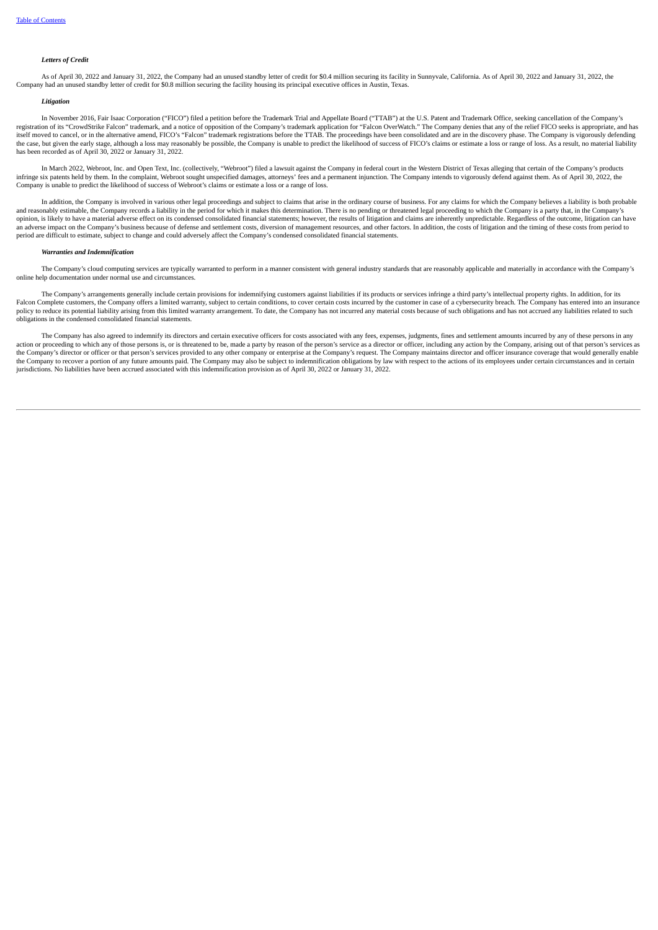#### *Letters of Credit*

As of April 30, 2022 and January 31, 2022, the Company had an unused standby letter of credit for \$0.4 million securing its facility in Sunnyvale, California. As of April 30, 2022 and January 31, 2022, the Company had an unused standby letter of credit for \$0.8 million securing the facility housing its principal executive offices in Austin, Texas.

#### *Litigation*

In November 2016, Fair Isaac Corporation ("FICO") filed a petition before the Trademark Trial and Appellate Board ("TTAB") at the U.S. Patent and Trademark Office, seeking cancellation of the Company's registration of its "CrowdStrike Falcon" trademark, and a notice of opposition of the Company's trademark application for "Falcon OverWatch." The Company denies that any of the relief FICO seeks is appropriate, and has itself moved to cancel, or in the alternative amend, FICO's "Falcon" trademark registrations before the TTAB. The proceedings have been consolidated and are in the discovery phase. The Company is vigorously defending<br>the c has been recorded as of April 30, 2022 or January 31, 2022.

In March 2022, Webroot, Inc. and Open Text, Inc. (collectively, "Webroot") filed a lawsuit against the Company in federal court in the Western District of Texas alleging that certain of the Company's products infringe six patents held by them. In the complaint, Webroot sought unspecified damages, attorneys' fees and a permanent injunction. The Company intends to vigorously defend against them. As of April 30, 2022, the Company is unable to predict the likelihood of success of Webroot's claims or estimate a loss or a range of loss.

In addition, the Company is involved in various other legal proceedings and subject to claims that arise in the ordinary course of business. For any claims for which the Company believes a liability is both probable and reasonably estimable, the Company records a liability in the period for which it makes this determination. There is no pending or threatened legal proceeding to which the Company's a party that, in the Company's opinion, is likely to have a material adverse effect on its condensed consolidated financial statements; however, the results of litigation and claims are inherently unpredictable. Regardless of the outcome, litigation can period are difficult to estimate, subject to change and could adversely affect the Company's condensed consolidated financial statements.

#### *Warranties and Indemnification*

The Company's cloud computing services are typically warranted to perform in a manner consistent with general industry standards that are reasonably applicable and materially in accordance with the Company's online help documentation under normal use and circumstances.

The Company's arrangements generally include certain provisions for indemnifying customers against liabilities if its products or services infringe a third party's intellectual property rights. In addition, for its Falcon Complete customers, the Company offers a limited warranty, subject to certain conditions, to cover certain costs incurred by the customer in case of a cybersecurity breach. The Company has entered into an insurance policy to reduce its potential liability arising from this limited warranty arrangement. To date, the Company has not incurred any material costs because of such obligations and has not accrued any liabilities related to s obligations in the condensed consolidated financial statements.

The Company has also agreed to indemnify its directors and certain executive officers for costs associated with any fees, expenses, judgments, fines and settlement amounts incurred by any of these persons in any action or proceeding to which any of those persons is, or is threatened to be, made a party by reason of the person's service as a director or officer, including any action by the Company, arising out of that person's serv the Company's director or officer or that person's services provided to any other company or enterprise at the Company's request. The Company maintains director and officer insurance coverage that would generally enable the Company to recover a portion of any future amounts paid. The Company may also be subject to indemnification obligations by law with respect to the actions of its employees under certain circumstances and in certain jurisdictions. No liabilities have been accrued associated with this indemnification provision as of April 30, 2022 or January 31, 2022.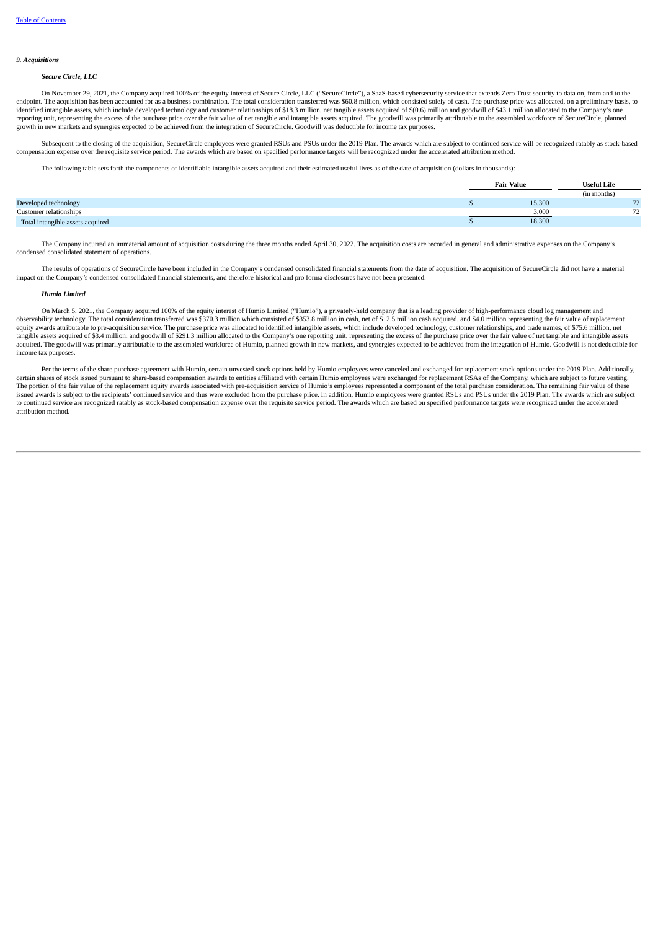#### *9. Acquisitions*

#### *Secure Circle, LLC*

On November 29, 2021, the Company acquired 100% of the equity interest of Secure Circle, LLC ("SecureCircle"), a SaaS-based cybersecurity service that extends Zero Trust security to data on, from and to the endpoint. The acquisition has been accounted for as a business combination. The total consideration transferred was \$60.8 million, which consisted solely of cash. The purchase price was allocated, on a preliminary basis, to identified intangible assets, which include developed technology and customer relationships of \$18.3 million, net tangible assets acquired of \$(0.6) million and goodwill of \$43.1 million allocated to the Company's one<br>repo growth in new markets and synergies expected to be achieved from the integration of SecureCircle. Goodwill was deductible for income tax purposes.

Subsequent to the closing of the acquisition, SecureCircle employees were granted RSUs and PSUs under the 2019 Plan. The awards which are subject to continued service will be recognized ratably as stock-based compensation expense over the requisite service period. The awards which are based on specified performance targets will be recognized under the accelerated attribution method.

The following table sets forth the components of identifiable intangible assets acquired and their estimated useful lives as of the date of acquisition (dollars in thousands):

|                                  | <b>Fair Value</b> | <b>Useful Life</b> |
|----------------------------------|-------------------|--------------------|
|                                  |                   | (in months)        |
| Developed technology             | 15,300            | 72                 |
| Customer relationships           | 3,000             | 72                 |
| Total intangible assets acquired | 18,300            |                    |

The Company incurred an immaterial amount of acquisition costs during the three months ended April 30, 2022. The acquisition costs are recorded in general and administrative expenses on the Company's condensed consolidated statement of operations.

The results of operations of SecureCircle have been included in the Company's condensed consolidated financial statements from the date of acquisition. The acquisition of SecureCircle did not have a material impact on the Company's condensed consolidated financial statements, and therefore historical and pro forma disclosures have not been presented.

#### *Humio Limited*

On March 5, 2021, the Company acquired 100% of the equity interest of Humio Limited ("Humio"), a privately-held company that is a leading provider of high-performance cloud log management and observability technology. The total consideration transferred was \$370.3 million which consisted of \$353.8 million in cash, net of \$12.5 million cash acquired, and \$4.0 million representing the fair value of replacement equity awards attributable to pre-acquisition service. The purchase price was allocated to identified intangible assets, which include developed technology, customer relationships, and trade names, of \$75.6 million, net<br>ta acquired. The goodwill was primarily attributable to the assembled workforce of Humio, planned growth in new markets, and synergies expected to be achieved from the integration of Humio. Goodwill is not deductible for income tax purposes.

Per the terms of the share purchase agreement with Humio, certain unvested stock options held by Humio employees were canceled and exchanged for replacement stock options under the 2019 Plan. Additionally, certain shares of stock issued pursuant to share-based compensation awards to entities affiliated with certain Humio employees were exchanged for replacement RSAs of the Company, which are subject to future vesting. The portion of the fair value of the replacement equity awards associated with pre-acquisition service of Humio's employees represented a component of the total purchase consideration. The remaining fair value of these<br>iss to continued service are recognized ratably as stock-based compensation expense over the requisite service period. The awards which are based on specified performance targets were recognized under the accelerated attribution method.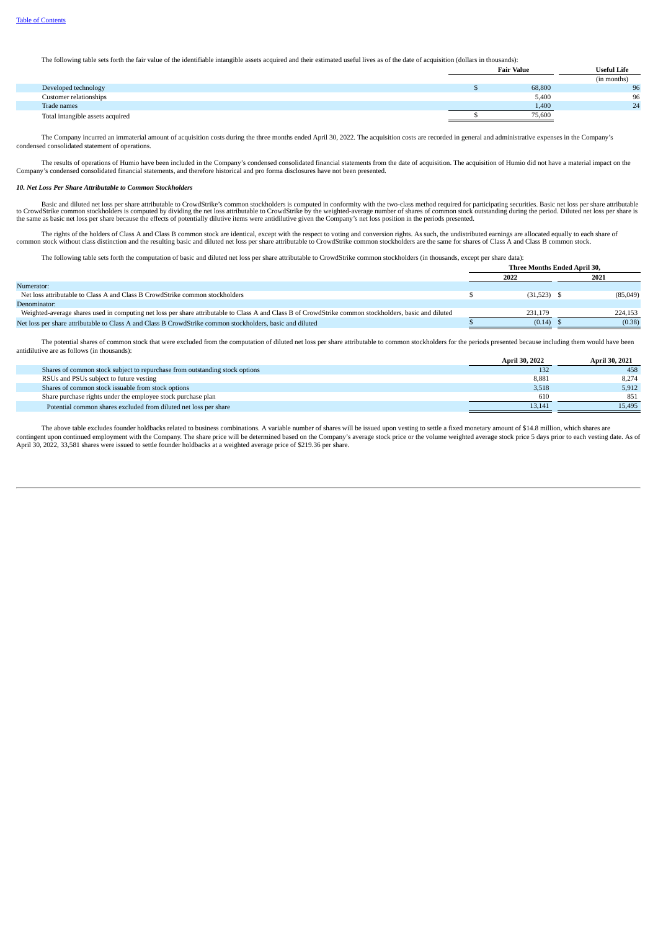The following table sets forth the fair value of the identifiable intangible assets acquired and their estimated useful lives as of the date of acquisition (dollars in thousands):

|                                  | <b>Fair Value</b> | <b>Useful Life</b> |
|----------------------------------|-------------------|--------------------|
|                                  |                   | (in months)        |
| Developed technology             | 68,800            | 96                 |
| Customer relationships           | 5,400             | 96                 |
| Trade names                      | 1,400             | 24                 |
| Total intangible assets acquired | 75,600            |                    |

The Company incurred an immaterial amount of acquisition costs during the three months ended April 30, 2022. The acquisition costs are recorded in general and administrative expenses in the Company's condensed consolidated statement of operations.

The results of operations of Humio have been included in the Company's condensed consolidated financial statements from the date of acquisition. The acquisition of Humio did not have a material impact on the Company's condensed consolidated financial statements, and therefore historical and pro forma disclosures have not been presented.

#### *10. Net Loss Per Share Attributable to Common Stockholders*

Basic and diluted net loss per share attributable to CrowdStrike's common stockholders is computed in conformity with the two-class method required for participating securities. Basic net loss per share attributable to Cro

The rights of the holders of Class A and Class B common stock are identical, except with the respect to voting and conversion rights. As such, the undistributed earnings are allocated equally to each share of common stock

The following table sets forth the computation of basic and diluted net loss per share attributable to CrowdStrike common stockholders (in thousands, except per share data):

|                                                                                                                                                        | <b>Three Months Ended April 30.</b> |               |  |          |
|--------------------------------------------------------------------------------------------------------------------------------------------------------|-------------------------------------|---------------|--|----------|
|                                                                                                                                                        |                                     | 2022          |  | 2021     |
| Numerator:                                                                                                                                             |                                     |               |  |          |
| Net loss attributable to Class A and Class B CrowdStrike common stockholders                                                                           |                                     | $(31,523)$ \$ |  | (85,049) |
| Denominator:                                                                                                                                           |                                     |               |  |          |
| Weighted-average shares used in computing net loss per share attributable to Class A and Class B of CrowdStrike common stockholders, basic and diluted |                                     | 231.179       |  | 224.153  |
| Net loss per share attributable to Class A and Class B CrowdStrike common stockholders, basic and diluted                                              |                                     | (0.14)        |  | (0.38)   |

The potential shares of common stock that were excluded from the computation of diluted net loss per share attributable to common stockholders for the periods presented because including them would have been antidilutive are as follows (in thousands):

|                                                                             | <b>April 30, 2022</b> | <b>April 30, 2021</b> |
|-----------------------------------------------------------------------------|-----------------------|-----------------------|
| Shares of common stock subject to repurchase from outstanding stock options | 132                   | 458                   |
| RSUs and PSUs subject to future vesting                                     | 8.881                 | 8.274                 |
| Shares of common stock issuable from stock options                          | 3,518                 | 5,912                 |
| Share purchase rights under the employee stock purchase plan                | 610                   | 851                   |
| Potential common shares excluded from diluted net loss per share            | 13.141                | 15,495                |

<span id="page-25-0"></span>The above table excludes founder holdbacks related to business combinations. A variable number of shares will be issued upon vesting to settle a fixed monetary amount of \$14.8 million, which shares are contingent upon continued employment with the Company. The share price will be determined based on the Company's average stock price or the volume weighted average stock price 5 days prior to each vesting date. As of April 30, 2022, 33,581 shares were issued to settle founder holdbacks at a weighted average price of \$219.36 per share.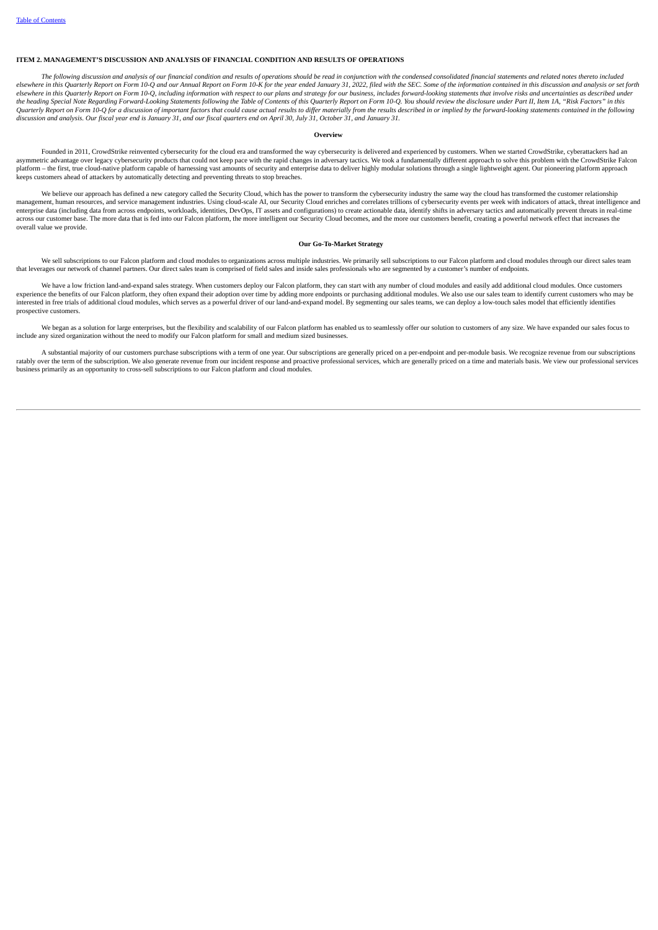#### **ITEM 2. MANAGEMENT'S DISCUSSION AND ANALYSIS OF FINANCIAL CONDITION AND RESULTS OF OPERATIONS**

The following discussion and analysis of our financial condition and results of operations should be read in conjunction with the condensed consolidated financial statements and related notes thereto included<br>elsewhere in electric in this Quarterly Report on Form 10-Q, including information with respect to our plans and strategy for our business, includes forward-looking statements that involve risks and uncertainties as described under<br>ele the heading Special Note Regarding Forward-Looking Statements following the Table of Contents of this Quarterly Report on Form 10-Q. You should review the disclosure under Part II, Item 1A, "Risk Factors" in this Quarterly Report on Form 10-Q for a discussion of important factors that could cause actual results to differ materially from the results described in or implied by the forward-looking statements contained in the following

#### **Overview**

Founded in 2011, CrowdStrike reinvented cybersecurity for the cloud era and transformed the way cybersecurity is delivered and experienced by customers. When we started CrowdStrike, cyberattackers had an asymmetric advantage over legacy cybersecurity products that could not keep pace with the rapid changes in adversary tactics. We took a fundamentally different approach to solve this problem with the CrowdStrike Falcon<br>pla keeps customers ahead of attackers by automatically detecting and preventing threats to stop breaches.

We believe our approach has defined a new category called the Security Cloud, which has the power to transform the cybersecurity industry the same way the cloud has transformed the customer relationship management, human resources, and service management industries. Using cloud-scale AI, our Security Cloud enriches and correlates trillions of cybersecurity events per week with indicators of attack, threat intelligence and enterprise data (including data from across endpoints, workloads, identities, DevOps, IT assets and configurations) to create actionable data, identify shifts in adversary tactics and automatically prevent threats in realacross our customer base. The more data that is fed into our Falcon platform, the more intelligent our Security Cloud becomes, and the more our customers benefit, creating a powerful network effect that increases the overall value we provide.

#### **Our Go-To-Market Strategy**

We sell subscriptions to our Falcon platform and cloud modules to organizations across multiple industries. We primarily sell subscriptions to our Falcon platform and cloud modules through our direct sales team that leverages our network of channel partners. Our direct sales team is comprised of field sales and inside sales professionals who are segmented by a customer's number of endpoints.

We have a low friction land-and-expand sales strategy. When customers deploy our Falcon platform, they can start with any number of cloud modules and easily add additional cloud modules. Once customers experience the benefits of our Falcon platform, they often expand their adoption over time by adding more endpoints or purchasing additional modules. We also use our sales team to identify current customers who may be interested in free trials of additional cloud modules, which serves as a powerful driver of our land-and-expand model. By segmenting our sales teams, we can deploy a low-touch sales model that efficiently identifies prospective customers.

We began as a solution for large enterprises, but the flexibility and scalability of our Falcon platform has enabled us to seamlessly offer our solution to customers of any size. We have expanded our sales focus to include any sized organization without the need to modify our Falcon platform for small and medium sized businesses.

A substantial majority of our customers purchase subscriptions with a term of one year. Our subscriptions are generally priced on a per-endpoint and per-module basis. We recognize revenue from our subscriptions ratably over the term of the subscription. We also generate revenue from our incident response and proactive professional services, which are generally priced on a time and materials basis. We view our professional service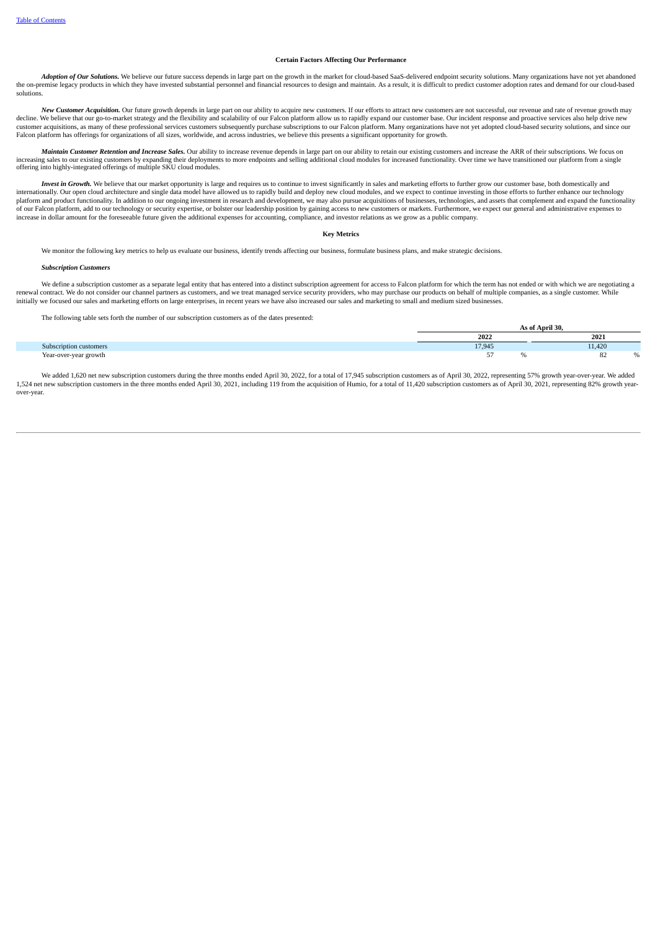#### **Certain Factors Affecting Our Performance**

Adoption of Our Solutions. We believe our future success depends in large part on the growth in the market for cloud-based SaaS-delivered endpoint security solutions. Many organizations have not yet abandoned the on-premise legacy products in which they have invested substantial personnel and financial resources to design and maintain. As a result, it is difficult to predict customer adoption rates and demand for our cloud-based solutions.

New Customer Acquisition. Our future growth depends in large part on our ability to acquire new customers. If our efforts to attract new customers are not successful, our revenue and rate of revenue growth may decline. We customer acquisitions, as many of these professional services customers subsequently purchase subscriptions to our Falcon platform. Many organizations have not yet adopted cloud-based security solutions, and since our Falcon platform has offerings for organizations of all sizes, worldwide, and across industries, we believe this presents a significant opportunity for growth.

Maintain Customer Retention and Increase Sales. Our ability to increase revenue depends in large part on our ability to retain our existing customers and increase the ARR of their subscriptions. We focus on increasing sales to our existing customers by expanding their deployments to more endpoints and selling additional cloud modules for increased functionality. Over time we have transitioned our platform from a single<br>offeri

Invest in Growth. We believe that our market opportunity is large and requires us to continue to invest significantly in sales and marketing efforts to further grow our customer base, both domestically and internationally. Our open cloud architecture and single data model have allowed us to rapidly build and deploy new cloud modules, and we expect to continue investing in those efforts to further enhance our technology platform and product functionality. In addition to our ongoing investment in research and development, we may also pursue acquisitions of businesses, technologies, and assets that complement and expand the functionality of our Falcon platform, add to our technology or security expertise, or bolster our leadership position by gaining access to new customers or markets. Furthermore, we expect our general and administrative expenses to increase in dollar amount for the foreseeable future given the additional expenses for accounting, compliance, and investor relations as we grow as a public company.

#### **Key Metrics**

We monitor the following key metrics to help us evaluate our business, identify trends affecting our business, formulate business plans, and make strategic decisions.

#### *Subscription Customers*

We define a subscription customer as a separate legal entity that has entered into a distinct subscription agreement for access to Falcon platform for which the term has not ended or with which we are negotiating a renewal contract. We do not consider our channel partners as customers, and we treat managed service security providers, who may purchase our products on behalf of multiple companies, as a single customer. While initially we focused our sales and marketing efforts on large enterprises, in recent years we have also increased our sales and marketing to small and medium sized businesses.

The following table sets forth the number of our subscription customers as of the dates presented:

|                        | t April 30. |  |        |  |  |
|------------------------|-------------|--|--------|--|--|
|                        | 2022        |  | 2021   |  |  |
| Subscription customers | 17,945      |  | 11,420 |  |  |
| Year-over-year growth  | $ -$        |  | u      |  |  |

**As of April 30,**

We added 1,620 net new subscription customers during the three months ended April 30, 2022, for a total of 17,945 subscription customers as of April 30, 2022, representing 57% growth year-over-year. We added 1,524 net new subscription customers in the three months ended April 30, 2021, including 119 from the acquisition of Humio, for a total of 11,420 subscription customers as of April 30, 2021, representing 82% growth yearover-year.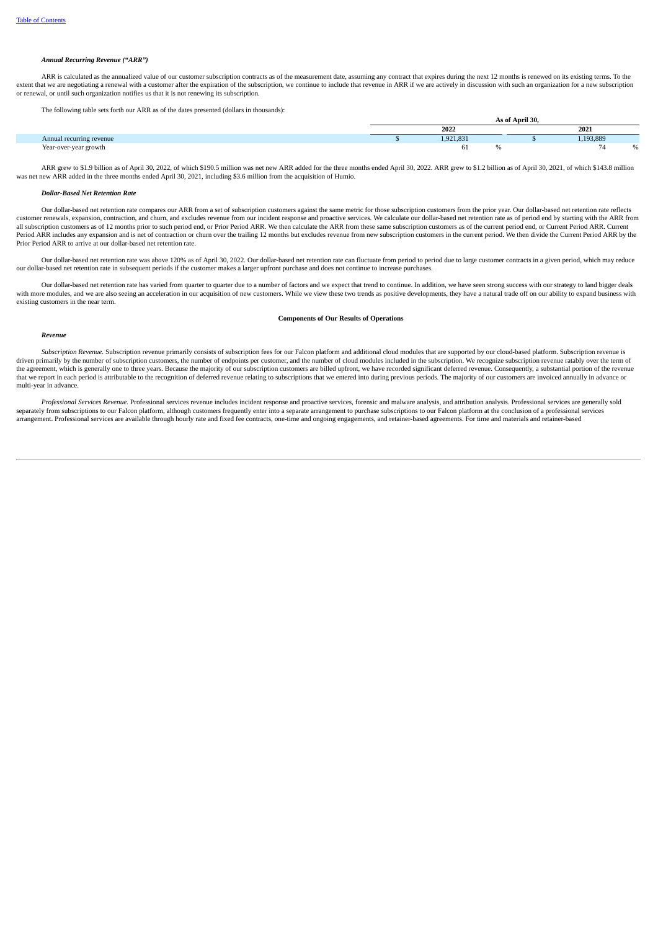#### *Annual Recurring Revenue ("ARR")*

ARR is calculated as the annualized value of our customer subscription contracts as of the measurement date, assuming any contract that expires during the next 12 months is renewed on its existing terms. To the extent that we are negotiating a renewal with a customer after the expiration of the subscription, we continue to include that revenue in ARR if we are actively in discussion with such an organization for a new subscriptio or renewal, or until such organization notifies us that it is not renewing its subscription.

The following table sets forth our ARR as of the dates presented (dollars in thousands):

| The following tubic sets form our riferent us of the units presented (ubility in inoustinus). |                 |           |  |  |           |   |  |
|-----------------------------------------------------------------------------------------------|-----------------|-----------|--|--|-----------|---|--|
|                                                                                               | As of April 30. |           |  |  |           |   |  |
|                                                                                               |                 | 2022      |  |  | 2021      |   |  |
| Annual recurring revenue                                                                      |                 | 1,921,831 |  |  | .,193,889 |   |  |
| Year-over-year growth                                                                         |                 |           |  |  | -         | % |  |

ARR grew to \$1.9 billion as of April 30, 2022, of which \$190.5 million was net new ARR added for the three months ended April 30, 2022. ARR grew to \$1.2 billion as of April 30, 2021, of which \$143.8 million was net new ARR added in the three months ended April 30, 2021, including \$3.6 million from the acquisition of Humio.

#### *Dollar-Based Net Retention Rate*

Our dollar-based net retention rate compares our ARR from a set of subscription customers against the same metric for those subscription customers from the prior year. Our dollar-based net retention rate reflects customer renewals, expansion, contraction, and churn, and excludes revenue from our incident response and proactive services. We calculate our dollar-based net retention rate as of period end by starting with the ARR from all subscription customers as of 12 months prior to such period end, or Prior Period ARR. We then calculate the ARR from these same subscription customers as of the current period end, or Current Period ARR. Current Period ARR includes any expansion and is net of contraction or churn over the trailing 12 months but excludes revenue from new subscription customers in the current period. We then divide the Current Period ARR by the Prior Period ARR to arrive at our dollar-based net retention rate.

Our dollar-based net retention rate was above 120% as of April 30, 2022. Our dollar-based net retention rate can fluctuate from period to period due to large customer contracts in a given period, which may reduce our dollar-based net retention rate in subsequent periods if the customer makes a larger upfront purchase and does not continue to increase purchases.

Our dollar-based net retention rate has varied from quarter to quarter due to a number of factors and we expect that trend to continue. In addition, we have seen strong success with our strategy to land bigger deals with more modules, and we are also seeing an acceleration in our acquisition of new customers. While we view these two trends as positive developments, they have a natural trade off on our ability to expand business with existing customers in the near term.

#### **Components of Our Results of Operations**

#### *Revenue*

*Subscription Revenue.* Subscription revenue primarily consists of subscription fees for our Falcon platform and additional cloud modules that are supported by our cloud-based platform. Subscription revenue is driven primarily by the number of subscription customers, the number of endpoints per customer, and the number of cloud modules included in the subscription. We recognize subscription revenue ratably over the term of the agreement, which is generally one to three years. Because the majority of our subscription customers are billed upfront, we have recorded significant deferred revenue. Consequently, a substantial portion of the revenue that we report in each period is attributable to the recognition of deferred revenue relating to subscriptions that we entered into during previous periods. The majority of our customers are invoiced annually in advance or multi-year in advance.

Professional Services Revenue. Professional services revenue includes incident response and proactive services, forensic and malware analysis, and attribution analysis. Professional services are generally sold separately from subscriptions to our Falcon platform, although customers frequently enter into a separate arrangement to purchase subscriptions to our Falcon platform at the conclusion of a professional services<br>arrangemen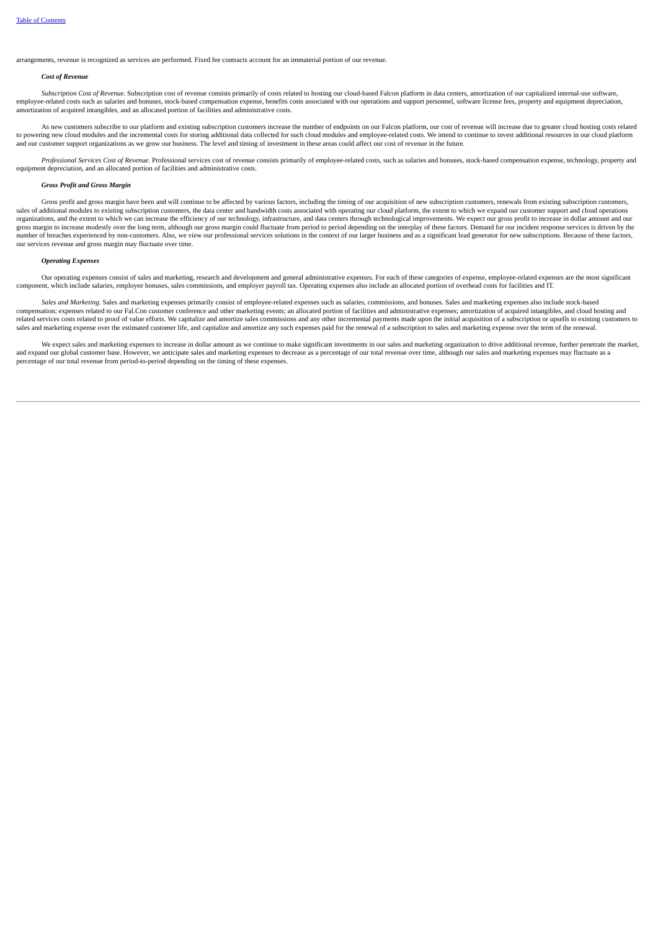arrangements, revenue is recognized as services are performed. Fixed fee contracts account for an immaterial portion of our revenue.

#### *Cost of Revenue*

Subscription Cost of Revenue. Subscription cost of revenue consists primarily of costs related to hosting our cloud-based Falcon platform in data centers, amortization of our capitalized internal-use software, employee-related costs such as salaries and bonuses, stock-based compensation expense, benefits costs associated with our operations and support personnel, software license fees, property and equipment depreciation, amortization of acquired intangibles, and an allocated portion of facilities and administrative costs.

As new customers subscribe to our platform and existing subscription customers increase the number of endpoints on our Falcon platform, our cost of revenue will increase due to greater cloud hosting costs related to powering new cloud modules and the incremental costs for storing additional data collected for such cloud modules and employee-related costs. We intend to continue to invest additional resources in our cloud platform and our customer support organizations as we grow our business. The level and timing of investment in these areas could affect our cost of revenue in the future.

Professional Services Cost of Revenue. Professional services cost of revenue consists primarily of employee-related costs, such as salaries and bonuses, stock-based compensation expense, technology, property and equipment depreciation, and an allocated portion of facilities and administrative costs.

#### *Gross Profit and Gross Margin*

Gross profit and gross margin have been and will continue to be affected by various factors, including the timing of our acquisition of new subscription customers, renewals from existing subscription customers, sales of additional modules to existing subscription customers, the data center and bandwidth costs associated with operating our cloud platform, the extent to which we expand our customer support and cloud operations organizations, and the extent to which we can increase the efficiency of our technology, infrastructure, and data centers through technological improvements. We expect our gross profit to increase in dollar amount and our<br> number of breaches experienced by non-customers. Also, we view our professional services solutions in the context of our larger business and as a significant lead generator for new subscriptions. Because of these factors, our services revenue and gross margin may fluctuate over time.

#### *Operating Expenses*

Our operating expenses consist of sales and marketing, research and development and general administrative expenses. For each of these categories of expense, employee-related expenses are the most significant component, which include salaries, employee bonuses, sales commissions, and employer payroll tax. Operating expenses also include an allocated portion of overhead costs for facilities and IT.

*Sales and Marketing.* Sales and marketing expenses primarily consist of employee-related expenses such as salaries, commissions, and bonuses. Sales and marketing expenses also include stock-based compensation; expenses related to our Fal.Con customer conference and other marketing events; an allocated portion of facilities and administrative expenses; amortization of acquired intangibles, and cloud hosting and related services costs related to proof of value efforts. We capitalize and amortize sales commissions and any other incremental payments made upon the initial acquisition of a subscription or upsells to existing customers sales and marketing expense over the estimated customer life, and capitalize and amortize any such expenses paid for the renewal of a subscription to sales and marketing expense over the term of the renewal.

We expect sales and marketing expenses to increase in dollar amount as we continue to make significant investments in our sales and marketing organization to drive additional revenue, further penetrate the market, and expand our global customer base. However, we anticipate sales and marketing expenses to decrease as a percentage of our total revenue over time, although our sales and marketing expenses may fluctuate as a percentage of our total revenue from period-to-period depending on the timing of these expenses.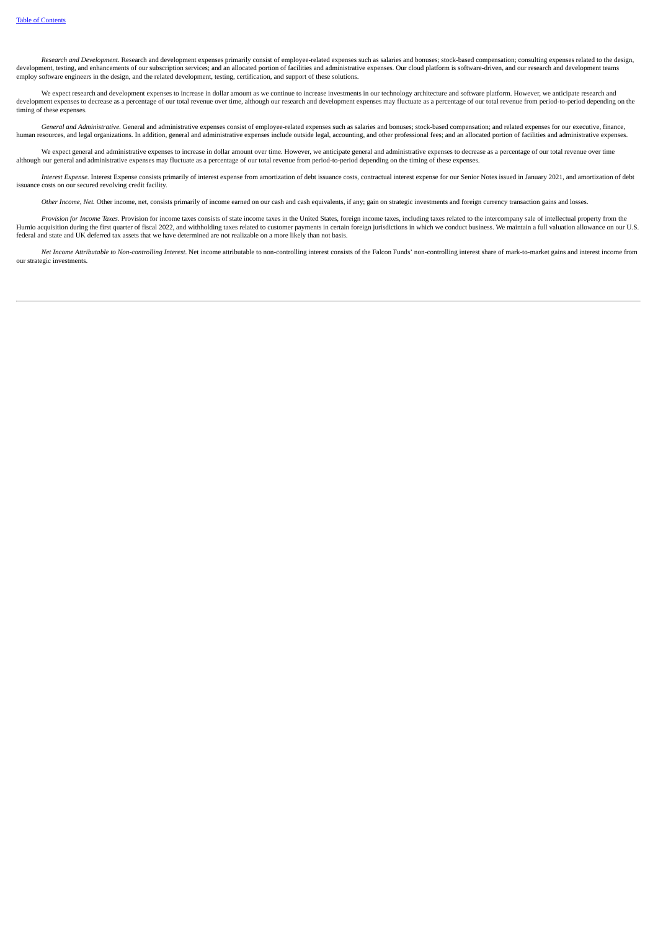Research and Development. Research and development expenses primarily consist of employee-related expenses such as salaries and bonuses: stock-based compensation: consulting expenses related to the design. development, testing, and enhancements of our subscription services; and an allocated portion of facilities and administrative expenses. Our cloud platform is software-driven, and our research and development teams employ software engineers in the design, and the related development, testing, certification, and support of these solutions.

We expect research and development expenses to increase in dollar amount as we continue to increase investments in our technology architecture and software platform. However, we anticipate research and development expenses to decrease as a percentage of our total revenue over time, although our research and development expenses may fluctuate as a percentage of our total revenue from period-to-period depending on the timing of these expenses.

General and Administrative. General and administrative expenses consist of employee-related expenses such as salaries and bonuses; stock-based compensation; and related expenses for our executive, finance, human resources, and legal organizations. In addition, general and administrative expenses include outside legal, accounting, and other professional fees; and an allocated portion of facilities and administrative expenses.

We expect general and administrative expenses to increase in dollar amount over time. However, we anticipate general and administrative expenses to decrease as a percentage of our total revenue over time although our general and administrative expenses may fluctuate as a percentage of our total revenue from period-to-period depending on the timing of these expenses.

Interest Expense. Interest Expense consists primarily of interest expense from amortization of debt issuance costs, contractual interest expense for our Senior Notes issued in January 2021, and amortization of debt issuance costs on our secured revolving credit facility.

*Other Income, Net.* Other income, net, consists primarily of income earned on our cash and cash equivalents, if any; gain on strategic investments and foreign currency transaction gains and losses.

Provision for Income Taxes. Provision for income taxes consists of state income taxes in the United States, foreign income taxes, including taxes related to the intercompany sale of intellectual property from the United St federal and state and UK deferred tax assets that we have determined are not realizable on a more likely than not basis.

Net Income Attributable to Non-controlling Interest Net income attributable to non-controlling interest consists of the Falcon Funds' non-controlling interest share of mark-to-market gains and interest income from our strategic investments.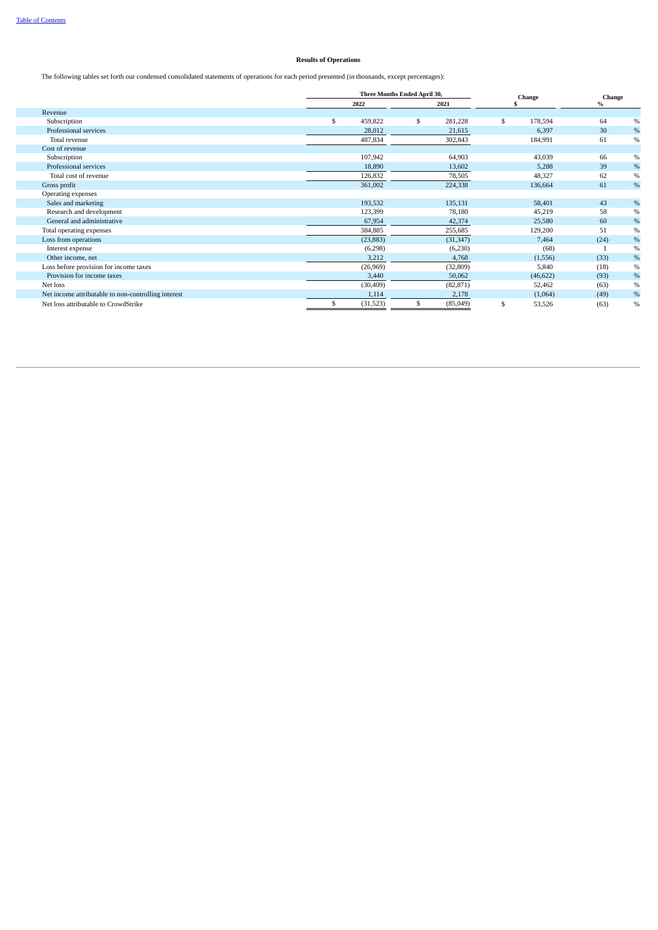#### **Results of Operations**

The following tables set forth our condensed consolidated statements of operations for each period presented (in thousands, except percentages):

|                                                     | Three Months Ended April 30, |   |           | Change |           | Change |      |
|-----------------------------------------------------|------------------------------|---|-----------|--------|-----------|--------|------|
|                                                     | 2022                         |   | 2021      |        |           | $\%$   |      |
| Revenue                                             |                              |   |           |        |           |        |      |
| Subscription                                        | \$<br>459,822                | S | 281,228   | \$     | 178,594   | 64     | $\%$ |
| Professional services                               | 28,012                       |   | 21,615    |        | 6,397     | 30     | $\%$ |
| Total revenue                                       | 487,834                      |   | 302,843   |        | 184,991   | 61     | $\%$ |
| Cost of revenue                                     |                              |   |           |        |           |        |      |
| Subscription                                        | 107,942                      |   | 64,903    |        | 43,039    | 66     | $\%$ |
| Professional services                               | 18,890                       |   | 13,602    |        | 5,288     | 39     | $\%$ |
| Total cost of revenue                               | 126,832                      |   | 78,505    |        | 48,327    | 62     | $\%$ |
| Gross profit                                        | 361,002                      |   | 224,338   |        | 136,664   | 61     | $\%$ |
| Operating expenses                                  |                              |   |           |        |           |        |      |
| Sales and marketing                                 | 193,532                      |   | 135,131   |        | 58,401    | 43     | $\%$ |
| Research and development                            | 123,399                      |   | 78,180    |        | 45,219    | 58     | $\%$ |
| General and administrative                          | 67,954                       |   | 42,374    |        | 25,580    | 60     | $\%$ |
| Total operating expenses                            | 384,885                      |   | 255,685   |        | 129,200   | 51     | $\%$ |
| Loss from operations                                | (23, 883)                    |   | (31, 347) |        | 7,464     | (24)   | $\%$ |
| Interest expense                                    | (6,298)                      |   | (6,230)   |        | (68)      |        | $\%$ |
| Other income, net                                   | 3,212                        |   | 4,768     |        | (1,556)   | (33)   | $\%$ |
| Loss before provision for income taxes              | (26,969)                     |   | (32, 809) |        | 5,840     | (18)   | $\%$ |
| Provision for income taxes                          | 3,440                        |   | 50,062    |        | (46, 622) | (93)   | $\%$ |
| Net loss                                            | (30, 409)                    |   | (82, 871) |        | 52,462    | (63)   | $\%$ |
| Net income attributable to non-controlling interest | 1,114                        |   | 2,178     |        | (1,064)   | (49)   | $\%$ |
| Net loss attributable to CrowdStrike                | (31,523)                     |   | (85,049)  | \$     | 53,526    | (63)   | $\%$ |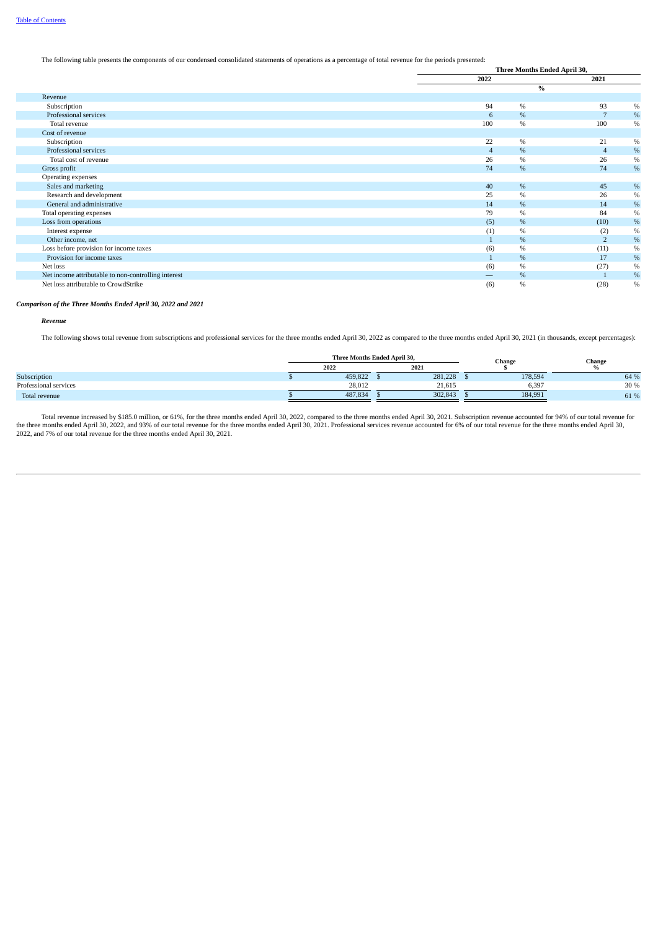#### The following table presents the components of our condensed consolidated statements of operations as a percentage of total revenue for the periods presented:

|                                                     | Three Months Ended April 30, |      |                |      |  |
|-----------------------------------------------------|------------------------------|------|----------------|------|--|
|                                                     | 2022                         |      | 2021           |      |  |
|                                                     |                              |      | $\%$           |      |  |
| Revenue                                             |                              |      |                |      |  |
| Subscription                                        | 94                           | $\%$ | 93             | $\%$ |  |
| Professional services                               | 6                            | %    |                | $\%$ |  |
| Total revenue                                       | 100                          | $\%$ | 100            | $\%$ |  |
| Cost of revenue                                     |                              |      |                |      |  |
| Subscription                                        | 22                           | $\%$ | 21             | $\%$ |  |
| Professional services                               | $\overline{4}$               | $\%$ | $\overline{4}$ | $\%$ |  |
| Total cost of revenue                               | 26                           | $\%$ | 26             | $\%$ |  |
| Gross profit                                        | 74                           | $\%$ | 74             | $\%$ |  |
| Operating expenses                                  |                              |      |                |      |  |
| Sales and marketing                                 | 40                           | %    | 45             | $\%$ |  |
| Research and development                            | 25                           | $\%$ | 26             | $\%$ |  |
| General and administrative                          | 14                           | %    | 14             | $\%$ |  |
| Total operating expenses                            | 79                           | $\%$ | 84             | $\%$ |  |
| Loss from operations                                | (5)                          | %    | (10)           | $\%$ |  |
| Interest expense                                    | (1)                          | %    | (2)            | $\%$ |  |
| Other income, net                                   |                              | $\%$ | $\overline{2}$ | $\%$ |  |
| Loss before provision for income taxes              | (6)                          | $\%$ | (11)           | $\%$ |  |
| Provision for income taxes                          | $\mathbf{1}$                 | %    | 17             | $\%$ |  |
| Net loss                                            | (6)                          | %    | (27)           | $\%$ |  |
| Net income attributable to non-controlling interest | —                            | %    |                | $\%$ |  |
| Net loss attributable to CrowdStrike                | (6)                          | $\%$ | (28)           | $\%$ |  |

*Comparison of the Three Months Ended April 30, 2022 and 2021*

*Revenue*

The following shows total revenue from subscriptions and professional services for the three months ended April 30, 2022 as compared to the three months ended April 30, 2021 (in thousands, except percentages):

|                       | Three Months Ended April 30, |  |         | Change  | Change |  |
|-----------------------|------------------------------|--|---------|---------|--------|--|
|                       | 2022                         |  | 2021    |         |        |  |
| Subscription          | 459,822                      |  | 281,228 | 178,594 | 64 %   |  |
| Professional services | 28,012                       |  | 21.615  | 6,397   | 30 %   |  |
| Total revenue         | 487,834                      |  | 302,843 | 184,991 | 61 %   |  |

Total revenue increased by \$185.0 million, or 61%, for the three months ended April 30, 2022, compared to the three months ended April 30, 2021. Subscription revenue accounted for 94% of our total revenue for the three mon 2022, and 7% of our total revenue for the three months ended April 30, 2021.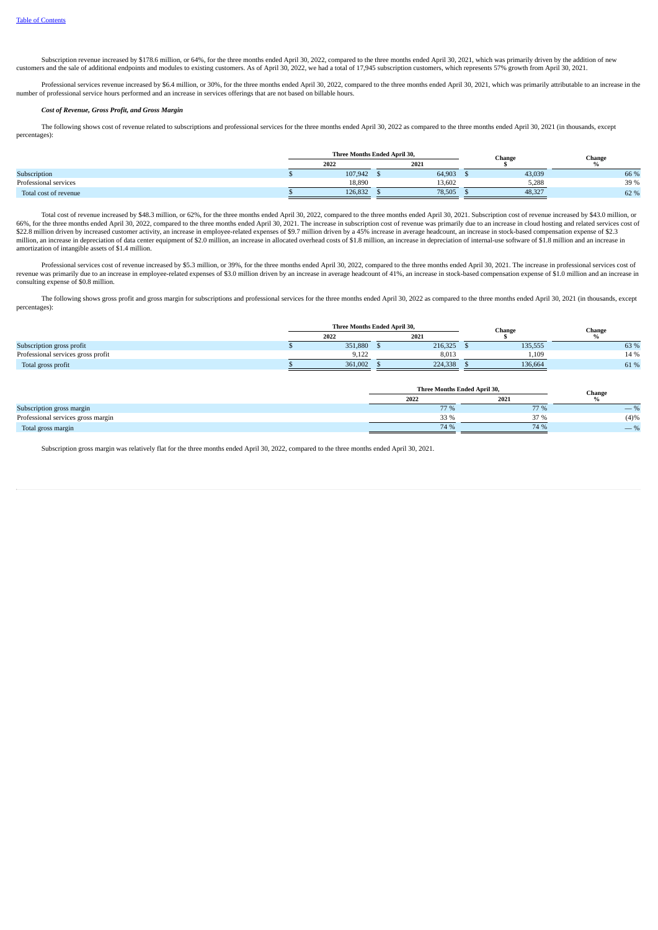Subscription revenue increased by \$178.6 million, or 64%, for the three months ended April 30, 2022, compared to the three months ended April 30, 2021, which was primarily driven by the addition of new customers and the sale of additional endpoints and modules to existing customers. As of April 30, 2022, we had a total of 17,945 subscription customers, which represents 57% growth from April 30, 2021.

Professional services revenue increased by \$6.4 million, or 30%, for the three months ended April 30, 2022, compared to the three months ended April 30, 2021, which was primarily attributable to an increase in the number of professional services revenue increased by  $\phi$ . Thinking, or boxi, for the time include the months enter the professional services hours performed and an increase in services offerings that are not based on bill

#### *Cost of Revenue, Gross Profit, and Gross Margin*

The following shows cost of revenue related to subscriptions and professional services for the three months ended April 30, 2022 as compared to the three months ended April 30, 2021 (in thousands, except percentages):

|                       | Three Months Ended April 30, |         |  |        | Change |        | Change |  |
|-----------------------|------------------------------|---------|--|--------|--------|--------|--------|--|
|                       | 2021<br>2022                 |         |  |        |        |        |        |  |
| Subscription          |                              | 107,942 |  | 64,903 |        | 43,039 | 66 %   |  |
| Professional services |                              | 18.890  |  | 13.602 |        | 5,288  | 39 %   |  |
| Total cost of revenue |                              | 126,832 |  | 78.505 |        | 48,327 | 62 %   |  |

Total cost of revenue increased by \$48.3 million, or 62%, for the three months ended April 30, 2022, compared to the three months ended April 30, 2021. Subscription cost of revenue increased by \$43.0 million, or 66%, for the three months ended April 30, 2022, compared to the three months ended April 30, 2021. The increase in subscription cost of revenue was primarily due to an increase in cloud hosting and related services cost of \$22.8 million driven by increased customer activity, an increase in employee-related expenses of \$9.7 million driven by a 45% increase in average headcount, an increase in stock-based compensation expense of \$2.3 million, an increase in depreciation of data center equipment of \$2.0 million, an increase in allocated overhead costs of \$1.8 million, an increase in depreciation of internal-use software of \$1.8 million and an increase in amortization of intangible assets of \$1.4 million.

Professional services cost of revenue increased by \$5.3 million, or 39%, for the three months ended April 30, 2022, compared to the three months ended April 30, 2021. The increase in professional services cost of evenue wa consulting expense of \$0.8 million.

The following shows gross profit and gross margin for subscriptions and professional services for the three months ended April 30, 2022 as compared to the three months ended April 30, 2021 (in thousands, except percentages):

|                                    | Three Months Ended April 30. |         |      |         | Change |         | Change |  |
|------------------------------------|------------------------------|---------|------|---------|--------|---------|--------|--|
|                                    | 2022                         |         | 2021 |         |        |         |        |  |
| Subscription gross profit          |                              | 351,880 |      | 216,325 |        | 135,555 | 63 %   |  |
| Professional services gross profit |                              | 9.122   |      | 8.013   |        | 1,109   | 14 %   |  |
| Total gross profit                 |                              | 361,002 |      | 224,338 |        | 136,664 | 61 %   |  |

|                                    | Three Months Ended April 30, | Change |                          |
|------------------------------------|------------------------------|--------|--------------------------|
|                                    | 2022                         | 2021   |                          |
| Subscription gross margin          | 77 %                         | 77 %   | $\overline{\phantom{a}}$ |
| Professional services gross margin | 330 <sub>0</sub>             | 37 %   | (4)%                     |
| Total gross margin                 | 74 %                         | 74 %   | $\overline{\phantom{a}}$ |

Subscription gross margin was relatively flat for the three months ended April 30, 2022, compared to the three months ended April 30, 2021.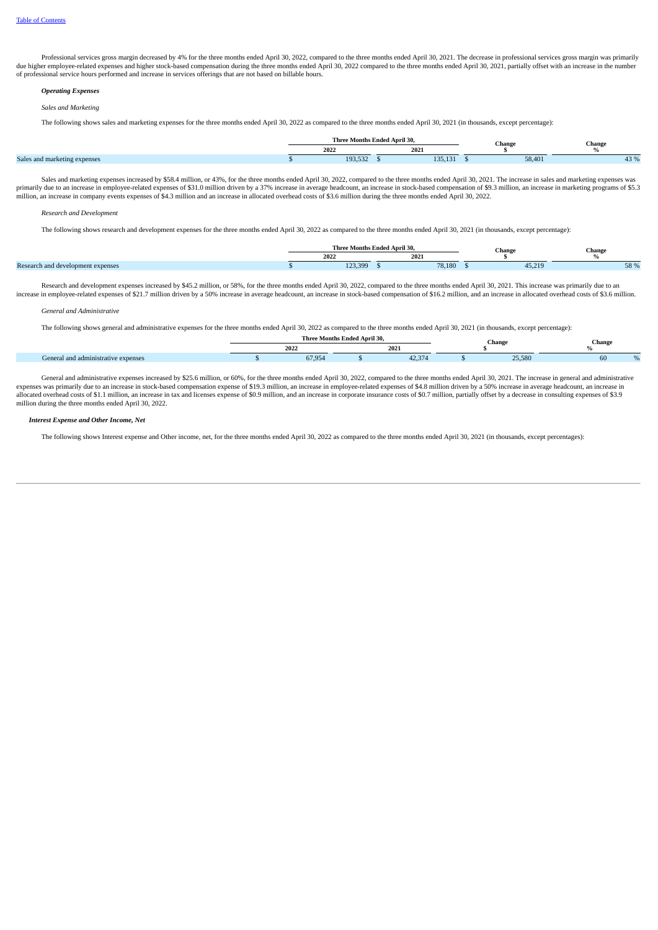Professional services gross margin decreased by 4% for the three months ended April 30, 2022, compared to the three months ended April 30, 2021. The decrease in professional services gross margin was primarily due higher employee-related expenses and higher stock-based compensation during the three months ended April 30, 2022 compared to the three months ended April 30, 2021, partially offset with an increase in the number of professional service hours performed and increase in services offerings that are not based on billable hours.

#### *Operating Expenses*

#### *Sales and Marketing*

The following shows sales and marketing expenses for the three months ended April 30, 2022 as compared to the three months ended April 30, 2021 (in thousands, except percentage):

|                                                                            | Thre                       | e Months Ended April 30. |         | Chang  | <b>Change</b> |  |
|----------------------------------------------------------------------------|----------------------------|--------------------------|---------|--------|---------------|--|
|                                                                            | 202                        | 2021                     |         |        |               |  |
| <b>Contract Contract Contract</b><br>Sales.<br>, marketing expenses<br>. . | 10 <sup>2</sup><br>190.004 |                          | .00.101 | 58,401 |               |  |

Sales and marketing expenses increased by \$58.4 million, or 43%, for the three months ended April 30, 2022, compared to the three months ended April 30, 2021. The increase in sales and marketing expenses was primarily due to an increase in employee-related expenses of \$31.0 million driven by a 37% increase in average headcount, an increase in stock-based compensation of \$9.3 million, an increase in marketing programs of \$5.3<br>m

#### *Research and Development*

The following shows research and development expenses for the three months ended April 30, 2022 as compared to the three months ended April 30, 2021 (in thousands, except percentage):

|                                           |         | Three Months Ended April 30. | Change | <b>Change</b>      |
|-------------------------------------------|---------|------------------------------|--------|--------------------|
|                                           | 2022    | 20<br>2021                   |        |                    |
| Research,<br>h and development expenses . | 123.399 | 78.180                       | 15.216 | $F^{\Omega}$<br>JU |

Research and development expenses increased by \$45.2 million, or 58%, for the three months ended April 30, 2022, compared to the three months ended April 30, 2021. This increase was primarily due to an increase in employee-related expenses of \$21.7 million driven by a 50% increase in average headcount, an increase in stock-based compensation of \$16.2 million, and an increase in allocated overhead costs of \$3.6 million.

#### *General and Administrative*

The following shows general and administrative expenses for the three months ended April 30, 2022 as compared to the three months ended April 30, 2021 (in thousands, except percentage):

|                             | e Months Ended April 30.<br><b>Three</b><br>Chang |                  |      |       |  |                  | Change |  |
|-----------------------------|---------------------------------------------------|------------------|------|-------|--|------------------|--------|--|
|                             |                                                   | 2022             | 2021 |       |  |                  |        |  |
| and administrative expenses |                                                   | 67.95/<br>ככ, וט |      | 12.27 |  | DE FOC<br>23,30U | υu     |  |

General and administrative expenses increased by \$25.6 million, or 60%, for the three months ended April 30, 2022, compared to the three months ended April 30, 2021. The increase in general and administrative expenses was primarily due to an increase in stock-based compensation expense of \$19.3 million, an increase in employee-related expenses of \$4.8 million driven by a 50% increase in average headcount, an increase in allocated overhead costs of \$1.1 million, an increase in tax and licenses expense of \$0.9 million, and an increase in corporate insurance costs of \$0.7 million, partially offset by a decrease in consulting expenses of \$3.9 million during the three months ended April 30, 2022.

#### *Interest Expense and Other Income, Net*

The following shows Interest expense and Other income, net, for the three months ended April 30, 2022 as compared to the three months ended April 30, 2021 (in thousands, except percentages):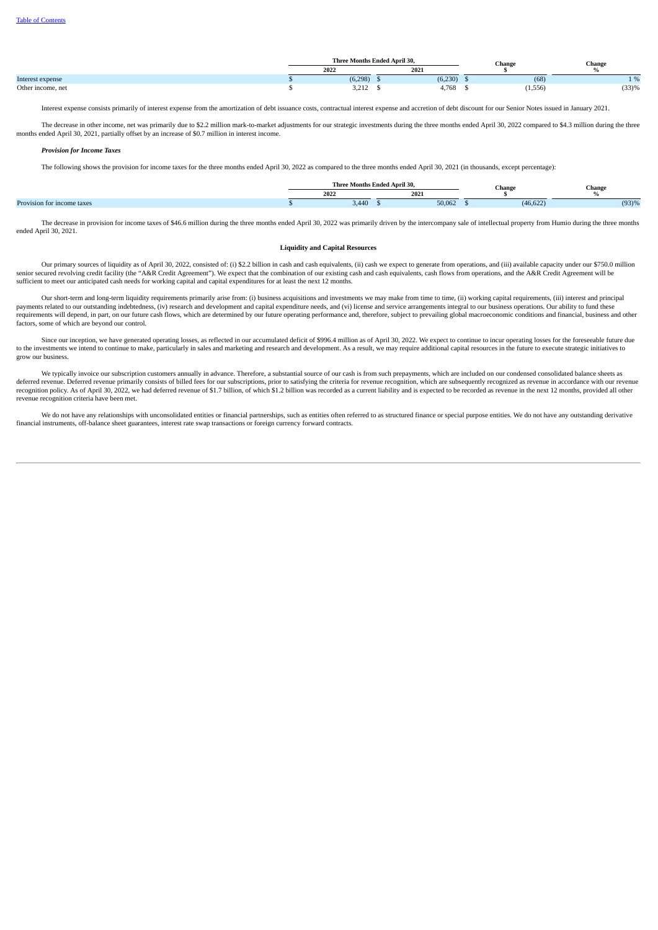|                   | Three Months Ended April 30, |          |  |         |  | Change   | Change   |
|-------------------|------------------------------|----------|--|---------|--|----------|----------|
|                   | 2021<br>2022                 |          |  |         |  |          |          |
| Interest expense  |                              | (6, 298) |  | (6,230) |  | (68)     | $\Omega$ |
| Other income, net |                              | 3,212    |  | 4,768   |  | (1, 556) | (33)%    |

Interest expense consists primarily of interest expense from the amortization of debt issuance costs, contractual interest expense and accretion of debt discount for our Senior Notes issued in January 2021.

The decrease in other income, net was primarily due to \$2.2 million mark-to-market adjustments for our strategic investments during the three months ended April 30, 2022 compared to \$4.3 million during the three months ended April 30, 2021, partially offset by an increase of \$0.7 million in interest income.

#### *Provision for Income Taxes*

The following shows the provision for income taxes for the three months ended April 30, 2022 as compared to the three months ended April 30, 2021 (in thousands, except percentage):

|                               | Three | Months Ended April 30. | $-$<br>спан | hange |  |
|-------------------------------|-------|------------------------|-------------|-------|--|
|                               | 202   | 2021                   |             |       |  |
| Provisio.<br>tor income taxes | 3.44  | 50.062                 | $(46, b_4)$ | (93)% |  |

The decrease in provision for income taxes of \$46.6 million during the three months ended April 30, 2022 was primarily driven by the intercompany sale of intellectual property from Humio during the three months ended April 30, 2021.

#### **Liquidity and Capital Resources**

Our primary sources of liquidity as of April 30, 2022, consisted of: (i) \$2.2 billion in cash and cash equivalents, (ii) cash we expect to generate from operations, and (iii) available capacity under our \$750.0 million (\$1 sufficient to meet our anticipated cash needs for working capital and capital expenditures for at least the next 12 months.

Our short-term and long-term liquidity requirements primarily arise from: (i) business acquisitions and investments we may make from time to time, (ii) working capital requirements, (iii) interest and principal payments related to our outstanding indebtedness, (iv) research and development and capital expenditure needs, and (vi) license and service arrangements integral to our business operations. Our ability to fund these requirements will depend, in part, on our future cash flows, which are determined by our future operating performance and, therefore, subject to prevailing global macroeconomic conditions and financial, business and other factors, some of which are beyond our control.

Since our inception, we have generated operating losses, as reflected in our accumulated deficit of \$996.4 million as of April 30, 2022. We expect to continue to incur operating losses for the foreseeable future due to the investments we intend to continue to make, particularly in sales and marketing and research and development. As a result, we may require additional capital resources in the future to execute strategic initiatives to grow our business.

We typically invoice our subscription customers annually in advance. Therefore, a substantial source of our cash is from such prepayments, which are included on our condensed consolidated balance sheets as re the process of billed fees for our subscriptions, prior to satisfying the criteria for revenue recognition, which are subsequently recognized as revenue in accordance with our revenue of the criteria for revenue recogni recognition policy. As of April 30, 2022, we had deferred revenue of \$1.7 billion, of which \$1.2 billion was recorded as a current liability and is expected to be recorded as revenue in the next 12 months, provided all other revenue recognition criteria have been met.

We do not have any relationships with unconsolidated entities or financial partnerships, such as entities often referred to as structured finance or special purpose entities. We do not have any outstanding derivative financial instruments, off-balance sheet guarantees, interest rate swap transactions or foreign currency forward contracts.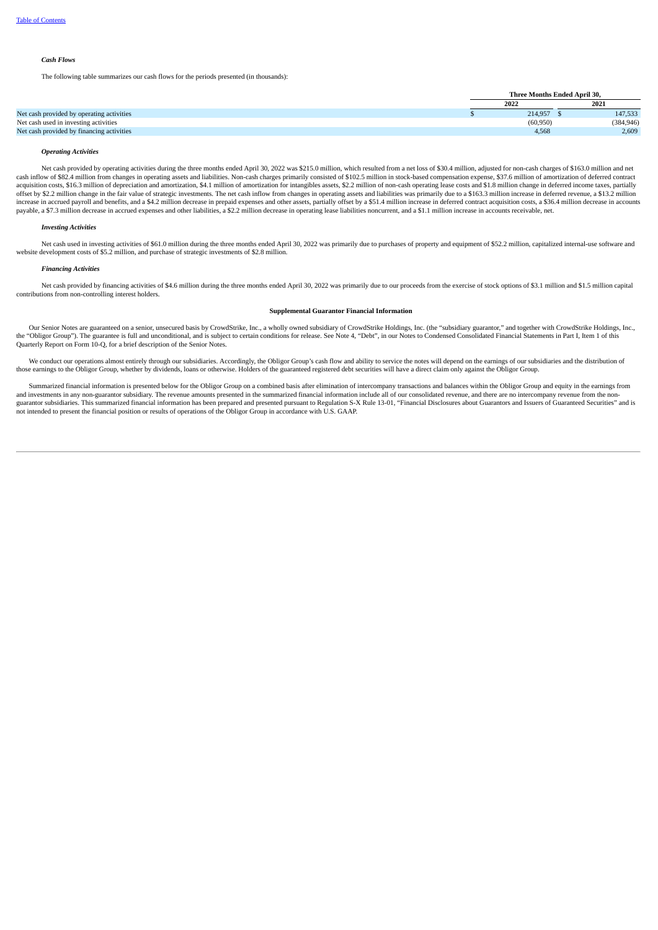# *Cash Flows*

The following table summarizes our cash flows for the periods presented (in thousands):

|                                           | Three Months Ended April 30, |            |  |
|-------------------------------------------|------------------------------|------------|--|
|                                           | 2022                         | 2021       |  |
| Net cash provided by operating activities | 214.957                      | 147,533    |  |
| Net cash used in investing activities     | (60, 950)                    | (384, 946) |  |
| Net cash provided by financing activities | 4.568                        | 2,609      |  |

# *Operating Activities*

Net cash provided by operating activities during the three months ended April 30, 2022 was \$215.0 million, which resulted from a net loss of \$30.4 million, adjusted for non-cash charges of \$163.0 million and net cash inflow of \$82.4 million from changes in operating assets and liabilities. Non-cash charges primarily consisted of \$102.5 million in stock-based compensation expense, \$37.6 million of amortization of deferred contract acquisition costs, \$16.3 million of depreciation and amortization, \$4.1 million of amortization for intangibles assets, \$2.2 million of non-cash operating lease costs and \$1.8 million change in deferred income taxes, parti offset by \$2.2 million change in the fair value of strategic investments. The net cash inflow from changes in operating assets and liabilities was primarily due to a \$163.3 million increase in deferred revenue, a \$13.2 mil payable, a \$7.3 million decrease in accrued expenses and other liabilities, a \$2.2 million decrease in operating lease liabilities noncurrent, and a \$1.1 million increase in accounts receivable, net.

### *Investing Activities*

Net cash used in investing activities of \$61.0 million during the three months ended April 30, 2022 was primarily due to purchases of property and equipment of \$52.2 million, capitalized internal-use software and website d

### *Financing Activities*

Net cash provided by financing activities of \$4.6 million during the three months ended April 30, 2022 was primarily due to our proceeds from the exercise of stock options of \$3.1 million and \$1.5 million capital contributions from non-controlling interest holders.

# **Supplemental Guarantor Financial Information**

Our Senior Notes are guaranteed on a senior, unsecured basis by CrowdStrike, Inc., a wholly owned subsidiary of CrowdStrike Holdings, Inc. (the "subsidiary guarantor," and together with CrowdStrike Holdings, Inc., a the "Obligor Group"). The guarantee is full and unconditional, and is subject to certain conditions for release. See Note 4, "Debt", in our Notes to Condensed Consolidated Financial Statements in Part I, Item 1 of this Quarterly Report on Form 10-Q, for a brief description of the Senior Notes.

We conduct our operations almost entirely through our subsidiaries. Accordingly, the Obligor Group's cash flow and ability to service the notes will depend on the earnings of our subsidiaries and the distribution of those

Summarized financial information is presented below for the Obligor Group on a combined basis after elimination of intercompany transactions and balances within the Obligor Group and equity in the earnings from and investm guarantor subsidiaries. This summarized financial information has been prepared and presented pursuant to Regulation S-X Rule 13-01, "Financial Disclosures about Guarantors and Issuers of Guaranteed Securities" and is not intended to present the financial position or results of operations of the Obligor Group in accordance with U.S. GAAP.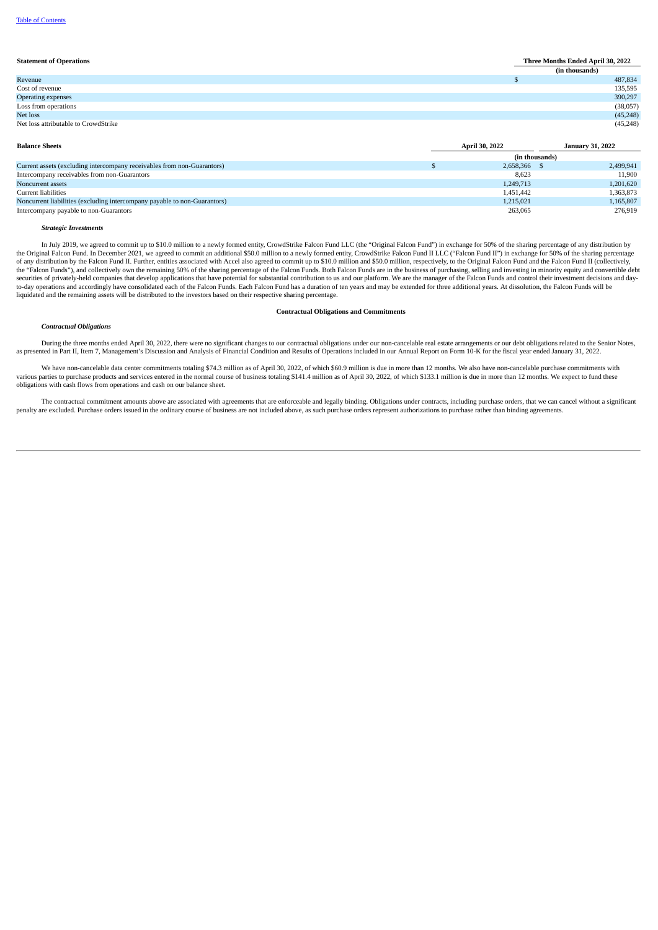# **Statement of Operations Three Months Ended April 30, 2022 (in thousands)** Revenue **\$** 487,834 Cost of revenue 135,595 Operating expenses 390,297 Loss from operations (38,057) Net loss (45,248) Net loss attributable to CrowdStrike (45,248)

| <b>Balance Sheets</b>                                                     | <b>April 30, 2022</b> |  | <b>January 31, 2022</b> |
|---------------------------------------------------------------------------|-----------------------|--|-------------------------|
|                                                                           | (in thousands)        |  |                         |
| Current assets (excluding intercompany receivables from non-Guarantors)   | 2,658,366             |  | 2,499,941               |
| Intercompany receivables from non-Guarantors                              | 8.623                 |  | 11.900                  |
| Noncurrent assets                                                         | 1,249,713             |  | 1,201,620               |
| Current liabilities                                                       | 1,451,442             |  | 1,363,873               |
| Noncurrent liabilities (excluding intercompany payable to non-Guarantors) | 1,215,021             |  | 1,165,807               |
| Intercompany payable to non-Guarantors                                    | 263,065               |  | 276,919                 |

#### *Strategic Investments*

In July 2019, we agreed to commit up to \$10.0 million to a newly formed entity, CrowdStrike Falcon Fund LLC (the "Original Falcon Fund") in exchange for 50% of the sharing percentage of any distribution by the Original Falcon Fund. In December 2021, we agreed to commit an additional \$50.0 million to a newly formed entity, CrowdStrike Falcon Fund II LLC ("Falcon Fund II") in exchange for 50% of the sharing percentage<br>of any d securities of privately-held companies that develop applications that have potential for substantial contribution to us and our platform. We are the manager of the Falcon Funds and control their investment decisions and da liquidated and the remaining assets will be distributed to the investors based on their respective sharing percentage.

### **Contractual Obligations and Commitments**

#### *Contractual Obligations*

During the three months ended April 30, 2022, there were no significant changes to our contractual obligations under our non-cancelable real estate arrangements or our debt obligations related to the Senior Notes,<br>as prese

We have non-cancelable data center commitments totaling \$74.3 million as of April 30, 2022, of which \$60.9 million is due in more than 12 months. We also have non-cancelable purchase commitments with various parties to purchase products and services entered in the normal course of business totaling \$141.4 million as of April 30, 2022, of which \$133.1 million is due in more than 12 months. We expect to fund these obligations with cash flows from operations and cash on our balance sheet.

The contractual commitment amounts above are associated with agreements that are enforceable and legally binding. Obligations under contracts, including purchase orders, that we can cancel without a significant penalty are excluded. Purchase orders issued in the ordinary course of business are not included above, as such purchase orders represent authorizations to purchase rather than binding agreements.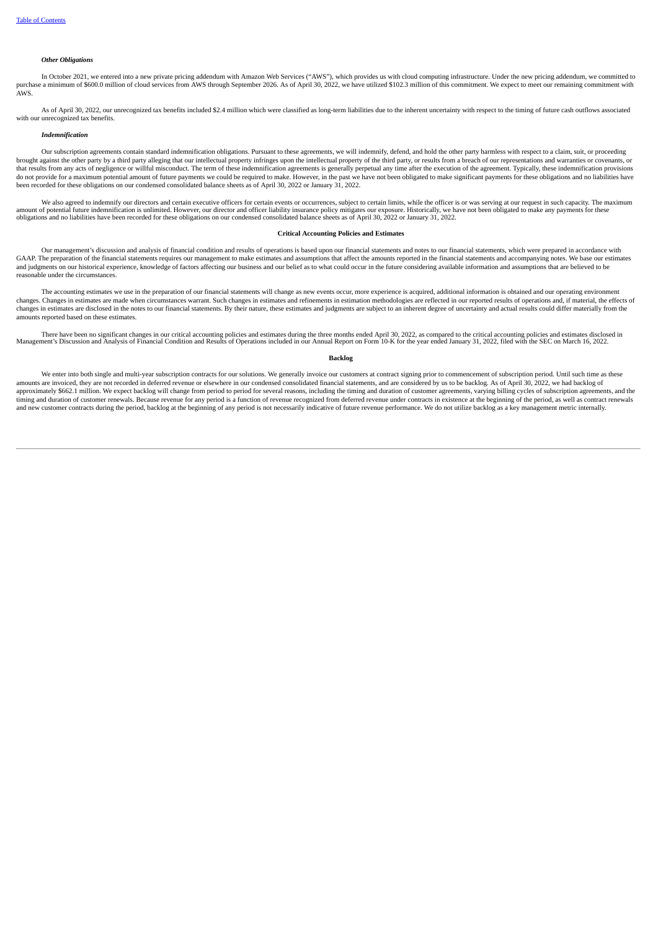# *Other Obligations*

In October 2021, we entered into a new private pricing addendum with Amazon Web Services ("AWS"), which provides us with cloud computing infrastructure. Under the new pricing addendum, we committed to purchase a minimum of \$600.0 million of cloud services from AWS through September 2026. As of April 30, 2022, we have utilized \$102.3 million of this commitment. We expect to meet our remaining commitment with AWS.

As of April 30, 2022, our unrecognized tax benefits included \$2.4 million which were classified as long-term liabilities due to the inherent uncertainty with respect to the timing of future cash outflows associated with our unrecognized tax benefits.

### *Indemnification*

Our subscription agreements contain standard indemnification obligations. Pursuant to these agreements, we will indemnify, defend, and hold the other party harmless with respect to a claim, suit, or proceeding brought against the other party by a third party alleging that our intellectual property infringes upon the intellectual property of the third party, or results from a breach of our representations and warranties or covena do not provide for a maximum potential amount of future payments we could be required to make. However, in the past we have not been obligated to make significant payments for these obligations and no liabilities have not been recorded for these obligations on our condensed consolidated balance sheets as of April 30, 2022 or January 31, 2022.

We also agreed to indemnify our directors and certain executive officers for certain events or occurrences, subject to certain limits, while the officer is or was serving at our request in such capacity. The maximum amount of potential future indemnification is unlimited. However, our director and officer liability insurance policy mitigates our exposure. Historically, we have not been obligated to make any payments for these<br>obligati

### **Critical Accounting Policies and Estimates**

Our management's discussion and analysis of financial condition and results of operations is based upon our financial statements and notes to our financial statements, which were prepared in accordance with GAAP. The preparation of the financial statements requires our management to make estimates and assumptions that affect the amounts reported in the financial statements and accompanying notes. We base our estimates<br>and jud reasonable under the circumstances.

The accounting estimates we use in the preparation of our financial statements will change as new events occur, more experience is acquired, additional information is obtained and our operating environment changes. Changes in estimates are made when circumstances warrant. Such changes in estimates and refinements in estimation methodologies are reflected in our reported results of operations and, if material, the effects of changes in estimates are disclosed in the notes to our financial statements. By their nature, these estimates and judgments are subject to an inherent degree of uncertainty and actual results could differ materially from the amounts reported based on these estimates.

There have been no significant changes in our critical accounting policies and estimates during the three months ended April 30, 2022, as compared to the critical accounting policies and estimates disclosed in exults of Op

#### **Backlog**

We enter into both single and multi-year subscription contracts for our solutions. We generally invoice our customers at contract signing prior to commencement of subscription period. Until such time as these amounts are invoiced, they are not recorded in deferred revenue or elsewhere in our condensed consolidated financial statements, and are considered by us to be backlog. As of April 30, 2022, we had backlog of approximately \$662.1 million. We expect backlog will change from period to period for several reasons, including the timing and duration of customer agreements, varying billing cycles of subscription agreements, and the in timing and duration of customer renewals. Because revenue for any period is a function of revenue recognized from deferred revenue under contracts in existence at the beginning of the period, as well as contract renewals and new customer contracts during the period, backlog at the beginning of any period is not necessarily indicative of future revenue performance. We do not utilize backlog as a key management metric internally.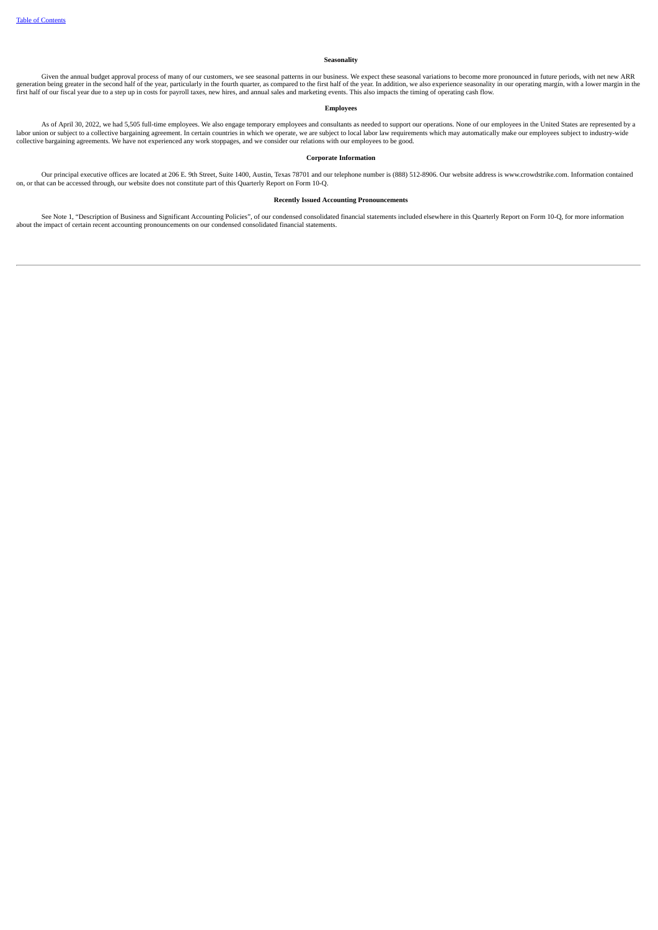# **Seasonality**

Given the annual budget approval process of many of our customers, we see seasonal patterns in our business. We expect these seasonal variations to become more pronounced in future periods, with net new ARR expertence seas

# **Employees**

As of April 30, 2022, we had 5,505 full-time employees. We also engage temporary employees and consultants as needed to support our operations. None of our employees in the United States are represented by a labor union or subject to a collective bargaining agreement. In certain countries in which we operate, we are subject to local labor law requirements which may automatically make our employees subject to industry-wide collective bargaining agreements. We have not experienced any work stoppages, and we consider our relations with our employees to be good.

# **Corporate Information**

Our principal executive offices are located at 206 E. 9th Street, Suite 1400, Austin, Texas 78701 and our telephone number is (888) 512-8906. Our website address is www.crowdstrike.com. Information contained on, or that can be accessed through, our website does not constitute part of this Quarterly Report on Form 10-Q.

# **Recently Issued Accounting Pronouncements**

See Note 1, "Description of Business and Significant Accounting Policies", of our condensed consolidated financial statements included elsewhere in this Quarterly Report on Form 10-Q, for more information about the impact of certain recent accounting pronouncements on our condensed consolidated financial statements.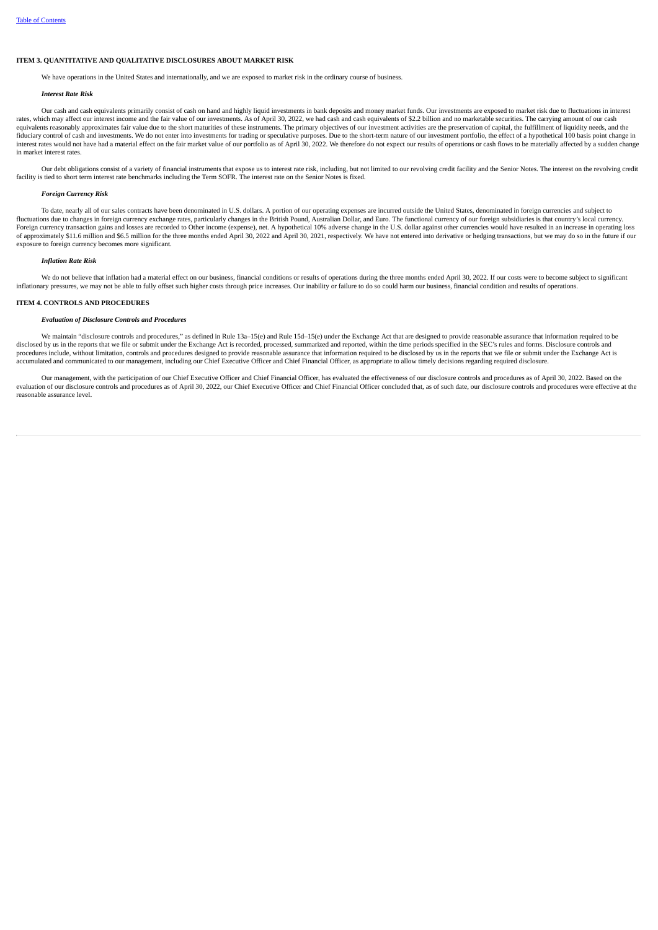# **ITEM 3. QUANTITATIVE AND QUALITATIVE DISCLOSURES ABOUT MARKET RISK**

We have operations in the United States and internationally, and we are exposed to market risk in the ordinary course of business.

### *Interest Rate Risk*

Our cash and cash equivalents primarily consist of cash on hand and highly liquid investments in bank deposits and money market funds. Our investments are exposed to market risk due to fluctuations in interest rates, which may affect our interest income and the fair value of our investments. As of April 30, 2022, we had cash and cash and cash and cash and cash and cash and cash equivalents of \$2.2 billion and no marketable secur equivalents reasonably approximates fair value due to the short maturities of these instruments. The primary objectives of our investment activities are the preservation of capital, the fulfillment of liquidity needs, and fiduciary control of cash and investments. We do not enter into investments for trading or speculative purposes. Due to the short-term nature of our investment portfolio, the effect of a hypothetical 100 basis point change interest rates would not have had a material effect on the fair market value of our portfolio as of April 30, 2022. We therefore do not expect our results of operations or cash flows to be materially affected by a sudden c in market interest rates.

Our debt obligations consist of a variety of financial instruments that expose us to interest rate risk, including, but not limited to our revolving credit facility and the Senior Notes. The interest on the revolving credi

#### *Foreign Currency Risk*

To date, nearly all of our sales contracts have been denominated in U.S. dollars. A portion of our operating expenses are incurred outside the United States, denominated in foreign currencies and subject to fluctuations due to changes in foreign currency exchange rates, particularly changes in the British Pound, Australian Dollar, and Euro. The functional currency of our foreign subsidiaries is that country's local currency. Foreign currency transaction gains and losses are recorded to Other income (expense), net. A hypothetical 10% adverse change in the U.S. dollar against other currencies would have resulted in an increase in operating loss<br> exposure to foreign currency becomes more significant.

# *Inflation Rate Risk*

We do not believe that inflation had a material effect on our business, financial conditions or results of operations during the three months ended April 30, 2022. If our costs were to become subject to significant inflationary pressures, we may not be able to fully offset such higher costs through price increases. Our inability or failure to do so could harm our business, financial condition and results of operations.

### **ITEM 4. CONTROLS AND PROCEDURES**

# *Evaluation of Disclosure Controls and Procedures*

We maintain "disclosure controls and procedures." as defined in Rule 13a–15(e) and Rule 15d–15(e) under the Exchange Act that are designed to provide reasonable assurance that information required to be disclosed by us in the reports that we file or submit under the Exchange Act is recorded, processed, summarized and reported, within the time periods specified in the SEC's rules and forms. Disclosure controls and in the S procedures include, without limitation, controls and procedures designed to provide reasonable assurance that information required to be disclosed by us in the reports that we file or submit under the Exchange Act is accumulated and communicated to our management, including our Chief Executive Officer and Chief Financial Officer, as appropriate to allow timely decisions regarding required disclosure.

Our management, with the participation of our Chief Executive Officer and Chief Financial Officer, has evaluated the effectiveness of our disclosure controls and procedures as of April 30, 2022. Based on the evaluation of our disclosure controls and procedures as of April 30, 2022, our Chief Executive Officer and Chief Financial Officer concluded that, as of such date, our disclosure controls and procedures were effective at the reasonable assurance level.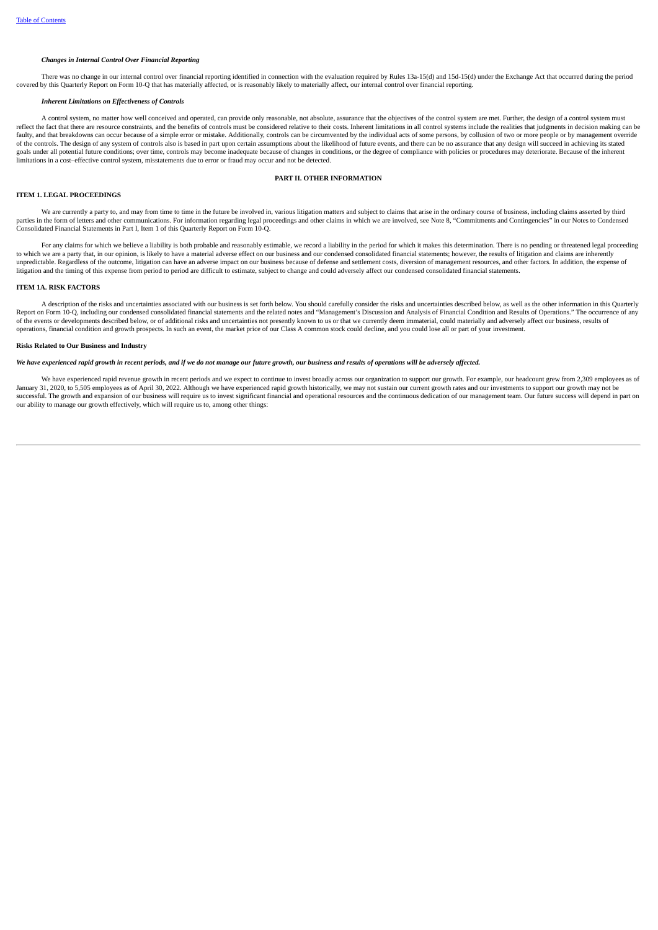### *Changes in Internal Control Over Financial Reporting*

There was no change in our internal control over financial reporting identified in connection with the evaluation required by Rules 13a-15(d) and 15d-15(d) under the Exchange Act that occurred during the period covered by this Quarterly Report on Form 10-Q that has materially affected, or is reasonably likely to materially affect, our internal control over financial reporting.

# *Inherent Limitations on Effectiveness of Controls*

A control system, no matter how well conceived and operated, can provide only reasonable, not absolute, assurance that the objectives of the control system are met. Further, the design of a control system must reflect the fact that there are resource constraints, and the benefits of controls must be considered relative to their costs. Inherent limitations in all control systems include the realities that judgments in decision ma faulty, and that breakdowns can occur because of a simple error or mistake. Additionally, controls can be circumvented by the individual acts of some persons, by collusion of two or more people or by management override of the controls. The design of any system of controls also is based in part upon certain assumptions about the likelihood of future events, and there can be no assurance that any design will succeed in achieving its stated goals under all potential future conditions; over time, controls may become inadequate because of changes in conditions, or the degree of compliance with policies or procedures may deteriorate. Because of the inherent goal limitations in a cost–effective control system, misstatements due to error or fraud may occur and not be detected.

# **PART II. OTHER INFORMATION**

# **ITEM 1. LEGAL PROCEEDINGS**

We are currently a party to, and may from time to time in the future be involved in, various litigation matters and subject to claims that arise in the ordinary course of business, including claims asserted by third parties in the form of letters and other communications. For information regarding legal proceedings and other claims in which we are involved, see Note 8, "Commitments and Contingencies" in our Notes to Condensed Consolidated Financial Statements in Part I, Item 1 of this Quarterly Report on Form 10-Q.

For any claims for which we believe a liability is both probable and reasonably estimable, we record a liability in the period for which it makes this determination. There is no pending or threatened legal proceeding to which we are a party that, in our opinion, is likely to have a material adverse effect on our business and our condensed consolidated financial statements; however, the results of litigation and claims are inherently unpredictable. Regardless of the outcome, litigation can have an adverse impact on our business because of defense and settlement costs, diversion of management resources, and other factors. In addition, the expense of litigation and the timing of this expense from period to period are difficult to estimate, subject to change and could adversely affect our condensed consolidated financial statements.

### **ITEM 1A. RISK FACTORS**

A description of the risks and uncertainties associated with our business is set forth below. You should carefully consider the risks and uncertainties described below, as well as the other information in this Quarterly Report on Form 10-Q, including our condensed consolidated financial statements and the related notes and "Management's Discussion and Analysis of Financial Condition and Results of Operations." The occurrence of any of the events or developments described below, or of additional risks and uncertainties not presently known to us or that we currently deem immaterial, could materially and adversely affect our business, results of operations, financial condition and growth prospects. In such an event, the market price of our Class A common stock could decline, and you could lose all or part of your investment.

### **Risks Related to Our Business and Industry**

# We have experienced rapid growth in recent periods, and if we do not manage our future growth, our business and results of operations will be adversely affected.

We have experienced rapid revenue growth in recent periods and we expect to continue to invest broadly across our organization to support our growth. For example, our headcount grew from 2,309 employees as of January 31, 2020, to 5,505 employees as of April 30, 2022. Although we have experienced rapid growth historically, we may not sustain our current growth rates and our investments to support our growth may not be successful. The growth and expansion of our business will require us to invest significant financial and operational resources and the continuous dedication of our management team. Our future success will depend in part on our ability to manage our growth effectively, which will require us to, among other things: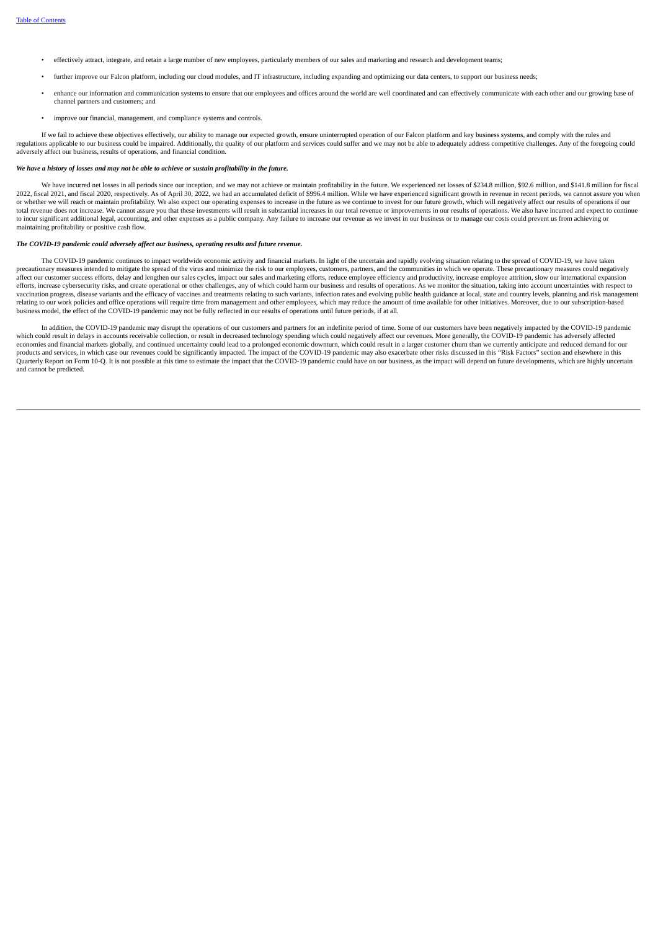- effectively attract, integrate, and retain a large number of new employees, particularly members of our sales and marketing and research and development teams;
- further improve our Falcon platform, including our cloud modules, and IT infrastructure, including expanding and optimizing our data centers, to support our business needs;
- enhance our information and communication systems to ensure that our employees and offices around the world are well coordinated and can effectively communicate with each other and our growing base of channel partners and customers; and
- improve our financial, management, and compliance systems and controls.

If we fail to achieve these objectives effectively, our ability to manage our expected growth, ensure uninterrupted operation of our Falcon platform and key business systems, and comply with the rules and complex with the adversely affect our business, results of operations, and financial condition.

# We have a history of losses and may not be able to achieve or sustain profitability in the future.

We have incurred net losses in all periods since our inception, and we may not achieve or maintain profitability in the future. We experienced net losses of \$234.8 million, \$92.6 million, and \$141.8 million for fiscal 2022, fiscal 2021, and fiscal 2020, respectively. As of April 30, 2022, we had an accumulated deficit of \$996.4 million. While we have experienced significant growth in revenue in recent periods, we cannot assure you when<br> total revenue does not increase. We cannot assure you that these investments will result in substantial increases in our total revenue or improvements in our results of operations. We also have incurred and expect to conti to incur significant additional legal, accounting, and other expenses as a public company. Any failure to increase our revenue as we invest in our business or to manage our costs could prevent us from achieving or maintaining profitability or positive cash flow.

#### *The COVID-19 pandemic could adversely affect our business, operating results and future revenue.*

The COVID-19 pandemic continues to impact worldwide economic activity and financial markets. In light of the uncertain and rapidly evolving situation relating to the spread of COVID-19, we have taken precautionary measures intended to mitigate the spread of the virus and minimize the risk to our employees, customers, partners, and the communities in which we operate. These precautionary measures could negatively affect our customer success efforts, delay and lengthen our sales cycles, impact our sales and marketing efforts, reduce employee efficiency and productivity, increase employee attrition, slow our international expansion efforts, increase cybersecurity risks, and create operational or other challenges, any of which could harm our business and results of operations. As we monitor the situation, taking into account uncertainties with respect vaccination progress, disease variants and the efficacy of vaccines and treatments relating to such variants, infection rates and evolving public health guidance at local, state and country levels, planning and risk manage relating to our work policies and office operations will require time from management and other employees, which may reduce the amount of time available for other initiatives. Moreover, due to our subscription-based business model, the effect of the COVID-19 pandemic may not be fully reflected in our results of operations until future periods, if at all.

In addition, the COVID-19 pandemic may disrupt the operations of our customers and partners for an indefinite period of time. Some of our customers have been negatively impacted by the COVID-19 pandemic<br>which could result economies and financial markets globally, and continued uncertainty could lead to a prolonged economic downturn, which could result in a larger customer churn than we currently anticipate and reduced demand for our products and services, in which case our revenues could be significantly impacted. The impact of the COVID-19 pandemic may also exacerbate other risks discussed in this "Risk Factors" section and elsewhere in this Quarterly Report on Form 10-Q. It is not possible at this time to estimate the impact that the COVID-19 pandemic could have on our business, as the impact will depend on future developments, which are highly uncertain and cannot be predicted.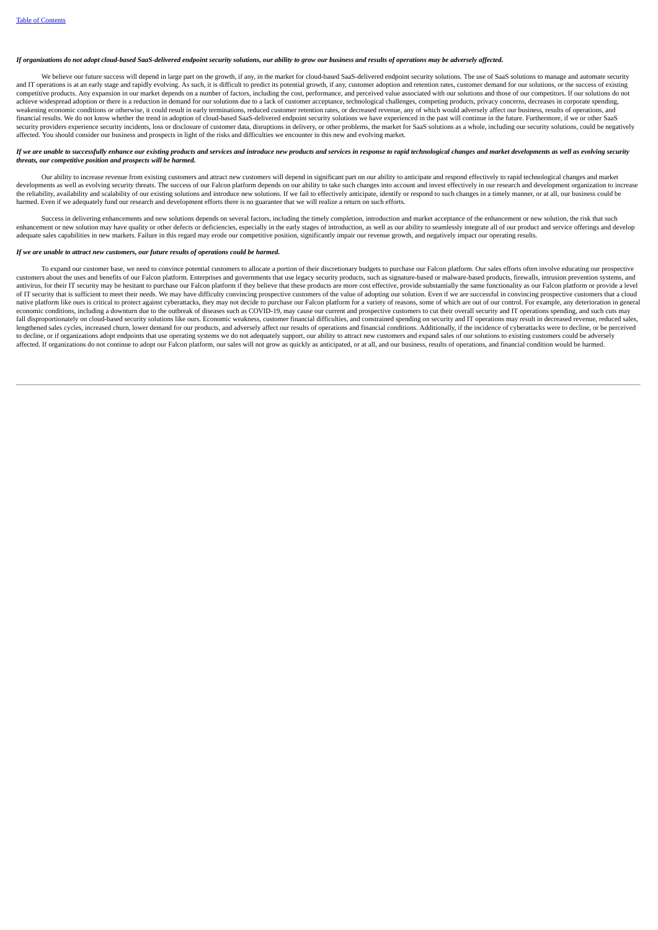### If organizations do not adont cloud-based SaaS-delivered endnoint security solutions, our ability to arow our business and results of operations may be adversely affected.

We believe our future success will depend in large part on the growth, if any, in the market for cloud-based SaaS-delivered endpoint security solutions. The use of SaaS solutions to manage and automate security and IT operations is at an early stage and rapidly evolving. As such it is difficult to predict its potential growth if any customer adoption and retention rates, customer demand for our solutions, or the success of existi competitive products. Any expansion in our market depends on a number of factors, including the cost, performance, and perceived value associated with our solutions and those of our competitors. If our solutions do not com achieve widespread adoption or there is a reduction in demand for our solutions due to a lack of customer acceptance, technological challenges, competing products, privacy concerns, decreases in corporate spending, weakening economic conditions or otherwise, it could result in early terminations, reduced customer retention rates, or decreased revenue, any of which would adversely affect our business, results of operations, and financial results. We do not know whether the trend in adoption of cloud-based SaaS-delivered endpoint security solutions we have experienced in the past will continue in the future. Furthermore, if we or other SaaS security providers experience security incidents, loss or disclosure of customer data, disruptions in delivery, or other problems, the market for SaaS solutions as a whole, including our security solutions, could be negati affected. You should consider our business and prospects in light of the risks and difficulties we encounter in this new and evolving market.

### If we are unable to successfully enhance our existing products and services and introduce new products and services in response to rapid technological changes and market developments as well as evolving security *threats, our competitive position and prospects will be harmed.*

Our ability to increase revenue from existing customers and attract new customers will depend in significant part on our ability to anticipate and respond effectively to rapid technological changes and market developments as well as evolving security threats. The success of our Falcon platform depends on our ability to take such changes into account and invest effectively in our research and development organization to increase the reliability, availability and scalability of our existing solutions and introduce new solutions. If we fail to effectively anticipate, identify or respond to such changes in a timely manner, or at all, our business cou harmed. Even if we adequately fund our research and development efforts there is no guarantee that we will realize a return on such efforts.

Success in delivering enhancements and new solutions depends on several factors, including the timely completion, introduction and market acceptance of the enhancement or new solution, the risk that such enhancement or new solution may have quality or other defects or deficiencies, especially in the early stages of introduction, as well as our ability to seamlessly integrate all of our product and service offerings and dev adequate sales capabilities in new markets. Failure in this regard may erode our competitive position, significantly impair our revenue growth, and negatively impact our operating results.

### *If we are unable to attract new customers, our future results of operations could be harmed.*

To expand our customer base, we need to convince potential customers to allocate a portion of their discretionary budgets to purchase our Falcon platform. Our sales efforts often involve educating our prospective customers about the uses and benefits of our Falcon platform. Enterprises and governments that use legacy security products, such as signature-based or malware-based products, firewalls, intrusion prevention systems, and antivirus, for their IT security may be hesitant to purchase our Falcon platform if they believe that these products are more cost effective, provide substantially the same functionality as our Falcon platform or provide a of IT security that is sufficient to meet their needs. We may have difficulty convincing prospective customers of the value of adopting our solution. Even if we are successful in convincing prospective customers that a cloud native platform like ours is critical to protect against cyberattacks, they may not decide to purchase our Falcon platform for a variety of reasons, some of which are out of our control. For example, any deterioration in g economic conditions, including a downturn due to the outbreak of diseases such as COVID-19, may cause our current and prospective customers to cut their overall security and IT operations spending, and such cuts may fall disproportionately on cloud-based security solutions like ours. Economic weakness, customer financial difficulties, and constrained spending on security and IT operations may result in decreased revenue, reduced sales, lengthened sales cycles, increased churn, lower demand for our products, and adversely affect our results of operations and financial conditions. Additionally, if the incidence of cyberattacks were to decline, or be percei affected. If organizations do not continue to adopt our Falcon platform, our sales will not grow as quickly as anticipated, or at all, and our business, results of operations, and financial condition would be harmed.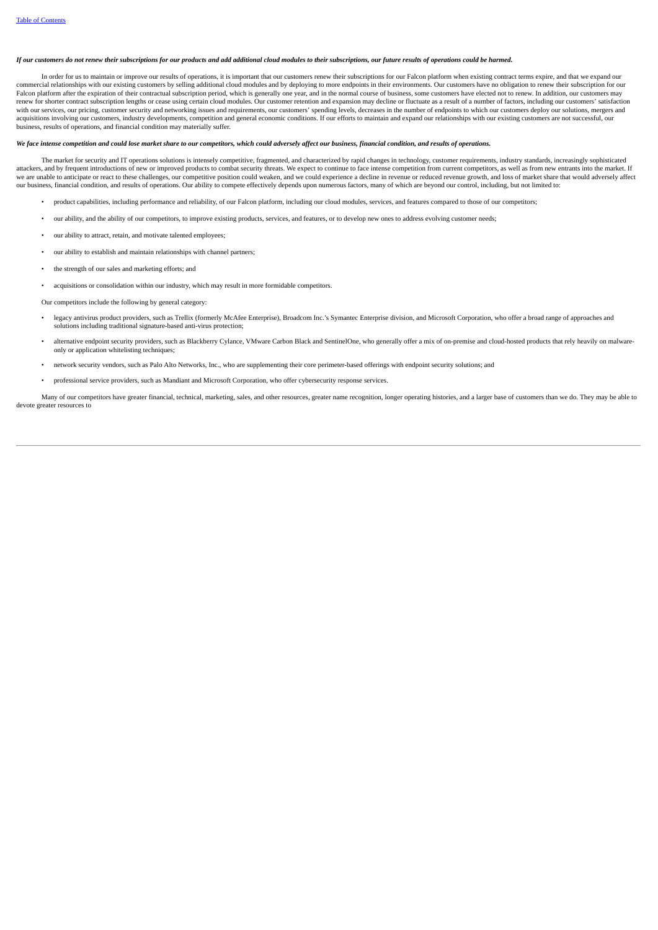# If our customers do not renew their subscriptions for our products and add additional cloud modules to their subscriptions, our future results of operations could be harmed.

In order for us to maintain or improve our results of operations, it is important that our customers renew their subscriptions for our Falcon platform when existing contract terms expire, and that we expand our commercial relationships with our existing customers by selling additional cloud modules and by deploying to more endpoints in their environments. Our customers have no obligation to renew their subscription for our Falcon platform after the expiration of their contractual subscription period, which is generally one year, and in the normal course of business, some customers have elected not to renew. In addition, our customers may hav renew for shorter contract subscription lengths or cease using certain cloud modules. Our customer retention and expansion may decline or fluctuate as a result of a number of factors, including our customers' satisfaction with our services, our pricing, customer security and networking issues and requirements, our customers' spending levels, decreases in the number of endpoints to which our customers deploy our solutions, mergers and<br>acquis business, results of operations, and financial condition may materially suffer.

### We face intense competition and could lose market share to our competitors, which could adversely affect our business, financial condition, and results of operations,

The market for security and IT operations solutions is intensely competitive, fragmented, and characterized by rapid changes in technology, customer requirements, industry standards, increasingly sophisticated attackers, and by frequent introductions of new or improved products to combat security threats. We expect to continue to face intense competition from current competitors, as well as from new entrants into the market. If we are unable to anticipate or react to these challenges, our competitive position could weaken, and we could experience a decline in revenue or reduced revenue growth, and loss of market share that would adversely affect our business, financial condition, and results of operations. Our ability to compete effectively depends upon numerous factors, many of which are beyond our control, including, but not limited to:

- product capabilities, including performance and reliability, of our Falcon platform, including our cloud modules, services, and features compared to those of our competitors;
- our ability, and the ability of our competitors, to improve existing products, services, and features, or to develop new ones to address evolving customer needs;
- our ability to attract, retain, and motivate talented employees;
- our ability to establish and maintain relationships with channel partners;
- the strength of our sales and marketing efforts; and
- acquisitions or consolidation within our industry, which may result in more formidable competitors.

Our competitors include the following by general category:

- legacy antivirus product providers, such as Trellix (formerly McAfee Enterprise), Broadcom Inc.'s Symantec Enterprise division, and Microsoft Corporation, who offer a broad range of approaches and solutions including traditional signature-based anti-virus protection;
- alternative endpoint security providers, such as Blackberry Cylance, VMware Carbon Black and SentinelOne, who generally offer a mix of on-premise and cloud-hosted products that rely heavily on malwareonly or application whitelisting techniques;
- network security vendors, such as Palo Alto Networks, Inc., who are supplementing their core perimeter-based offerings with endpoint security solutions; and
- professional service providers, such as Mandiant and Microsoft Corporation, who offer cybersecurity response services.

Many of our competitors have greater financial, technical, marketing, sales, and other resources, greater name recognition, longer operating histories, and a larger base of customers than we do. They may be able to devote greater resources to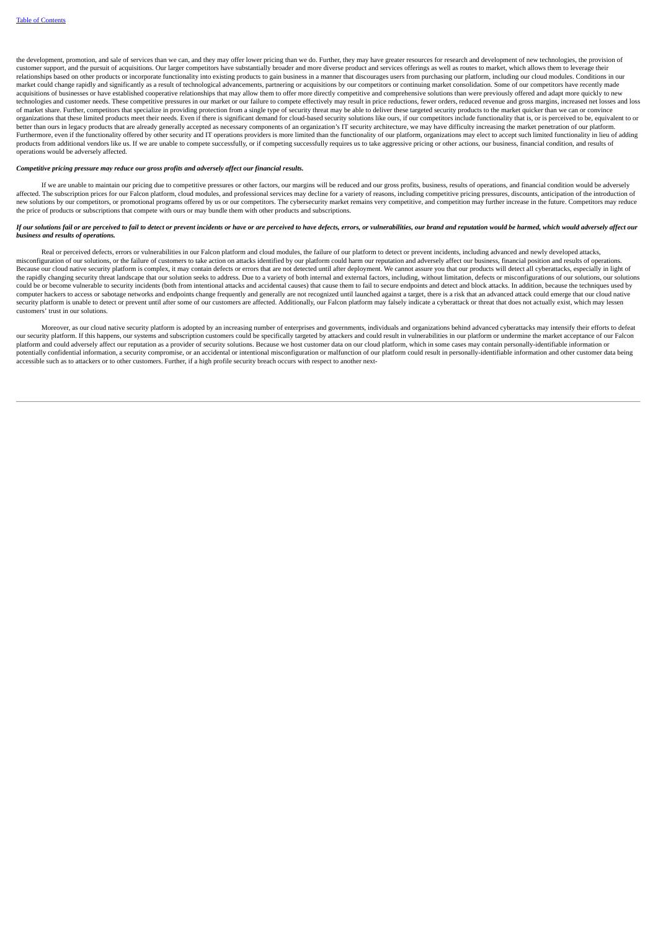the development, promotion, and sale of services than we can, and they may offer lower pricing than we do. Further, they may have greater resources for research and development of new technologies, the provision of customer support, and the pursuit of acquisitions. Our larger competitors have substantially broader and more diverse product and services offerings as well as routes to market, which allows them to leverage their relationships based on other products or incorporate functionality into existing products to gain business in a manner that discourages users from purchasing our platform, including our cloud modules. Conditions in our market could change rapidly and significantly as a result of technological advancements, partnering or acquisitions by our competitors or continuing market consolidation. Some of our competitors have recently made acquisitions of businesses or have established cooperative relationships that may allow them to offer more directly competitive and comprehensive solutions than were previously offered and adapt more quickly to new technologies and customer needs. These competitive pressures in our market or our failure to compete effectively may result in price reductions, fewer orders, reduced revenue and gross margins, increased net losses and loss of market share. Further, competitors that specialize in providing protection from a single type of security threat may be able to deliver these targeted security products to the market quicker than we can or convince<br>orga better than ours in legacy products that are already generally accepted as necessary components of an organization's IT security architecture, we may have difficulty increasing the market penetration of our platform. Furthermore, even if the functionality offered by other security and IT operations providers is more limited than the functionality of our platform, organizations may elect to accept such limited functionality in lieu of a products from additional vendors like us. If we are unable to compete successfully, or if competing successfully requires us to take aggressive pricing or other actions, our business, financial condition, and results of operations would be adversely affected.

### *Competitive pricing pressure may reduce our gross profits and adversely affect our financial results.*

If we are unable to maintain our pricing due to competitive pressures or other factors, our margins will be reduced and our gross profits, business, results of operations, and financial condition would be adversely affected. The subscription prices for our Falcon platform, cloud modules, and professional services may decline for a variety of reasons, including competitive pricing pressures, discounts, anticipation of the introduction the price of products or subscriptions that compete with ours or may bundle them with other products and subscriptions.

# If our solutions fail or are perceived to fail to detect or prevent incidents or have or are perceived to have defects, errors, or vulnerabilities, our brand and reputation would be harmed, which would adversely affect our *business and results of operations.*

Real or perceived defects, errors or vulnerabilities in our Falcon platform and cloud modules, the failure of our platform to detect or prevent incidents, including advanced and newly developed attacks misconfiguration of our solutions, or the failure of customers to take action on attacks identified by our platform could harm our reputation and adversely affect our business, financial position and results of operations. Because our cloud native security platform is complex, it may contain defects or errors that are not detected until after deployment. We cannot assure you that our products will detect all cyberattacks, especially in light the rapidly changing security threat landscape that our solution seeks to address. Due to a variety of both internal and external factors, including, without limitation, defects or misconfigurations of our solutions, our s could be or become vulnerable to security incidents (both from intentional attacks and accidental causes) that cause them to fail to secure endpoints and detect and block attacks. In addition, because the techniques used b computer hackers to access or sabotage networks and endpoints change frequently and generally are not recognized until launched against a target, there is a risk that an advanced attack could emerge that our cloud native security platform is unable to detect or prevent until after some of our customers are affected. Additionally, our Falcon platform may falsely indicate a cyberattack or threat that does not actually exist, which may lessen customers' trust in our solutions.

Moreover, as our cloud native security platform is adopted by an increasing number of enterprises and governments, individuals and organizations behind advanced cyberattacks may intensify their efforts to defeat<br>our securi platform and could adversely affect our reputation as a provider of security solutions. Because we host customer data on our cloud platform, which in some cases may contain personally-identifiable information or potentially confidential information, a security compromise, or an accidental or intentional misconfiguration or malfunction of our platform could result in personally-identifiable information and other customer data being accessible such as to attackers or to other customers. Further, if a high profile security breach occurs with respect to another next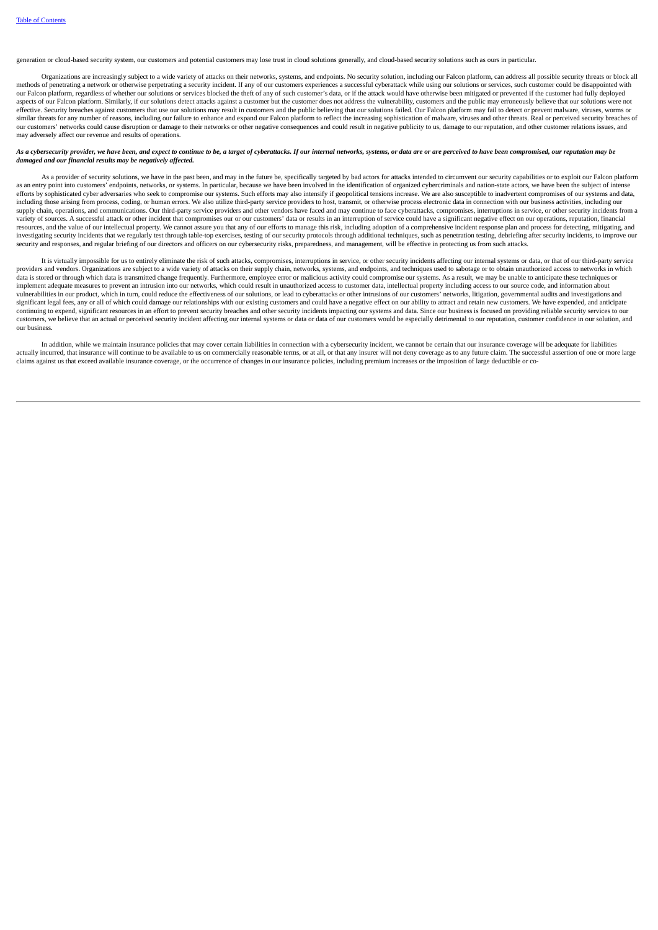generation or cloud-based security system, our customers and potential customers may lose trust in cloud solutions generally, and cloud-based security solutions such as ours in particular.

Organizations are increasingly subject to a wide variety of attacks on their networks, systems, and endpoints. No security solution, including our Falcon platform, can address all possible security threats or block all methods of penetrating a network or otherwise perpetrating a security incident. If any of our customers experiences a successful cyberattack while using our solutions or services, such customer could be disappointed with our Falcon platform, regardless of whether our solutions or services blocked the theft of any of such customer's data, or if the attack would have otherwise been mitigated or prevented if the customer had fully deployed aspects of our Falcon platform. Similarly, if our solutions detect attacks against a customer but the customer does not address the vulnerability, customers and the public may erroneously believe that our solutions were no effective. Security breaches against customers that use our solutions may result in customers and the public believing that our solutions failed. Our Falcon platform may fail to detect or prevent malware, viruses, worms or similar threats for any number of reasons, including our failure to enhance and expand our Falcon platform to reflect the increasing sophistication of malware, viruses and other threats. Real or perceived security breaches our customers' networks could cause disruption or damage to their networks or other negative consequences and could result in negative publicity to us, damage to our reputation, and other customer relations issues, and may adversely affect our revenue and results of operations.

### As a cybersecurity provider, we have been, and expect to continue to be, a target of cyberattacks. If our internal networks, systems, or data are or are perceived to have been compromised, our reputation may be *damaged and our financial results may be negatively affected.*

As a provider of security solutions, we have in the past been, and may in the future be, specifically targeted by bad actors for attacks intended to circumvent our security capabilities or to exploit our Falcon platform as an entry point into customers' endpoints, networks, or systems. In particular, because we have been involved in the identification of organized cybercriminals and nation-state actors, we have been the subject of intense efforts by sophisticated cyber adversaries who seek to compromise our systems. Such efforts may also intensify if geopolitical tensions increase. We are also susceptible to inadvertent compromises of our systems and data, including those arising from process, coding, or human errors. We also utilize third-party service providers to host, transmit, or otherwise process electronic data in connection with our business activities, including our supply chain, operations, and communications. Our third-party service providers and other vendors have faced and may continue to face cyberattacks, compromises, interruptions in service, or other security incidents from a variety of sources. A successful attack or other incident that compromises our or our customers' data or results in an interruption of service could have a significant negative effect on our operations, reputation, financial resources, and the value of our intellectual property. We cannot assure you that any of our efforts to manage this risk, including adoption of a comprehensive incident response plan and process for detecting, mitigating, and investigating security incidents that we regularly test through table-top exercises, testing of our security protocols through additional techniques, such as penetration testing, debriefing after security incidents, to imp security and responses, and regular briefing of our directors and officers on our cybersecurity risks, preparedness, and management, will be effective in protecting us from such attacks.

It is virtually impossible for us to entirely eliminate the risk of such attacks, compromises, interruptions in service, or other security incidents affecting our internal systems or data, or that of our third-party service providers and vendors. Organizations are subject to a wide variety of attacks on their supply chain, networks, systems, and endpoints, and techniques used to sabotage or to obtain unauthorized access to networks in which data is stored or through which data is transmitted change frequently. Furthermore, employee error or malicious activity could compromise our systems. As a result, we may be unable to anticipate these techniques or implement adequate measures to prevent an intrusion into our networks, which could result in unauthorized access to customer data, intellectual property including access to our source code, and information about vulnerabilities in our product, which in turn, could reduce the effectiveness of our solutions, or lead to cyberattacks or other intrusions of our customers' networks, litigation, governmental audits and investigations and significant legal fees, any or all of which could damage our relationships with our existing customers and could have a negative effect on our ability to attract and retain new customers. We have expended, and anticipate continuing to expend, significant resources in an effort to prevent security breaches and other security incidents impacting our systems and data. Since our business is focused on providing reliable security services to our customers, we believe that an actual or perceived security incident affecting our internal systems or data or data of our customers would be especially detrimental to our reputation, customer confidence in our solution, and our business.

In addition, while we maintain insurance policies that may cover certain liabilities in connection with a cybersecurity incident, we cannot be certain that our insurance coverage will be adequate for liabilities actually incurred, that insurance will continue to be available to us on commercially reasonable terms, or at all, or that any insurer will not deny coverage as to any future claim. The successful assertion of one or more claims against us that exceed available insurance coverage, or the occurrence of changes in our insurance policies, including premium increases or the imposition of large deductible or co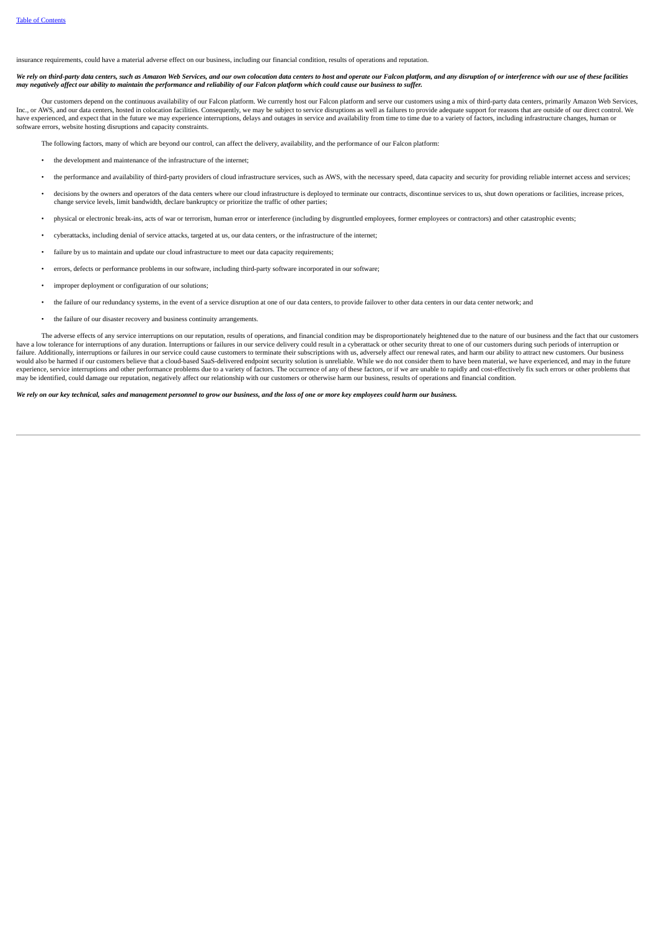insurance requirements, could have a material adverse effect on our business, including our financial condition, results of operations and reputation.

We rely on third-party data centers, such as Amazon Web Services, and our own colocation data centers to host and operate our Falcon platform, and any disruption of or interference with our use of these facilities no construction of the property of the property of the property of the construction of the construction of the property of the property of the property of the property of the property of the property of the property of the

Our customers depend on the continuous availability of our Falcon platform. We currently host our Falcon platform and serve our customers using a mix of third-party data centers, primarily Amazon Web Services, Inc., or AWS, and our data centers, hosted in colocation facilities. Consequently, we may be subject to service disruptions as well as failures to provide adequate support for reasons that are outside of our direct control software errors, website hosting disruptions and capacity constraints.

The following factors, many of which are beyond our control, can affect the delivery, availability, and the performance of our Falcon platform:

- the development and maintenance of the infrastructure of the internet;
- the performance and availability of third-party providers of cloud infrastructure services, such as AWS, with the necessary speed, data capacity and security for providing reliable internet access and services;
- decisions by the owners and operators of the data centers where our cloud infrastructure is deployed to terminate our contracts, discontinue services to us, shut down operations or facilities, increase prices, change ser
- physical or electronic break-ins, acts of war or terrorism, human error or interference (including by disgruntled employees, former employees or contractors) and other catastrophic events;
- cyberattacks, including denial of service attacks, targeted at us, our data centers, or the infrastructure of the internet;
- failure by us to maintain and update our cloud infrastructure to meet our data capacity requirements;
- errors, defects or performance problems in our software, including third-party software incorporated in our software;
- improper deployment or configuration of our solutions;
- the failure of our redundancy systems, in the event of a service disruption at one of our data centers, to provide failover to other data centers in our data center network; and
- the failure of our disaster recovery and business continuity arrangements.

The adverse effects of any service interruptions on our reputation, results of operations, and financial condition may be disproportionately heightened due to the pature of our business and the fact that our customers have a low tolerance for interruptions of any duration. Interruptions or failures in our service delivery could result in a cyberattack or other security threat to one of our customers during such periods of interruption o failure. Additionally, interruptions or failures in our service could cause customers to terminate their subscriptions with us, adversely affect our renewal rates, and harm our ability to attract new customers. Our business would also be harmed if our customers believe that a cloud-based SaaS-delivered endpoint security solution is unreliable. While we do not consider them to have been material, we have experienced, and may in the future<br>expe may be identified, could damage our reputation, negatively affect our relationship with our customers or otherwise harm our business, results of operations and financial condition.

We rely on our key technical, sales and management personnel to grow our business, and the loss of one or more key employees could harm our business.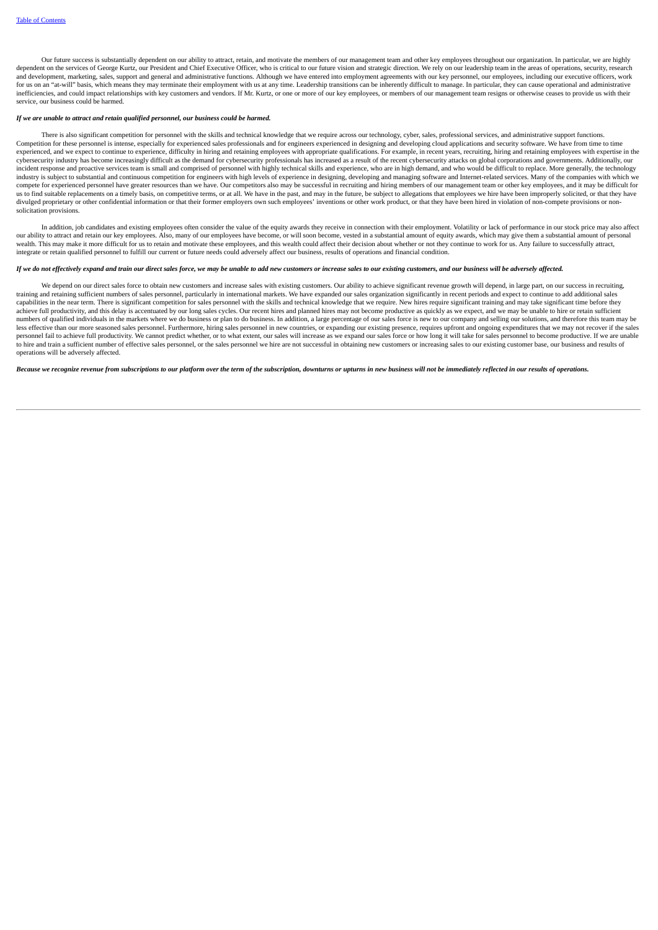Our future success is substantially dependent on our ability to attract, retain, and motivate the members of our management team and other key employees throughout our organization. In particular, we are highly dependent on the services of George Kurtz, our President and Chief Executive Officer, who is critical to our future vision and strategic direction. We rely on our leadership team in the areas of operations, security, resea and development, marketing, sales, support and general and administrative functions. Although we have entered into employment agreements with our key personnel, our employees, including our executive officers, work for us on an "at-will" basis, which means they may terminate their employment with us at any time. Leadership transitions can be inherently difficult to manage. In particular, they can cause operational and administrative inefficiencies, and could impact relationships with key customers and vendors. If Mr. Kurtz, or one or more of our key employees, or members of our management team resigns or otherwise ceases to provide us with their service, our business could be harmed.

# *If we are unable to attract and retain qualified personnel, our business could be harmed.*

There is also significant competition for personnel with the skills and technical knowledge that we require across our technology, cyber, sales, professional services, and administrative support functions. Competition for these personnel is intense, especially for experienced sales professionals and for engineers experienced in designing and developing cloud applications and security software. We have from time to time experienced, and we expect to continue to experience, difficulty in hiring and retaining employees with appropriate qualifications. For example, in recent years, recruiting, hiring and retaining employees with hiring and r cybersecurity industry has become increasingly difficult as the demand for cybersecurity professionals has increased as a result of the recent cybersecurity attacks on global corporations and governments. Additionally, our incident response and proactive services team is small and comprised of personnel with highly technical skills and experience, who are in high demand, and who would be difficult to replace. More generally, the technology industry is subject to substantial and continuous competition for engineers with high levels of experience in designing, developing and managing software and Internet-related services. Many of the companies with which we<br>i compete for experienced personnel have greater resources than we have. Our competitors also may be successful in recruiting and hiring members of our management team or other key employees, and it may be difficult for us to find suitable replacements on a timely basis, on competitive terms, or at all. We have in the past, and may in the future, be subject to allegations that employees we hire have been improperly solicited, or that they solicitation provisions.

In addition, job candidates and existing employees often consider the value of the equity awards they receive in connection with their employment. Volatility or lack of performance in our stock price may also affect our ability to attract and retain our key employees. Also, many of our employees have become, or will soon become, vested in a substantial amount of equity awards, which may give them a substantial amount of personal wealth. This may make it more difficult for us to retain and motivate these employees, and this wealth could affect their decision about whether or not they continue to work for us. Any failure to successfully attract, integrate or retain qualified personnel to fulfill our current or future needs could adversely affect our business, results of operations and financial condition.

# If we do not effectively expand and train our direct sales force, we may be unable to add new customers or increase sales to our existing customers, and our business will be adversely affected.

We depend on our direct sales force to obtain new customers and increase sales with existing customers. Our ability to achieve significant revenue growth will depend, in large part, on our success in recruiting, training and retaining sufficient numbers of sales personnel, particularly in international markets. We have expanded our sales organization significantly in recent periods and expect to continue to add additional sales capabilities in the near term. There is significant competition for sales personnel with the skills and technical knowledge that we require. New hires require significant training and may take significant time before they achieve full productivity, and this delay is accentuated by our long sales cycles. Our recent hires and planned hires may not become productive as quickly as we expect, and we may be unable to hire or retain sufficient numbers of qualified individuals in the markets where we do business or plan to do business. In addition, a large percentage of our sales force is new to our company and selling our solutions, and therefore this team may b less effective than our more seasoned sales personnel. Furthermore, hiring sales personnel in new countries, or expanding our existing presence, requires upfront and ongoing expenditures that we may not recover if the sale experience to the control of the control of the control of the control of the control of the control of the control of the control of the control of the control of the control of the control of the control of the control o to hire and train a sufficient number of effective sales personnel, or the sales personnel we hire are not successful in obtaining new customers or increasing sales to our existing customer base, our business and results of operations will be adversely affected.

# Because we recognize revenue from subscriptions to our platform over the term of the subscription, downturns or upturns in new business will not be immediately reflected in our results of operations.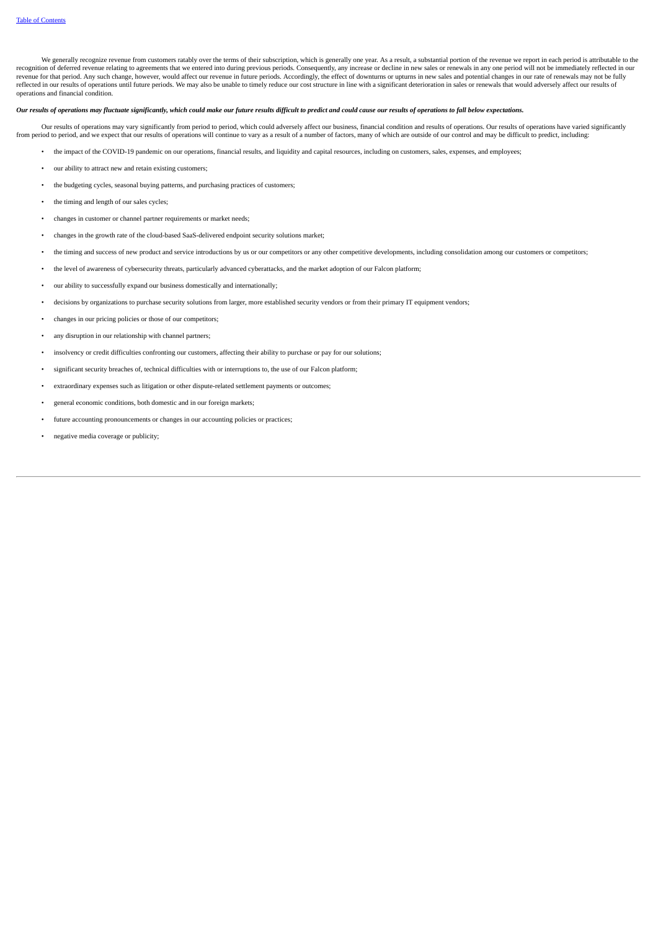We generally recognize revenue from customers ratably over the terms of their subscription, which is generally one year. As a result, a substantial portion of the revenue we report in each period is attributable to the recognition of deferred revenue relating to agreements that we entered into during previous periods. Consequently, any increase or decline in new sales or renewals in any one period will not be immediately reflected in our revenue for that period. Any such change, however, would affect our revenue in future periods. Accordingly, the effect of downturns or upturns in new sales and potential changes in our rate of renewals may not be fully reflected in our results of operations until future periods. We may also be unable to timely reduce our cost structure in line with a significant deterioration in sales or renewals that would adversely affect our results of operations and financial condition.

# Our results of operations may fluctuate significantly, which could make our future results difficult to predict and could cause our results of operations to fall below expectations.

Our results of operations may vary significantly from period to period, which could adversely affect our business, financial condition and results of operations. Our results of operations have varied significantly from period to period, and we expect that our results of operations will continue to vary as a result of a number of factors, many of which are outside of our control and may be difficult to predict, including:

- the impact of the COVID-19 pandemic on our operations, financial results, and liquidity and capital resources, including on customers, sales, expenses, and employees;
- our ability to attract new and retain existing customers;
- the budgeting cycles, seasonal buying patterns, and purchasing practices of customers;
- the timing and length of our sales cycles:
- changes in customer or channel partner requirements or market needs;
- changes in the growth rate of the cloud-based SaaS-delivered endpoint security solutions market;
- the timing and success of new product and service introductions by us or our competitors or any other competitive developments, including consolidation among our customers or competitors;
- the level of awareness of cybersecurity threats, particularly advanced cyberattacks, and the market adoption of our Falcon platform;
- our ability to successfully expand our business domestically and internationally;
- decisions by organizations to purchase security solutions from larger, more established security vendors or from their primary IT equipment vendors;
- changes in our pricing policies or those of our competitors;
- any disruption in our relationship with channel partners:
- insolvency or credit difficulties confronting our customers, affecting their ability to purchase or pay for our solutions;
- significant security breaches of, technical difficulties with or interruptions to, the use of our Falcon platform;
- extraordinary expenses such as litigation or other dispute-related settlement payments or outcomes;
- general economic conditions, both domestic and in our foreign markets;
- future accounting pronouncements or changes in our accounting policies or practices;
- negative media coverage or publicity;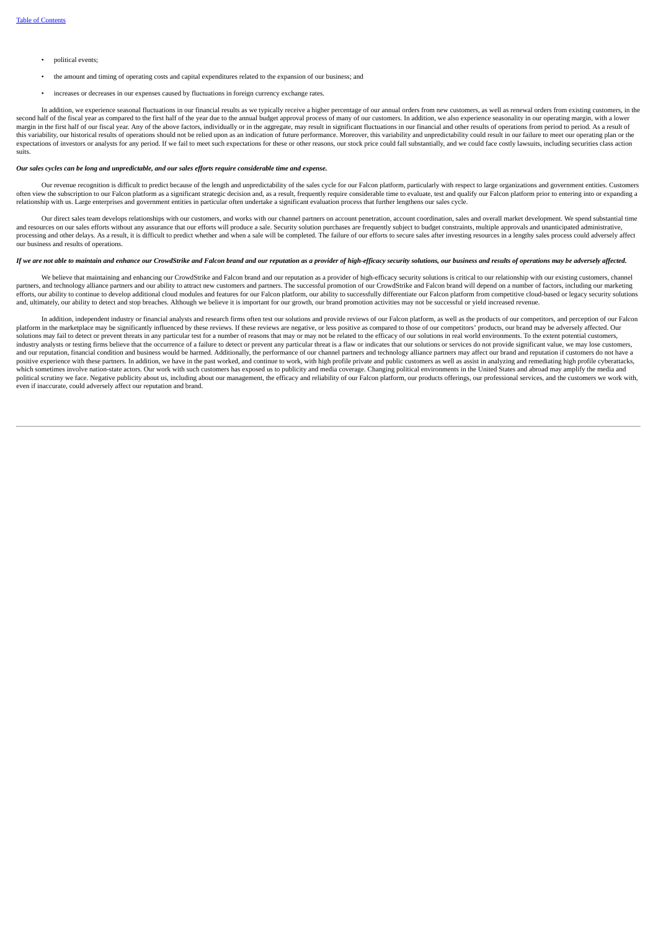- political events;
- the amount and timing of operating costs and capital expenditures related to the expansion of our business; and
- increases or decreases in our expenses caused by fluctuations in foreign currency exchange rates.

In addition, we experience seasonal fluctuations in our financial results as we typically receive a higher percentage of our annual orders from new customers, as well as renewal orders from existing customers, in the second half of the fiscal year as compared to the first half of the year due to the annual budget approval process of many of our customers. In addition, we also experience seasonality in our operating margin, with a lower margin in the first half of our fiscal year. Any of the above factors, individually or in the aggregate, may result in significant fluctuations in our financial and other results of operations from period to period. As a r this variability, our historical results of operations should not be relied upon as an indication of future performance. Moreover, this variability and unpredictability could result in our failure to meet our operating pla suits.

### Our sales cycles can be long and unpredictable, and our sales efforts require considerable time and expense.

Our revenue recognition is difficult to predict because of the length and unpredictability of the sales cycle for our Falcon platform, particularly with respect to large organizations and government entities. Customers often view the subscription to our Falcon platform as a significant strategic decision and, as a result, frequently require considerable time to evaluate, test and qualify our Falcon platform prior to entering into or expa

Our direct sales team develops relationships with our customers, and works with our channel partners on account penetration, account coordination, sales and overall market development. We spend substantial time and resources on our sales efforts without any assurance that our efforts will produce a sale. Security solution purchases are frequently subject to budget constraints, multiple approvals and unanticipated administrative, processing and other delays. As a result, it is difficult to predict whether and when a sale will be completed. The failure of our efforts to secure sales after investing resources in a lengthy sales process could adversel our business and results of operations.

# If we are not able to maintain and enhance our CrowdStrike and Falcon brand and our reputation as a provider of high-efficacy security solutions, our business and results of operations may be adversely affected.

We believe that maintaining and enhancing our CrowdStrike and Falcon brand and our reputation as a provider of high-efficacy security solutions is critical to our relationship with our existing customers, channel partners, and technology alliance partners and our ability to attract new customers and partners. The successful promotion of our CrowdStrike and Falcon brand will depend on a number of factors, including our marketing efforts, our ability to continue to develop additional cloud modules and features for our Falcon platform, our ability to successfully differentiate our Falcon platform from competitive cloud-based or legacy security solut and, ultimately, our ability to detect and stop breaches. Although we believe it is important for our growth, our brand promotion activities may not be successful or yield increased revenue.

In addition, independent industry or financial analysts and research firms often test our solutions and provide reviews of our Falcon platform, as well as the products of our competitors, and perception of our Falcon platform in the marketplace may be significantly influenced by these reviews. If these reviews are negative, or less positive as compared to those of our competitors' products, our brand may be adversely affected. Our solutions may fail to detect or prevent threats in any particular test for a number of reasons that may or may not be related to the efficacy of our solutions in real world environments. To the extent potential customers, industry analysts or testing firms believe that the occurrence of a failure to detect or prevent any particular threat is a flaw or indicates that our solutions or services do not provide significant value, we may lose cus and our reputation, financial condition and business would be harmed. Additionally, the performance of our channel partners and technology alliance partners may affect our brand and reputation if customers do not have a positive experience with these partners. In addition, we have in the past worked, and continue to work, with high profile private and public customers as well as assist in analyzing and remediating high profile cyberattack political scrutiny we face. Negative publicity about us, including about our management, the efficacy and reliability of our Falcon platform, our products offerings, our professional services, and the customers we work wit even if inaccurate, could adversely affect our reputation and brand.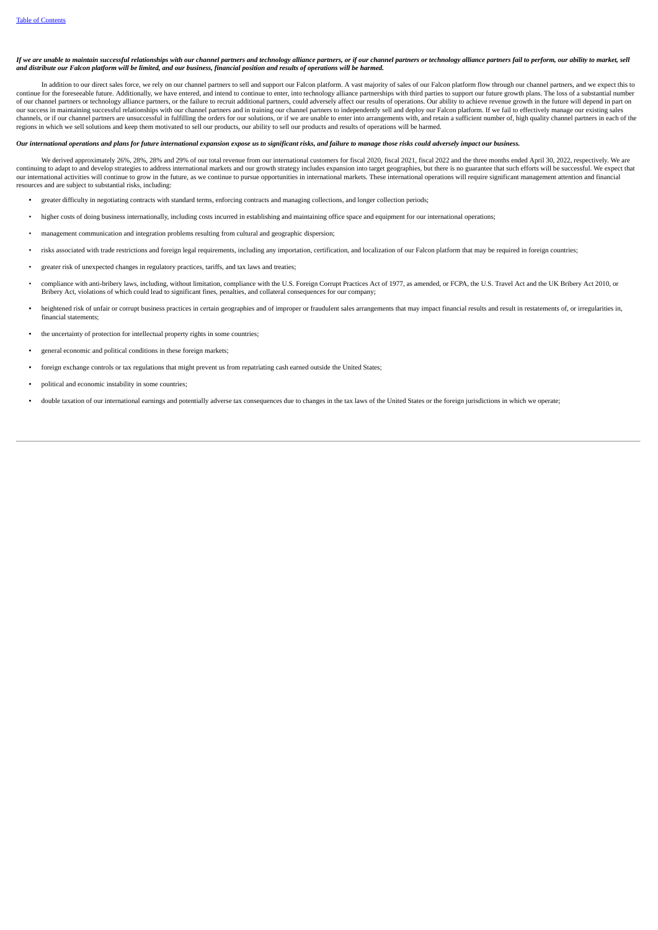If we are unable to maintain successful relationships with our channel partners and technology alliance partners, or if our channel partners or technology alliance partners fail to perform, our ability to market, sell and distribute our Falcon platform will be limited, and our business, financial position and results of operations will be harmed.

In addition to our direct sales force, we rely on our channel partners to sell and support our Falcon platform. A vast majority of sales of our Falcon platform flow through our channel partners, and we expect this to n continue to the foreseeable future. Additionally, we have entered, and intend to continue to enter, into technology alliance partnerships with third parties to support our future growth plans. The loss of a substantial n of our channel partners or technology alliance partners, or the failure to recruit additional partners, could adversely affect our results of operations. Our ability to achieve revenue growth in the future will depend in p our success in maintaining successful relationships with our channel partners and in training our channel partners to independently sell and deploy our Falcon platform. If we fail to effectively manage our existing sales channels, or if our channel partners are unsuccessful in fulfilling the orders for our solutions, or if we are unable to enter into arrangements with, and retain a sufficient number of, high quality channel partners in eac regions in which we sell solutions and keep them motivated to sell our products, our ability to sell our products and results of operations will be harmed.

### Our international operations and plans for future international expansion expose us to significant risks, and failure to mangae those risks could adversely impact our business.

We derived approximately 26%, 28%, 28% and 29% of our total revenue from our international customers for fiscal 2020, fiscal 2021, fiscal 2022 and the three months ended April 30, 2022, respectively. We are continuing to adapt to and develop strategies to address international markets and our growth strategy includes expansion into target geographies, but there is no guarantee that such efforts will be successful. We expect t resources and are subject to substantial risks, including:

- greater difficulty in negotiating contracts with standard terms, enforcing contracts and managing collections, and longer collection periods;
- higher costs of doing business internationally, including costs incurred in establishing and maintaining office space and equipment for our international operations;
- management communication and integration problems resulting from cultural and geographic dispersion;
- risks associated with trade restrictions and foreign legal requirements, including any importation, certification, and localization of our Falcon platform that may be required in foreign countries;
- greater risk of unexpected changes in regulatory practices, tariffs, and tax laws and treaties;
- compliance with anti-bribery laws, including, without limitation, compliance with the U.S. Foreign Corrupt Practices Act of 1977, as amended, or FCPA, the U.S. Travel Act and the UK Bribery Act 2010, or Bribery Act, violations of which could lead to significant fines, penalties, and collateral consequences for our company;
- heightened risk of unfair or corrupt business practices in certain geographies and of improper or fraudulent sales arrangements that may impact financial results and result in restatements of, or irregularities in, financial statements;
- the uncertainty of protection for intellectual property rights in some countries;
- general economic and political conditions in these foreign markets;
- foreign exchange controls or tax regulations that might prevent us from repatriating cash earned outside the United States;
- political and economic instability in some countries;
- double taxation of our international earnings and potentially adverse tax consequences due to changes in the tax laws of the United States or the foreign jurisdictions in which we operate;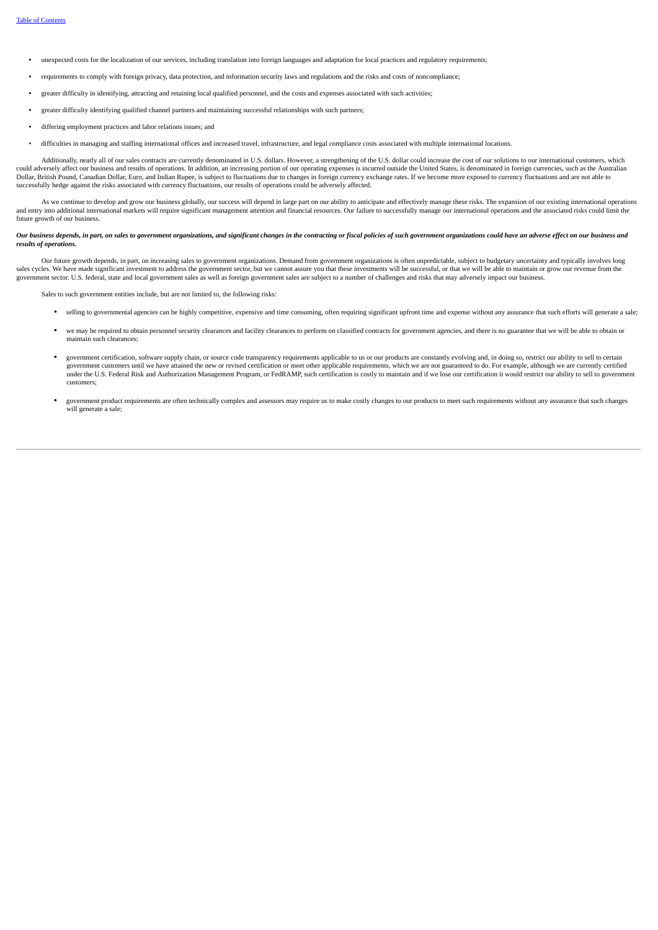- unexpected costs for the localization of our services, including translation into foreign languages and adaptation for local practices and regulatory requirements;
- requirements to comply with foreign privacy, data protection, and information security laws and regulations and the risks and costs of noncompliance;
- greater difficulty in identifying, attracting and retaining local qualified personnel, and the costs and expenses associated with such activities;
- greater difficulty identifying qualified channel partners and maintaining successful relationships with such partners;
- differing employment practices and labor relations issues; and
- difficulties in managing and staffing international offices and increased travel, infrastructure, and legal compliance costs associated with multiple international locations.

Additionally, nearly all of our sales contracts are currently denominated in U.S. dollars. However, a strengthening of the U.S. dollar could increase the cost of our solutions to our international customers, which could ad successfully hedge against the risks associated with currency fluctuations, our results of operations could be adversely affected.

As we continue to develop and grow our business globally, our success will depend in large part on our ability to anticipate and effectively manage these risks. The expansion of our existing international operations and entry into additional international markets will require significant management attention and financial resources. Our failure to successfully manage our international operations and the associated risks could limit th future growth of our business.

### Our business depends, in part, on sales to government organizations, and significant changes in the contracting or fiscal policies of such government organizations could have an adverse effect on our business and *results of operations.*

Our future growth depends, in part, on increasing sales to government organizations. Demand from government organizations is often unpredictable, subject to budgetary uncertainty and typically involves long sales cycles. We have made significant investment to address the government sector, but we cannot assure you that these investments will be successful, or that we will be able to maintain or grow our revenue from the government sector. U.S. federal, state and local government sales as well as foreign government sales are subject to a number of challenges and risks that may adversely impact our business.

Sales to such government entities include, but are not limited to, the following risks:

- selling to governmental agencies can be highly competitive, expensive and time consuming, often requiring significant upfront time and expense without any assurance that such efforts will generate a sale;
- we may be required to obtain personnel security clearances and facility clearances to perform on classified contracts for government agencies, and there is no guarantee that we will be able to obtain or maintain such clearances;
- government certification, software supply chain, or source code transparency requirements applicable to us or our products are constantly evolving and, in doing so, restrict our ability to sell to certain government customers until we have attained the new or revised certification or meet other applicable requirements, which we are not guaranteed to do. For example, although we are currently certified under the U.S. Federal Risk and Authorization Management Program, or FedRAMP, such certification is costly to maintain and if we lose our certification it would restrict our ability to sell to government customers;
- government product requirements are often technically complex and assessors may require us to make costly changes to our products to meet such requirements without any assurance that such changes will generate a sale;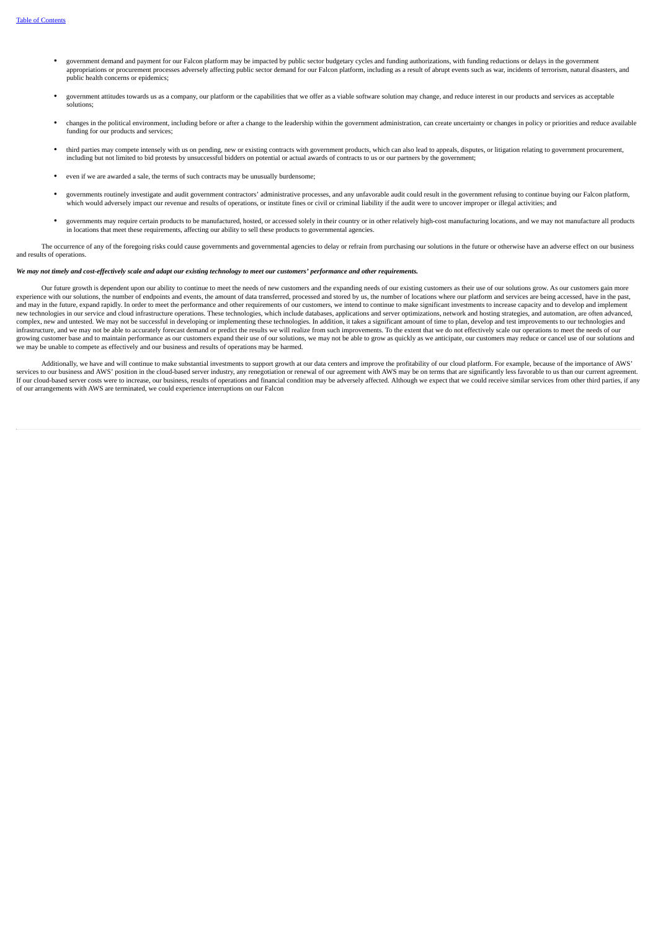- government demand and payment for our Falcon platform may be impacted by public sector budgetary cycles and funding authorizations, with funding reductions or delays in the government appropriations or procurement processes adversely affecting public sector demand for our Falcon platform, including as a result of abrupt events such as war, incidents of terrorism, natural disasters, and public health concerns or epidemics;
- government attitudes towards us as a company, our platform or the capabilities that we offer as a viable software solution may change, and reduce interest in our products and services as acceptable solutions;
- changes in the political environment, including before or after a change to the leadership within the government administration, can create uncertainty or changes in policy or priorities and reduce available funding for our products and services;
- third parties may compete intensely with us on pending, new or existing contracts with government products, which can also lead to appeals, disputes, or litigation relating to government procurement, including but not limited to bid protests by unsuccessful bidders on potential or actual awards of contracts to us or our partners by the government;
- even if we are awarded a sale, the terms of such contracts may be unusually burdensome;
- governments routinely investigate and audit government contractors' administrative processes, and any unfavorable audit could result in the government refusing to continue buying our Falcon platform, which would adversely impact our revenue and results of operations, or institute fines or civil or criminal liability if the audit were to uncover improper or illegal activities; and
- governments may require certain products to be manufactured, hosted, or accessed solely in their country or in other relatively high-cost manufacturing locations, and we may not manufacture all products in locations that meet these requirements, affecting our ability to sell these products to governmental agencies.

The occurrence of any of the foregoing risks could cause governments and governmental agencies to delay or refrain from purchasing our solutions in the future or otherwise have an adverse effect on our business and results of operations.

# We may not timely and cost-effectively scale and adapt our existing technology to meet our customers' performance and other requirements.

Our future growth is dependent upon our ability to continue to meet the needs of new customers and the expanding needs of our existing customers as their use of our solutions grow. As our customers gain more experience with our solutions, the number of endpoints and events, the amount of data transferred, processed and stored by us, the number of locations where our platform and services are being accessed, have in the past, and may in the future, expand rapidly. In order to meet the performance and other requirements of our customers, we intend to continue to make significant investments to increase capacity and to develop and implement new technologies in our service and cloud infrastructure operations. These technologies, which include databases, applications and server optimizations, network and hosting strategies, and automation, are often advanced, complex, new and untested. We may not be successful in developing or implementing these technologies. In addition, it takes a significant amount of time to plan, develop and test improvements to our technologies and infrastructure, and we may not be able to accurately forecast demand or predict the results we will realize from such improvements. To the extent that we do not effectively scale our operations to meet the needs of our growing customer base and to maintain performance as our customers expand their use of our solutions, we may not be able to grow as quickly as we anticipate, our customers may reduce or cancel use of our solutions and we may be unable to compete as effectively and our business and results of operations may be harmed.

Additionally, we have and will continue to make substantial investments to support growth at our data centers and improve the profitability of our cloud platform. For example, because of the importance of AWS' services to our business and AWS' position in the cloud-based server industry, any renegotiation or renewal of our agreement with AWS may be on terms that are significantly less favorable to us than our current agreement. If our cloud-based server costs were to increase, our business, results of operations and financial condition may be adversely affected. Although we expect that we could receive similar services from other third parties, i of our arrangements with AWS are terminated, we could experience interruptions on our Falcon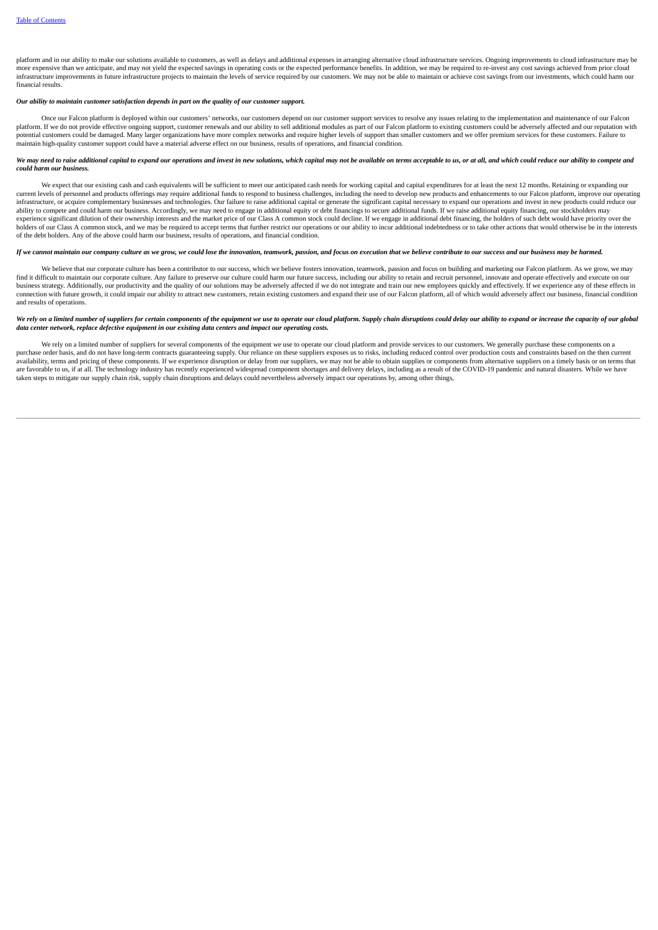platform and in our ability to make our solutions available to customers, as well as delays and additional expenses in arranging alternative cloud infrastructure services. Ongoing improvements to cloud infrastructure may be more expensive than we anticipate, and may not yield the expected savings in operating costs or the expected performance benefits. In addition, we may be required to re-invest any cost savings achieved from prior cloud infrastructure improvements in future infrastructure projects to maintain the levels of service required by our customers. We may not be able to maintain or achieve cost savings from our investments, which could harm our financial results.

# *Our ability to maintain customer satisfaction depends in part on the quality of our customer support.*

Once our Falcon platform is deployed within our customers' networks, our customers depend on our customer support services to resolve any issues relating to the implementation and maintenance of our Falcon platform. If we do not provide effective ongoing support, customer renewals and our ability to sell additional modules as part of our Falcon platform to existing customers could be adversely affected and our reputation wit potential customers could be damaged. Many larger organizations have more complex networks and require higher levels of support than smaller customers and we offer premium services for these customers. Failure to<br>maintain

### We may need to raise additional capital to expand our operations and invest in new solutions, which capital may not be available on terms acceptable to us, or at all, and which could reduce our ability to compete and *could harm our business.*

We expect that our existing cash and cash equivalents will be sufficient to meet our anticipated cash needs for working capital and capital expenditures for at least the next 12 months. Retaining or expanding our current levels of personnel and products offerings may require additional funds to respond to business challenges, including the need to develop new products and enhancements to our Falcon platform, improve our operating<br>i ability to compete and could harm our business. Accordingly, we may need to engage in additional equity or debt financings to secure additional funds. If we raise additional equity financing, our stockholders may need to e experience significant dilution of their ownership interests and the market price of our Class A common stock could decline. If we engage in additional debt financing, the holders of such debt would have priority over the<br> of the debt holders. Any of the above could harm our business, results of operations, and financial condition.

# If we cannot maintain our company culture as we arow we could lose the innovation, teamwork, passion, and focus on execution that we believe contribute to our success and our business may be harmed.

We believe that our corporate culture has been a contributor to our success, which we believe fosters innovation, teamwork, passion and focus on building and marketing our Falcon platform. As we grow, we may find it difficult to maintain our corporate culture. Any failure to preserve our culture could harm our future success, including our ability to retain and recruit personnel, innovate and operate effectively and execute on business strategy. Additionally, our productivity and the quality of our solutions may be adversely affected if we do not integrate and train our new employees quickly and effectively. If we experience any of these effects connection with future growth, it could impair our ability to attract new customers, retain existing customers and expand their use of our Falcon platform, all of which would adversely affect our business, financial condit and results of operations.

# We rely on a limited number of suppliers for certain components of the equipment we use to operate our cloud platform. Supply chain disruptions could delay our ability to expand or increase the capacity of our global *data center network, replace defective equipment in our existing data centers and impact our operating costs.*

We rely on a limited number of suppliers for several components of the equipment we use to operate our cloud platform and provide services to our customers. We generally purchase these components on a purchase order basis, and do not have long-term contracts guaranteeing supply. Our reliance on these suppliers exposes us to risks, including reduced control over production costs and constraints based on the then current availability, terms and pricing of these components. If we experience disruption or delay from our suppliers, we may not be able to obtain supplies or components from alternative suppliers on a timely basis or on terms tha taken steps to mitigate our supply chain risk, supply chain disruptions and delays could nevertheless adversely impact our operations by, among other things,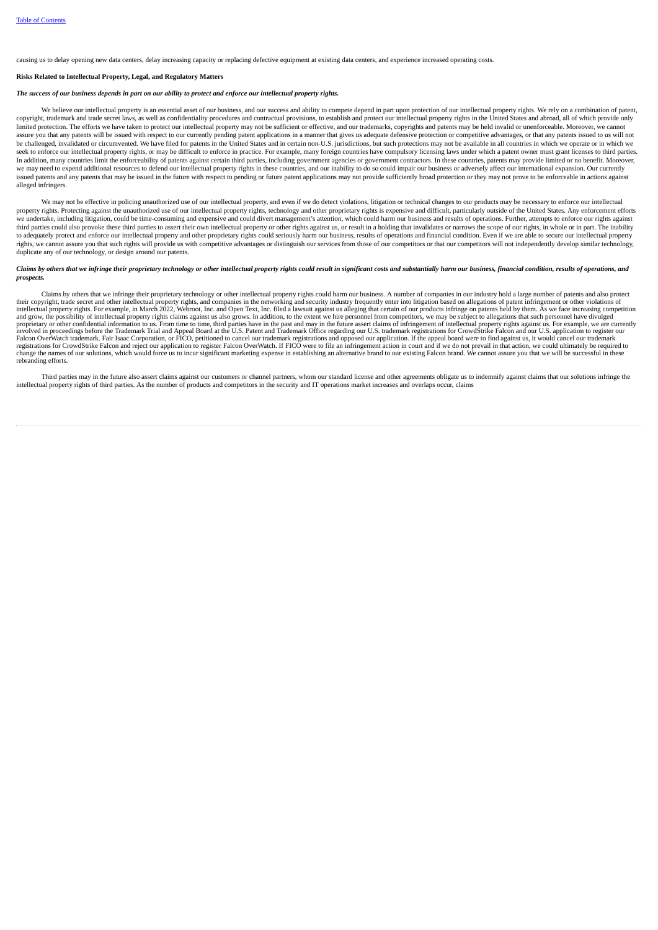causing us to delay opening new data centers, delay increasing capacity or replacing defective equipment at existing data centers, and experience increased operating costs.

### **Risks Related to Intellectual Property, Legal, and Regulatory Matters**

### The success of our business depends in part on our ability to protect and enforce our intellectual property rights.

We believe our intellectual property is an essential asset of our business, and our success and ability to compete depend in part upon protection of our intellectual property rights. We rely on a combination of patent,<br>Cop limited protection. The efforts we have taken to protect our intellectual property may not be sufficient or effective, and our trademarks, copyrights and patents may be held invalid or unenforceable. Moreover, we cannot assure you that any patents will be issued with respect to our currently pending patent applications in a manner that gives us adequate defensive protection or competitive advantages, or that any patents issued to us will be challenged, invalidated or circumvented. We have filed for patents in the United States and in certain non-U.S. jurisdictions, but such protections may not be available in all countries in which we operate or in which w seek to enforce our intellectual property rights, or may be difficult to enforce in practice. For example, many foreign countries have compulsory licensing laws under which a patent owner must grant licenses to third parti In addition, many countries limit the enforceability of patents against certain third parties, including government agencies or government contractors. In these countries, patents may provide limited or no benefit. Moreover, we may need to expend additional resources to defend our intellectual property rights in these countries, and our inability to do so could impair our business or adversely affect our international expansion. Our currently issued patents and any patents that may be issued in the future with respect to pending or future patent applications may not provide sufficiently broad protection or they may not prove to be enforceable in actions against alleged infringers.

We may not be effective in policing unauthorized use of our intellectual property, and even if we do detect violations, litigation or technical changes to our products may be necessary to enforce our intellectual property rights, Protecting against the unauthorized use of our intellectual property rights, technology and other proprietary rights is expensive and difficult, particularly outside of the United States. Any enforcement e we undertake, including litigation, could be time-consuming and expensive and could divert management's attention, which could harm our business and results of operations. Further, attempts to enforce our rights against<br>th to adequately protect and enforce our intellectual property and other proprietary rights could seriously harm our business, results of operations and financial condition. Even if we are able to secure our intellectual prop rights, we cannot assure you that such rights will provide us with competitive advantages or distinguish our services from those of our competitors or that our competitors will not independently develop similar technology, duplicate any of our technology, or design around our patents.

### Claims by others that we infringe their proprietary technology or other intellectual property rights could result in significant costs and substantially harm our business, financial condition, results of operations, and *prospects.*

Claims by others that we infringe their proprietary technology or other intellectual property rights could harm our business. A number of companies in our industry hold a large number of patents and also protect<br>their copy proprietary or other confidential information to us. From time to time, third parties have in the past and may in the future assert claims of infringement of intellectual property rights against us. For example, we are cur rebranding efforts.

Third parties may in the future also assert claims against our customers or channel partners, whom our standard license and other agreements obligate us to indemnify against claims that our solutions infringe the intellectual property rights of third parties. As the number of products and competitors in the security and IT operations market increases and overlaps occur, claims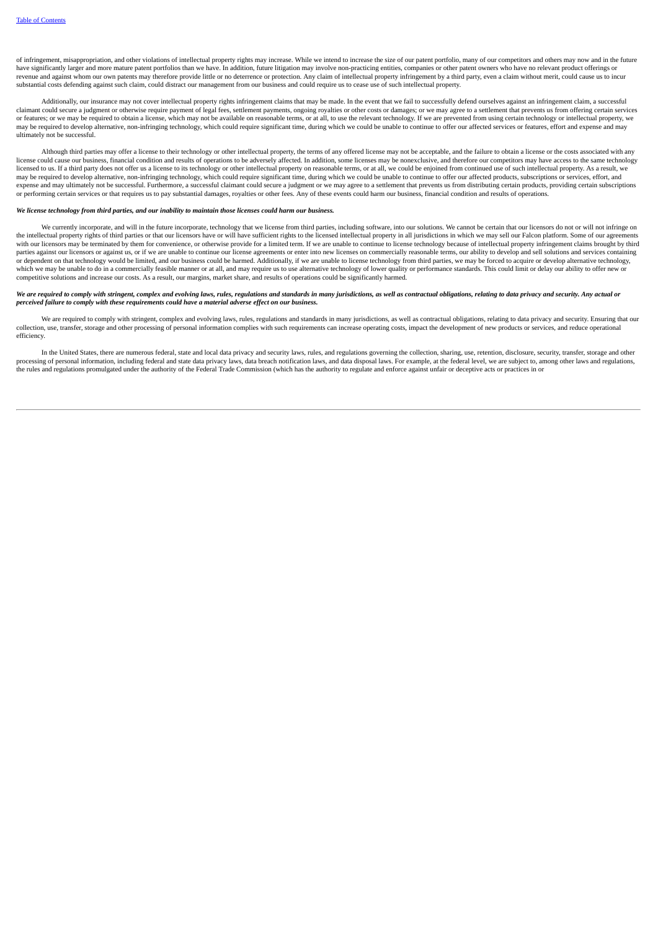of infringement, misappropriation, and other violations of intellectual property rights may increase. While we intend to increase the size of our patent portfolio, many of our competitors and others may now and in the future have significantly larger and more mature patent portfolios than we have. In addition, future litigation may involve non-practicing entities, companies or other patent owners who have no relevant product offerings or have revenue and against whom our own patents may therefore provide little or no deterrence or protection. Any claim of intellectual property infringement by a third party, even a claim without merit, could cause us to incur substantial costs defending against such claim, could distract our management from our business and could require us to cease use of such intellectual property.

Additionally, our insurance may not cover intellectual property rights infringement claims that may be made. In the event that we fail to successfully defend ourselves against an infringement claim, a successful claimant could secure a judgment or otherwise require payment of legal fees, settlement payments, ongoing royalties or other costs or damages; or we may agree to a settlement that prevents us from offering certain services may be required to develop alternative, non-infringing technology, which could require significant time, during which we could be unable to continue to offer our affected services or features, effort and expense and may ultimately not be successful.

Although third parties may offer a license to their technology or other intellectual property, the terms of any offered license may not be acceptable, and the failure to obtain a license or the costs associated with any license could cause our business, financial condition and results of operations to be adversely affected. In addition, some licenses may be nonexclusive, and therefore our competitors may have access to the same technology expression to the mass of the comparison and control of the comparison of the comparison of the comparison of the comparison of the comparison of the comparison of the comparison of the comparison of the comparison of the may be required to develop alternative, non-infringing technology, which could require significant time, during which we could be unable to continue to offer our affected products, subscriptions or services, effort, and ma expense and may ultimately not be successful. Furthermore, a successful claimant could secure a judgment or we may agree to a settlement that prevents us from distributing certain products, providing certain subscriptions or performing certain services or that requires us to pay substantial damages, royalties or other fees. Any of these events could harm our business, financial condition and results of operations.

# We license technology from third parties, and our inability to maintain those licenses could harm our business

We currently incorporate, and will in the future incorporate, technology that we license from third parties, including software, into our solutions. We cannot be certain that our licensors do not or will not infringe on the intellectual property rights of third parties or that our licensors have or will have sufficient rights to the licensed intellectual property in all jurisdictions in which we may sell our Falcon platform. Some of our a with our licensors may be terminated by them for convenience, or otherwise provide for a limited term. If we are unable to continue to license technology because of intellectual property infringement claims brought by thir national decreases and continuous continuous personal decreases of continuous continuous continuous continuous contractor and the continuous continuous contractor in the continuous continuous contractor enter into new lice or dependent on that technology would be limited, and our business could be harmed. Additionally, if we are unable to license technology from third parties, we may be forced to acquire or develop alternative technology, which we may be unable to do in a commercially feasible manner or at all, and may require us to use alternative technology of lower quality or performance standards. This could limit or delay our ability to offer new or competitive solutions and increase our costs. As a result, our margins, market share, and results of operations could be significantly harmed.

### We are required to comply with stringent, complex and evolving laws, rules, regulations and standards in many jurisdictions, as well as contractual obligations, relating to data privacy and security. Any actual or *perceived failure to comply with these requirements could have a material adverse effect on our business.*

We are required to comply with stringent, complex and evolving laws, rules, regulations and standards in many jurisdictions, as well as contractual obligations, relating to data privacy and security. Ensuring that our collection, use, transfer, storage and other processing of personal information complies with such requirements can increase operating costs, impact the development of new products or services, and reduce operational efficiency.

In the United States, there are numerous federal, state and local data privacy and security laws, rules, and regulations governing the collection, sharing, use, retention, disclosure, security, transfer, storage and other processing of personal information, including federal and state data privacy laws, data breach notification laws, and data disposal laws. For example, at the federal level, we are subject to, among other laws and regulatio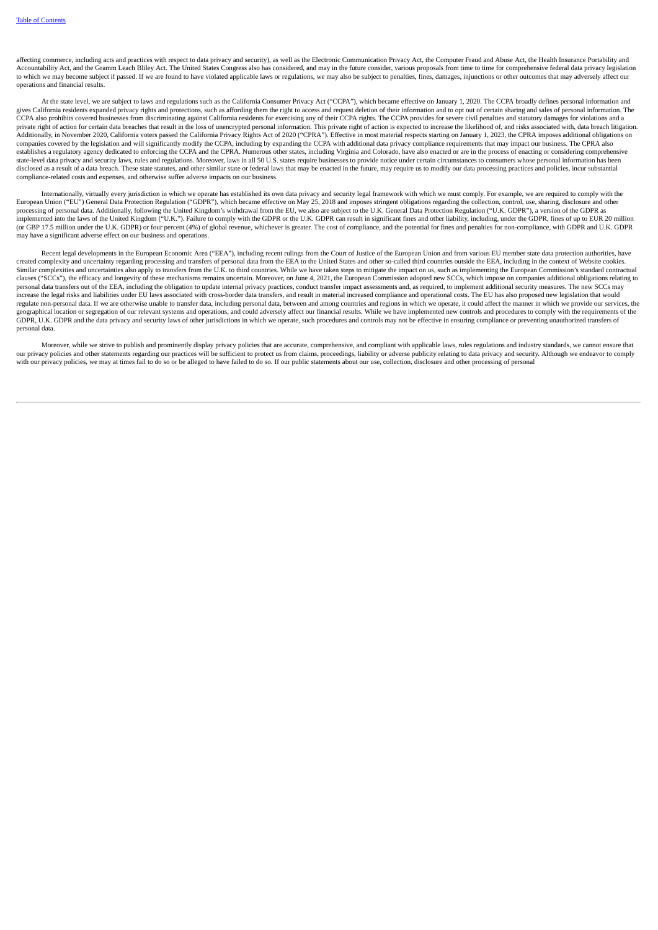affecting commerce, including acts and practices with respect to data privacy and security), as well as the Electronic Communication Privacy Act, the Computer Fraud and Abuse Act, the Health Insurance Portability and Accountability Act, and the Gramm Leach Bliley Act. The United States Congress also has considered, and may in the future consider, various proposals from time to time for comprehensive federal data privacy legislation to which we may become subject if passed. If we are found to have violated applicable laws or regulations, we may also be subject to penalties, fines, damages, injunctions or other outcomes that may adversely affect our operations and financial results.

At the state level, we are subject to laws and regulations such as the California Consumer Privacy Act ("CCPA"), which became effective on January 1, 2020. The CCPA broadly defines personal information and gives California residents expanded privacy rights and protections, such as affording them the right to access and request deletion of their information and to opt out of certain sharing and sales of personal information. private right of action for certain data breaches that result in the loss of unencrypted personal information. This private right of action is expected to increase the likelihood of, and risks associated with, data breach Additionally, in November 2020, California voters passed the California Privacy Rights Act of 2020 ("CPRA"). Effective in most material respects starting on January 1, 2023, the CPRA imposes additional obligations on companies covered by the legislation and will significantly modify the CCPA, including by expanding the CCPA with additional data privacy compliance requirements that may impact our business. The CPRA also establishes a regulatory agency dedicated to enforcing the CCPA and the CPRA. Numerous other states, including Virginia and Colorado, have also enacted or are in the process of enacting or considering comprehensive state-level data privacy and security laws, rules and regulations. Moreover, laws in all 50 U.S. states require businesses to provide notice under certain circumstances to consumers whose personal information has been<br>disc compliance-related costs and expenses, and otherwise suffer adverse impacts on our business.

Internationally, virtually every jurisdiction in which we operate has established its own data privacy and security legal framework with which we must comply. For example, we are required to comply with the became effectiv processing of personal data. Additionally, following the United Kingdom's withdrawal from the EU, we also are subject to the U.K. General Data Protection Regulation ("U.K. GDPR"), a version of the GDPR as implemented into the laws of the United Kingdom ("U.K."). Failure to comply with the GDPR or the U.K. GDPR can result in significant fines and other liability, including, under the GDPR, fines of up to EUR 20 million<br>(or G may have a significant adverse effect on our business and operations.

Recent legal developments in the European Economic Area ("EEA"), including recent rulings from the Court of Justice of the European Union and from various EU member state data protection authorities, have created complexity and uncertainty regarding processing and transfers of personal data from the EEA to the United States and other so-called third countries outside the EEA, including in the context of Website cookies. Similar complexities and uncertainties also apply to transfers from the U.K. to third countries. While we have taken steps to mitigate the impact on us, such as implementing the European Commission's standard contractual clauses ("SCCs"), the efficacy and longevity of these mechanisms remains uncertain. Moreover, on June 4, 2021, the European Commission adopted new SCCs, which impose on companies additional obligations relating to personal data transfers out of the EEA, including the obligation to update internal privacy practices, conduct transfer impact assessments and, as required, to implement additional security measures. The new SCCs may<br>incre regulate non-personal data. If we are otherwise unable to transfer data, including personal data, between and among countries and regions in which we operate, it could affect the manner in which we provide our services, th geographical location or segregation of our relevant systems and operations, and could adversely affect our financial results. While we have implemented new controls and procedures to comply with the requirements of the GDPR, U.K. GDPR and the data privacy and security laws of other jurisdictions in which we operate, such procedures and controls may not be effective in ensuring compliance or preventing unauthorized transfers of personal data.

Moreover, while we strive to publish and prominently display privacy policies that are accurate, comprehensive, and compliant with applicable laws, rules regulations and industry standards, we cannot ensure that our privacy policies and other statements regarding our practices will be sufficient to protect us from claims, proceedings, liability or adverse publicity relating to data privacy and security. Although we endeavor to com with our privacy policies, we may at times fail to do so or be alleged to have failed to do so. If our public statements about our use, collection, disclosure and other processing of personal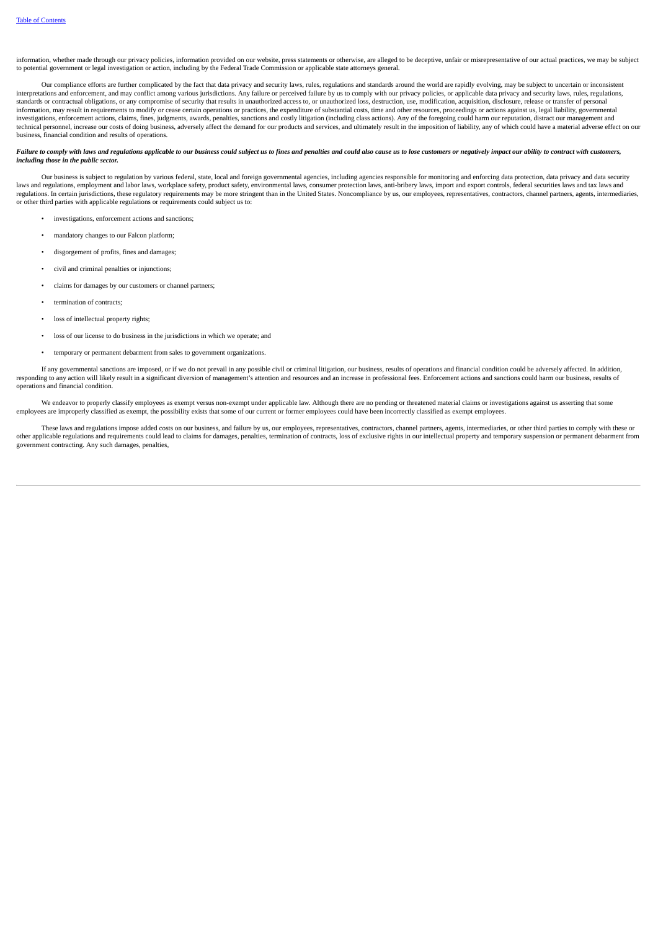information, whether made through our privacy policies, information provided on our website, press statements or otherwise, are alleged to be deceptive, unfair or misrepresentative of our actual practices, we may be subject to potential government or legal investigation or action, including by the Federal Trade Commission or applicable state attorneys general.

Our compliance efforts are further complicated by the fact that data privacy and security laws, rules, regulations and standards around the world are rapidly evolving, may be subject to uncertain or inconsistent interpretations and enforcement, and may conflict among various jurisdictions. Any failure or perceived failure by us to comply with our privacy policies, or applicable data privacy and security laws, rules, regulations, r standards or contractual obligations, or any compromise of security that results in unauthorized access to, or unauthorized loss, destruction, use, modification, acquisition, disclosure, release or transfer of personal information, may result in requirements to modify or cease certain operations or practices, the expenditure of substantial costs, time and other resources, proceedings or actions against us, legal liability, governmental investigations, enforcement actions, claims, fines, judgments, awards, penalties, sanctions and costly litigation (including class actions). Any of the foregoing could harm our reputation, distract our management and technical personnel, increase our costs of doing business, adversely affect the demand for our products and services, and ultimately result in the imposition of liability, any of which could have a material adverse effect business, financial condition and results of operations.

# Failure to comply with laws and regulations applicable to our business could subject us to fines and penalties and could also cause us to lose customers or negatively impact our ability to contract with customers, *including those in the public sector.*

Our business is subject to regulation by various federal, state, local and foreign governmental agencies, including agencies responsible for monitoring and enforcing data protection, data privacy and data security laws and regulations, employment and labor laws, workplace safety, product safety, environmental laws, consumer protection laws, anti-bribery laws, import and export controls, federal securities laws and tax laws and tax l regulations. In certain jurisdictions, these regulatory requirements may be more stringent than in the United States. Noncompliance by us, our employees, representatives, contractors, channel partners, agents, intermediari

- investigations, enforcement actions and sanctions;
- mandatory changes to our Falcon platform;
- disgorgement of profits, fines and damages;
- civil and criminal penalties or injunctions;
- claims for damages by our customers or channel partners;
- termination of contracts;
- loss of intellectual property rights;
- loss of our license to do business in the jurisdictions in which we operate; and
- temporary or permanent debarment from sales to government organizations.

If any governmental sanctions are imposed, or if we do not prevail in any possible civil or criminal litigation, our business, results of operations and financial condition could be adversely affected. In addition, responding to any action will likely result in a significant diversion of management's attention and resources and an increase in professional fees. Enforcement actions and sanctions could harm our business, results of operations and financial condition.

We endeavor to properly classify employees as exempt versus non-exempt under applicable law. Although there are no pending or threatened material claims or investigations against us asserting that some employees are improperly classified as exempt, the possibility exists that some of our current or former employees could have been incorrectly classified as exempt employees.

These laws and regulations impose added costs on our business, and failure by us, our employees, representatives, contractors, channel partners, agents, intermediaries, or other third parties to comply with these or other applicable regulations and requirements could lead to claims for damages, penalties, termination of contracts, loss of exclusive rights in our intellectual property and temporary suspension or permanent debarment from government contracting. Any such damages, penalties,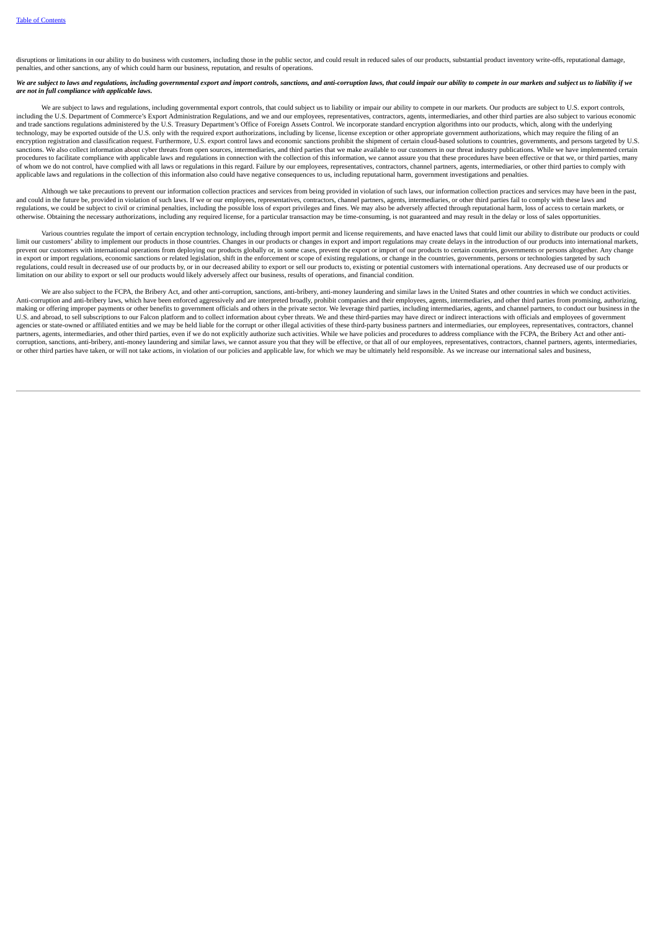disruptions or limitations in our ability to do business with customers, including those in the public sector, and could result in reduced sales of our products, substantial product inventory write-offs, reputational damag penalties, and other sanctions, any of which could harm our business, reputation, and results of operations.

We are subject to laws and regulations, including governmental export and import controls, sanctions, and anti-corruption laws, that could impair our ability to compete in our markets and subject us to liability if we *are not in full compliance with applicable laws.*

We are subject to laws and regulations, including governmental export controls, that could subject us to liability or impair our ability to compete in our markets. Our products are subject to U.S. export controls, including the U.S. Department of Commerce's Export Administration Regulations, and we and our employees, representatives, contractors, agents, intermediaries, and other third parties are also subject to various economic and trade sanctions regulations administered by the U.S. Treasury Department's Office of Foreign Assets Control. We incorporate standard encryption algorithms into our products, which, along with the underlying technology, may be exported outside of the U.S. only with the required export authorizations, including by license, license exception or other appropriate government authorizations, which may require the filing of an encryption registration and classification request. Furthermore, U.S. export control laws and economic sanctions prohibit the shipment of certain cloud-based solutions to countries, governments, and persons targeted by U.S sanctions. We also collect information about cyber threats from open sources, intermediaries, and third parties that we make available to our customers in our threat industry publications. While we have implemented certain procedures to facilitate compliance with applicable laws and regulations in connection with the collection of this information, we cannot assure you that these procedures have been effective or that we, or third parties, m of whom we do not control, have complied with all laws or regulations in this regard. Failure by our employees, representatives, contractors, channel partners, agents, intermediaries, or other third parties to comply with applicable laws and regulations in the collection of this information also could have negative consequences to us, including reputational harm, government investigations and penalties.

Although we take precautions to prevent our information collection practices and services from being provided in violation of such laws, our information collection practices and services may have been in the past, and could in the future be, provided in violation of such laws. If we or our employees, representatives, contractors, channel partners, agents, intermediaries, or other third parties fail to comply with these laws and regulations, we could be subject to civil or criminal penalties, including the possible loss of export privileges and fines. We may also be adversely affected through reputational harm, loss of access to certain markets, or otherwise. Obtaining the necessary authorizations, including any required license, for a particular transaction may be time-consuming, is not guaranteed and may result in the delay or loss of sales opportunities.

Various countries regulate the import of certain encryption technology, including through import permit and license requirements, and have enacted laws that could limit our ability to distribute our products or could limit our customers' ability to implement our products in those countries. Changes in our products or changes in export and import regulations may create delays in the introduction of our products into international markets, prevent our customers with international operations from deploying our products globally or, in some cases, prevent the export or import of our products to certain countries, governments or persons altogether. Any change in export or import regulations, economic sanctions or related legislation, shift in the enforcement or scope of existing regulations, or change in the countries, governments, persons or technologies targeted by such regulations, could result in decreased use of our products by, or in our decreased ability to export or sell our products to, existing or potential customers with international operations. Any decreased use of our products limitation on our ability to export or sell our products would likely adversely affect our business, results of operations, and financial condition.

We are also subject to the FCPA, the Bribery Act, and other anti-corruption, sanctions, anti-bribery, anti-money laundering and similar laws in the United States and other countries in which we conduct activities. Anti-corruption and anti-bribery laws, which have been enforced aggressively and are interpreted broadly, prohibit companies and their employees, agents, intermediaries, and other third parties from promising, authorizing, making or offering improper payments or other benefits to government officials and others in the private sector. We leverage third parties, including intermediaries, agents, and channel partners, to conduct our business in U.S. and abroad, to sell subscriptions to our Falcon platform and to collect information about cyber threats. We and these third-parties may have direct or indirect interactions with officials and employees of government agencies or state-owned or affiliated entities and we may be held liable for the corrupt or other illegal activities of these third-party business partners and intermediaries, our employees, representatives, contractors, c partners, agents, intermediaries, and other third parties, even if we do not explicitly authorize such activities. While we have policies and procedures to address compliance with the FCPA, the Bribery Act and other anticorruption, sanctions, anti-bribery, anti-money laundering and similar laws, we cannot assure you that they will be effective, or that all of our employees, representatives, contractors, channel partners, agents, intermedi or other third parties have taken, or will not take actions, in violation of our policies and applicable law, for which we may be ultimately held responsible. As we increase our international sales and business,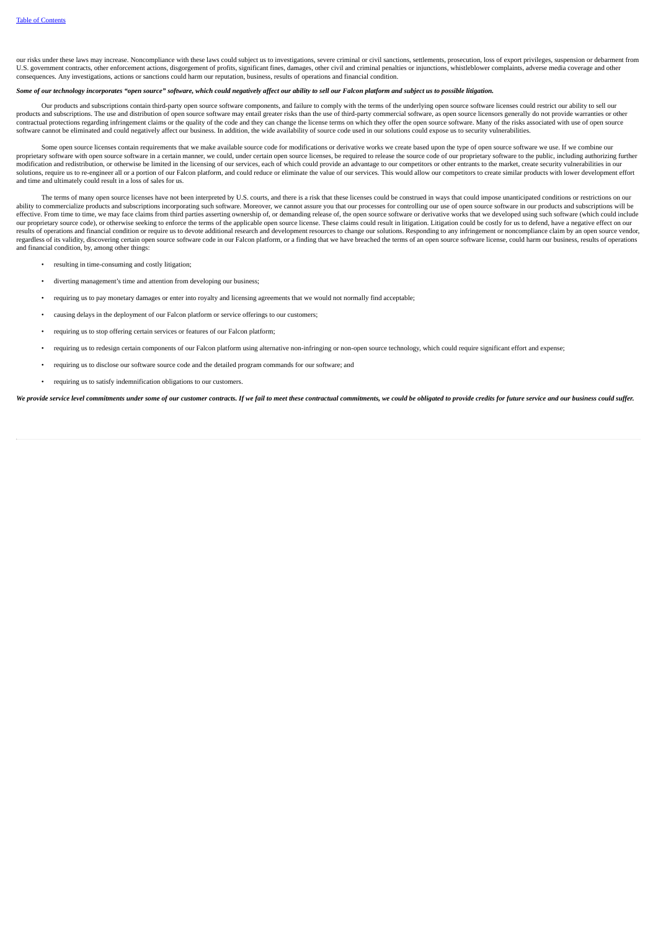our risks under these laws may increase. Noncompliance with these laws could subject us to investigations, severe criminal or civil sanctions, settlements, prosecution, loss of export privileges, suspension or debarment from U.S. government contracts, other enforcement actions, disgorgement of profits, significant fines, damages, other civil and criminal penalties or injunctions, whistleblower complaints, adverse media coverage and other consequences. Any investigations, actions or sanctions could harm our reputation, business, results of operations and financial condition.

# Some of our technology incorporates "open source" software, which could negatively affect our ability to sell our Falcon platform and subiect us to possible litiaation.

Our products and subscriptions contain third-party open source software components, and failure to comply with the terms of the underlying open source software licenses could restrict our ability to sell our products and subscriptions. The use and distribution of open source software may entail greater risks than the use of third-party commercial software, as open source licensors generally do not provide warranties or other contractual protections regarding infringement claims or the quality of the code and they can change the license terms on which they offer the open source software. Many of the risks associated with use of open source<br>soft

Some open source licenses contain requirements that we make available source code for modifications or derivative works we create based upon the type of open source software we use. If we combine our proprietary software with open source software in a certain manner, we could, under certain open source licenses, be required to release the source code of our proprietary software to the public, including authorizing furt modification and redistribution, or otherwise be limited in the licensing of our services, each of which could provide an advantage to our competitors or other entrants to the market, create security vulnerabilities in our solutions, require us to re-engineer all or a portion of our Falcon platform, and could reduce or eliminate the value of our services. This would allow our competitors to create similar products with lower development effo and time and ultimately could result in a loss of sales for us.

The terms of many open source licenses have not been interpreted by U.S. courts, and there is a risk that these licenses could be construed in ways that could impose unanticipated conditions or restrictions on our ability to commercialize products and subscriptions incorporating such software. Moreover, we cannot assure you that our processes for controlling our use of open source software in our products and subscriptions will be<br>e our proprietary source code), or otherwise seeking to enforce the terms of the applicable open source license. These claims could result in litigation. Litigation could be costly for us to defend, have a negative effect on results of operations and financial condition or require us to devote additional research and development resources to change our solutions. Responding to any infringement or noncompliance claim by an open source vendor, regardless of its validity, discovering certain open source software code in our Falcon platform, or a finding that we have breached the terms of an open source software license, could harm our business, results of operati and financial condition, by, among other things:

- resulting in time-consuming and costly litigation;
- diverting management's time and attention from developing our business;
- requiring us to pay monetary damages or enter into royalty and licensing agreements that we would not normally find acceptable;
- causing delays in the deployment of our Falcon platform or service offerings to our customers;
- requiring us to stop offering certain services or features of our Falcon platform;
- requiring us to redesign certain components of our Falcon platform using alternative non-infringing or non-open source technology, which could require significant effort and expense;
- requiring us to disclose our software source code and the detailed program commands for our software; and
- requiring us to satisfy indemnification obligations to our customers.

We provide service level commitments under some of our customer contracts. If we fail to meet these contractual commitments, we could be obliagted to provide credits for future service and our business could suffer.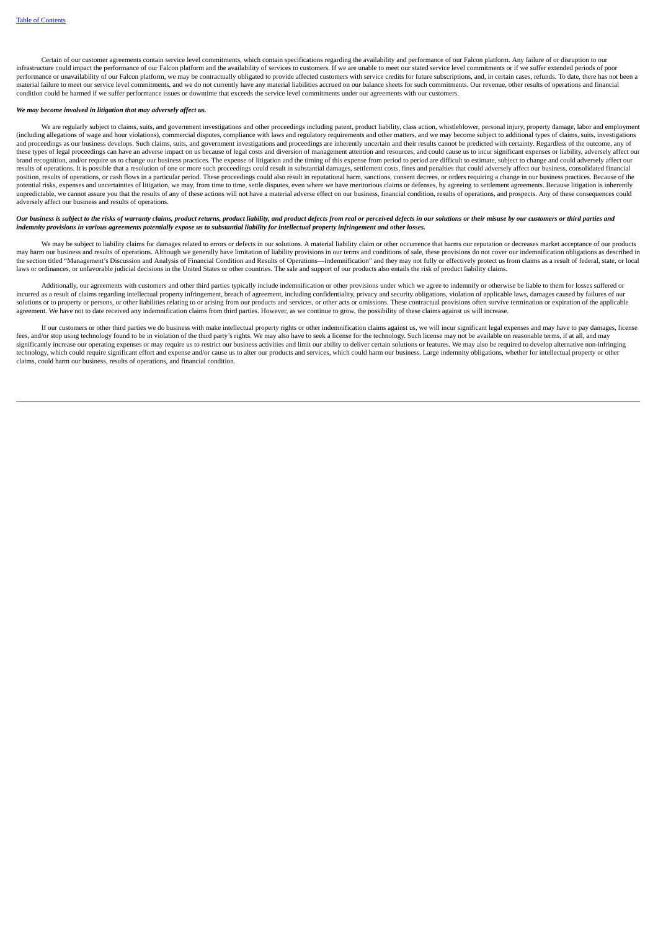Certain of our customer agreements contain service level commitments, which contain specifications regarding the availability and performance of our Falcon platform. Any failure of or disruption to our infrastructure could impact the performance of our Falcon platform and the availability of services to customers. If we are unable to meet our stated service level commitments or if we suffer extended periods of poor performance or unavailability of our Falcon platform, we may be contractually obligated to provide affected customers with service credits for future subscriptions, and, in certain cases, refunds. To date, there has not be material failure to meet our service level commitments, and we do not currently have any material liabilities accrued on our balance sheets for such commitments. Our revenue, other results of operations and financial condition could be harmed if we suffer performance issues or downtime that exceeds the service level commitments under our agreements with our customers.

### *We may become involved in litigation that may adversely affect us.*

We are regularly subject to claims, suits, and government investigations and other proceedings including patent, product liability, class action, whistleblower, personal injury, property damage, labor and employment (including allegations of wage and hour violations), commercial disputes, compliance with laws and regulatory requirements and other matters, and we may become subject to additional types of claims, suits, investigations<br>a these types of legal proceedings can have an adverse impact on us because of legal costs and diversion of management attention and resources, and could cause us to incur significant expenses or liability, adversely affect brand recognition, and/or require us to change our business practices. The expense of litigation and the timing of this expense from period to period are difficult to estimate, subject to change and could adversely affect results of operations. It is possible that a resolution of one or more such proceedings could result in substantial damages, settlement costs, fines and penalties that could adversely affect our business, consolidated fina cash flows in a particular period. These proceedings could also result in reputational harm, sanctions, consent decrees, or orders requiring a change in our business practices. Because of the position, results of operation potential risks, expenses and uncertainties of litigation, we may, from time to time, settle disputes, even where we have meritorious claims or defenses, by agreeing to settlement agreements. Because litigation is inherently unpredictable, we cannot assure you that the results of any of these actions will not have a material adverse effect on our business, financial condition, results of operations, and prospects. Any of these consequences cou

# Our business is subject to the risks of warranty claims, product returns, product liability, and product defects from real or perceived defects in our solutions or their misuse by our customers or third parties and<br>indemni

We may be subject to liability claims for damages related to errors or defects in our solutions. A material liability claim or other occurrence that harms our reputation or decreases market acceptance of our products may harm our business and results of operations. Although we generally have limitation of liability provisions in our terms and conditions of sale, these provisions do not cover our indemnification obligations as described the section titled "Management's Discussion and Analysis of Financial Condition and Results of Operations—Indemnification" and they may not fully or effectively protect us from claims as a result of federal, state, or local laws or ordinances, or unfavorable judicial decisions in the United States or other countries. The sale and support of our products also entails the risk of product liability claims.

Additionally, our agreements with customers and other third parties typically include indemnification or other provisions under which we agree to indemnify or otherwise be liable to them for losses suffered or incurred as a result of claims regarding intellectual property infringement, breach of agreement, including confidentiality, privacy and security obligations, violation of applicable laws, damages caused by failures of our solutions or to property or persons, or other liabilities relating to or arising from our products and services, or other acts or omissions. These contractual provisions often survive termination or expiration of the appli agreement. We have not to date received any indemnification claims from third parties. However, as we continue to grow, the possibility of these claims against us will increase.

If our customers or other third parties we do business with make intellectual property rights or other indemnification claims against us, we will incur significant legal expenses and may have to pay damages, license Fees, and/or stop using technology found to be in violation of the third party's rights. We may also have to seek a license for the technology. Such license may not be available on reasonable terms, if at all, and may reas significantly increase our operating expenses or may require us to restrict our business activities and limit our ability to deliver certain solutions or features. We may also be required to develop alternative non-infring technology, which could require significant effort and expense and/or cause us to alter our products and services, which could harm our business. Large indemnity obligations, whether for intellectual property or other claims, could harm our business, results of operations, and financial condition.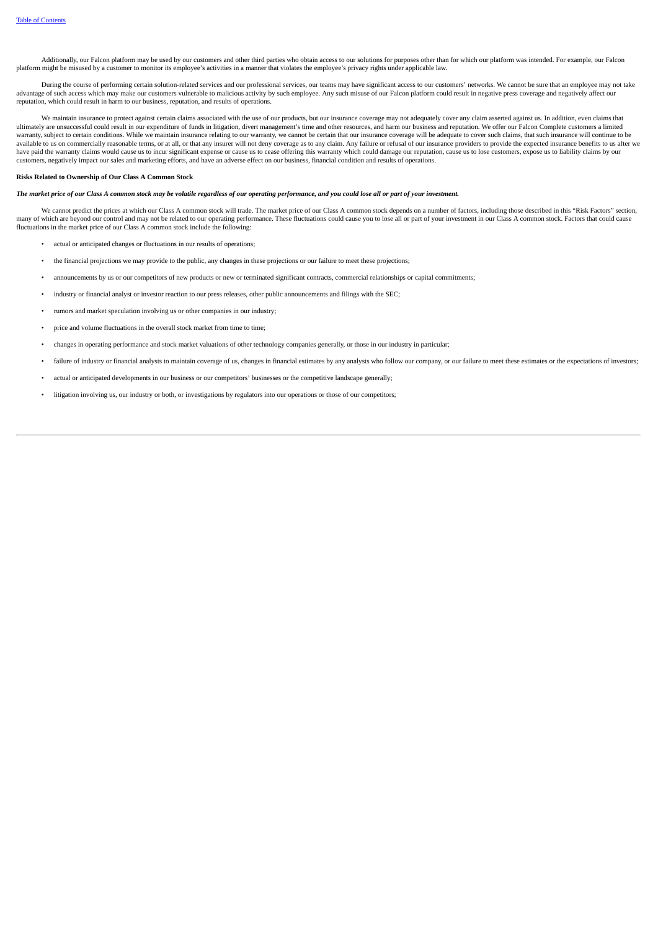Additionally, our Falcon platform may be used by our customers and other third parties who obtain access to our solutions for purposes other than for which our platform was intended. For example, our Falcon platform might be misused by a customer to monitor its employee's activities in a manner that violates the employee's privacy rights under applicable law.

During the course of performing certain solution-related services and our professional services, our teams may have significant access to our customers' networks. We cannot be sure that an employee may not take advantage of such access which may make our customers vulnerable to malicious activity by such employee. Any such employee. Any such misuse of our Falcon platform could result in negative press coverage and negatively affe reputation, which could result in harm to our business, reputation, and results of operations.

We maintain insurance to protect against certain claims associated with the use of our products, but our insurance coverage may not adequately cover any claim asserted against us. In addition, even claims that ultimately are unsuccessful could result in our expenditure of funds in litigation, divert management's time and other resources, and harm our business and reputation. We offer our Falcon Complete customers a limited warranty, subject to certain conditions. While we maintain insurance relating to our warranty, we cannot be certain that our insurance coverage will be adequate to cover such claims, that such insurance will continue to be available to us on commercially reasonable terms, or at all, or that any insurer will not deny coverage as to any claim. Any failure or refusal of our insurance providers to provide the expected insurance benefits to us af have paid the warranty claims would cause us to incur significant expense or cause us to cease offering this warranty which could damage our reputation, cause us to lose customers, expose us to liability claims by our have customers, negatively impact our sales and marketing efforts, and have an adverse effect on our business, financial condition and results of operations.

# **Risks Related to Ownership of Our Class A Common Stock**

# The market price of our Class A common stock may be volatile regardless of our operating performance, and you could lose all or part of your investment.

We cannot predict the prices at which our Class A common stock will trade. The market price of our Class A common stock depends on a number of factors, including those described in this "Risk Factors" section, many of which are beyond our control and may not be related to our operating performance. These fluctuations could cause you to lose all or part of your investment in our Class A common stock. Factors that could cause<br>fluc

- actual or anticipated changes or fluctuations in our results of operations;
- the financial projections we may provide to the public, any changes in these projections or our failure to meet these projections;
- announcements by us or our competitors of new products or new or terminated significant contracts, commercial relationships or capital commitments;
- industry or financial analyst or investor reaction to our press releases, other public announcements and filings with the SEC;
- rumors and market speculation involving us or other companies in our industry;
- price and volume fluctuations in the overall stock market from time to time;
- changes in operating performance and stock market valuations of other technology companies generally, or those in our industry in particular;
- failure of industry or financial analysts to maintain coverage of us, changes in financial estimates by any analysts who follow our company, or our failure to meet these estimates or the expectations of investors;
- actual or anticipated developments in our business or our competitors' businesses or the competitive landscape generally;
- litigation involving us, our industry or both, or investigations by regulators into our operations or those of our competitors;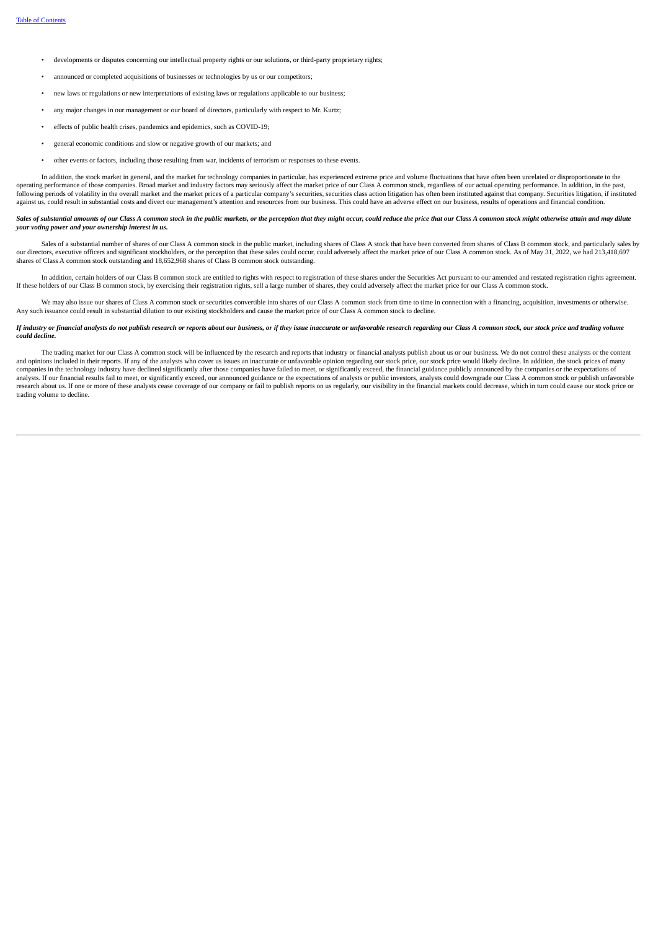- developments or disputes concerning our intellectual property rights or our solutions, or third-party proprietary rights;
- announced or completed acquisitions of businesses or technologies by us or our competitors;
- new laws or regulations or new interpretations of existing laws or regulations applicable to our business;
- any major changes in our management or our board of directors, particularly with respect to Mr. Kurtz;
- effects of public health crises, pandemics and epidemics, such as COVID-19;
- general economic conditions and slow or negative growth of our markets; and
- other events or factors, including those resulting from war, incidents of terrorism or responses to these events.

In addition, the stock market in general, and the market for technology companies in particular, has experienced extreme price and volume fluctuations that have often been unrelated or disproportionate to the operating performance of those companies. Broad market and industry factors may seriously affect the market price of our Class A common stock, regardless of our actual operating performance. In addition, in the past, following periods of volatility in the overall market and the market prices of a particular company's securities, securities class action litigation has often been instituted against that company. Securities litigation, if against us, could result in substantial costs and divert our management's attention and resources from our business. This could have an adverse effect on our business, results of operations and financial condition.

#### Sales of substantial amounts of our Class A common stock in the public markets, or the perception that they might occur, could reduce the price that our Class A common stock might otherwise attain and may dilute *your voting power and your ownership interest in us.*

Sales of a substantial number of shares of our Class A common stock in the public market, including shares of Class A stock that have been converted from shares of Class B common stock, and particularly sales by our directors, executive officers and significant stockholders, or the perception that these sales could occur, could adversely affect the market price of our Class A common stock. As of May 31, 2022, we had 213,418,697 ou shares of Class A common stock outstanding and 18,652,968 shares of Class B common stock outstanding.

In addition, certain holders of our Class B common stock are entitled to rights with respect to registration of these shares under the Securities Act pursuant to our amended and restated registration rights agreement. If these holders of our Class B common stock, by exercising their registration rights, sell a large number of shares, they could adversely affect the market price for our Class A common stock.

We may also issue our shares of Class A common stock or securities convertible into shares of our Class A common stock from time to time in connection with a financing, acquisition, investments or otherwise. Any such issuance could result in substantial dilution to our existing stockholders and cause the market price of our Class A common stock to decline.

#### If industry or financial analysts do not publish research or reports about our business, or if they issue inaccurate or unfavorable research reaarding our Class A common stock, our stock price and trading volume *could decline.*

The trading market for our Class A common stock will be influenced by the research and reports that industry or financial analysts publish about us or our business. We do not control these analysts or the content and opinions included in their reports. If any of the analysts who cover us issues an inaccurate or unfavorable opinion regarding our stock price, our stock price would likely decline. In addition, the stock prices of many companies in the technology industry have declined significantly after those companies have failed to meet, or significantly exceed, the financial guidance publicly announced by the companies or the expectations of compani analysts. If our financial results fail to meet, or significantly exceed, our announced guidance or the expectations of analysts or public investors, analysts could downgrade our Class A common stock or publish unfavorable research about us. If one or more of these analysts cease coverage of our company or fail to publish reports on us regularly, our visibility in the financial markets could decrease, which in turn could cause our stock pric trading volume to decline.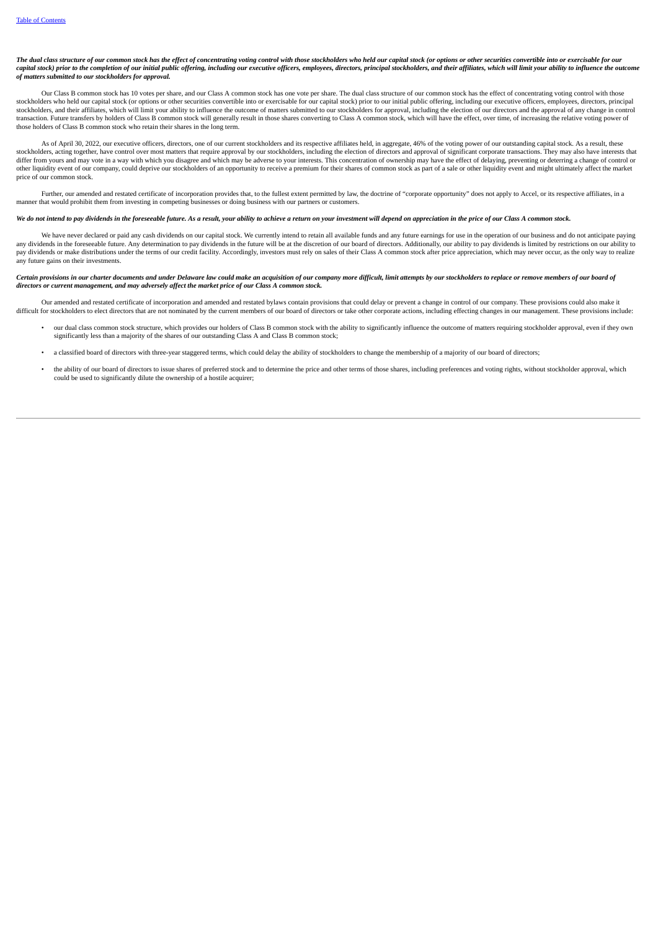The dual class structure of our common stock has the effect of concentrating voting control with those stockholders who held our capital stock (or options or other securities convertible into or exercisable for our capital stock) prior to the completion of our initial public offering, including our executive officers, employees, directors, principal stockholders, and their affiliates, which will limit your ability to influence the ou *of matters submitted to our stockholders for approval.*

Our Class B common stock has 10 votes per share, and our Class A common stock has one vote per share. The dual class structure of our common stock has the effect of concentrating voting control with those stockholders who held our capital stock (or options or other securities convertible into or exercisable for our capital stock) prior to our initial public offering, including our executive officers, employees, directors, p stockholders, and their affiliates, which will limit your ability to influence the outcome of matters submitted to our stockholders for approval, including the election of our directors and the approval of any change in co transaction. Future transfers by holders of Class B common stock will generally result in those shares converting to Class A common stock, which will have the effect, over time, of increasing the relative voting power of those holders of Class B common stock who retain their shares in the long term.

As of April 30, 2022, our executive officers, directors, one of our current stockholders and its respective affiliates held, in aggregate, 46% of the voting power of our outstanding capital stock. As a result, these stockholders, acting together, have control over most matters that require approval by our stockholders, including the election of directors and approval of significant corporate transactions. They may also have interests differ from yours and may vote in a way with which you disagree and which may be adverse to your interests. This concentration of ownership may have the effect of delaying, preventing or deterring a change of control or<br>ot price of our common stock.

Further, our amended and restated certificate of incorporation provides that, to the fullest extent permitted by law, the doctrine of "corporate opportunity" does not apply to Accel, or its respective affiliates, in a<br>mann

#### We do not intend to pay dividends in the foreseeable future. As a result, your ability to achieve a return on your investment will depend on appreciation in the price of our Class A common stock.

We have never declared or paid any cash dividends on our capital stock. We currently intend to retain all available funds and any future earnings for use in the operation of our business and do not anticipate paying any dividends in the foreseeable future. Any determination to pay dividends in the future will be at the discretion of our board of directors. Additionally, our ability to pay dividends is limited by restrictions on our ab any future gains on their investments.

#### Certain provisions in our charter documents and under Delaware law could make an acquisition of our company more difficult, limit attempts by our stockholders to replace or remove members of our board of *directors or current management, and may adversely affect the market price of our Class A common stock.*

Our amended and restated certificate of incorporation and amended and restated bylaws contain provisions that could delay or prevent a change in control of our company. These provisions could also make it difficult for stockholders to elect directors that are not nominated by the current members of our board of directors or take other corporate actions, including effecting changes in our management. These provisions include

- our dual class common stock structure, which provides our holders of Class B common stock with the ability to significantly influence the outcome of matters requiring stockholder approval, even if they own significantly le
- a classified board of directors with three-year staggered terms, which could delay the ability of stockholders to change the membership of a majority of our board of directors;
- the ability of our board of directors to issue shares of preferred stock and to determine the price and other terms of those shares, including preferences and voting rights, without stockholder approval, which could be used to significantly dilute the ownership of a hostile acquirer;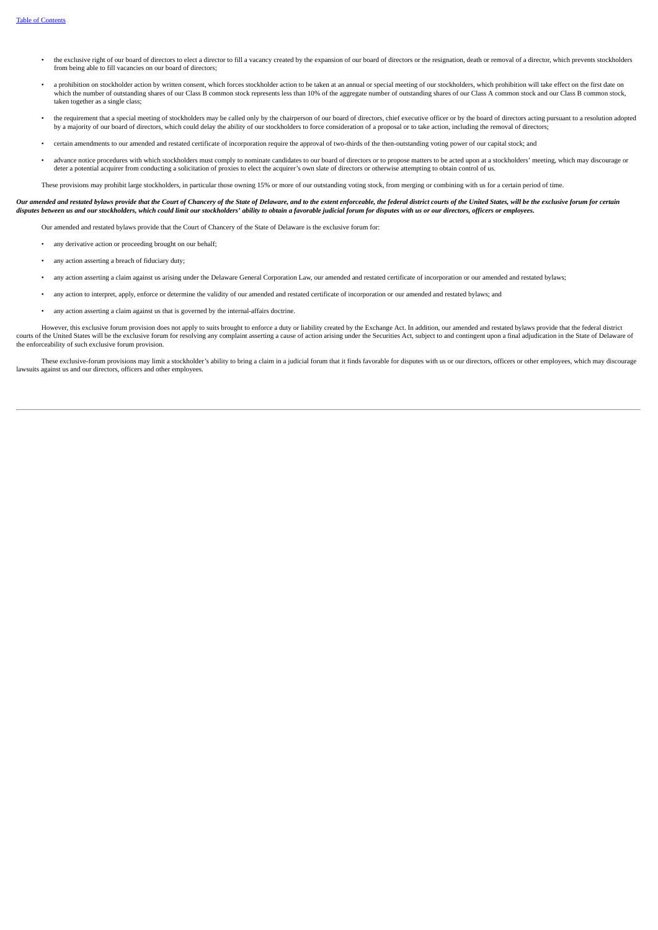- the exclusive right of our board of directors to elect a director to fill a vacancy created by the expansion of our board of directors or the resignation, death or removal of a director, which prevents stockholders from being able to fill vacancies on our board of directors;
- a prohibition on stockholder action by written consent, which forces stockholder action to be taken at an annual or special meeting of our stockholders, which prohibition will take effect on the first date on which the number of outstanding shares of our Class B common stock represents less than 10% of the aggregate number of outstanding shares of our Class A common stock and our Class B common stock and our Class B common stoc taken together as a single class;
- the requirement that a special meeting of stockholders may be called only by the chairperson of our board of directors, chief executive officer or by the board of directors acting pursuant to a resolution adopted by a majority of our board of directors, which could delay the ability of our stockholders to force consideration of a proposal or to take action, including the removal of directors;
- certain amendments to our amended and restated certificate of incorporation require the approval of two-thirds of the then-outstanding voting power of our capital stock; and
- advance notice procedures with which stockholders must comply to nominate candidates to our board of directors or to propose matters to be acted upon at a stockholders' meeting, which may discourage or deter a potential acquirer from conducting a solicitation of proxies to elect the acquirer's own slate of directors or otherwise attempting to obtain control of us.

These provisions may prohibit large stockholders, in particular those owning 15% or more of our outstanding voting stock, from merging or combining with us for a certain period of time.

# Our amended and restated bylaws provide that the Court of Chancery of the State of Delaware, and to the extent enforceable, the federal district courts of the United States, will be the exclusive forum for certain disputes between us and our stockholders, which could limit our stockholders' ability to obtain a favorable judicial forum for disputes with us or our directors, officers or employees.

Our amended and restated bylaws provide that the Court of Chancery of the State of Delaware is the exclusive forum for:

- any derivative action or proceeding brought on our behalf;
- any action asserting a breach of fiduciary duty;
- any action asserting a claim against us arising under the Delaware General Corporation Law, our amended and restated certificate of incorporation or our amended and restated bylaws;
- any action to interpret, apply, enforce or determine the validity of our amended and restated certificate of incorporation or our amended and restated bylaws; and
- any action asserting a claim against us that is governed by the internal-affairs doctrine.

However, this exclusive forum provision does not apply to suits brought to enforce a duty or liability created by the Exchange Act. In addition, our amended and restated bylaws provide that the federal district courts of the United States will be the exclusive forum for resolving any complaint asserting a cause of action arising under the Securities Act, subject to and contingent upon a final adjudication in the State of Delaware the enforceability of such exclusive forum provision.

These exclusive-forum provisions may limit a stockholder's ability to bring a claim in a judicial forum that it finds favorable for disputes with us or our directors, officers or other employees, which may discourage lawsuits against us and our directors, officers and other employees.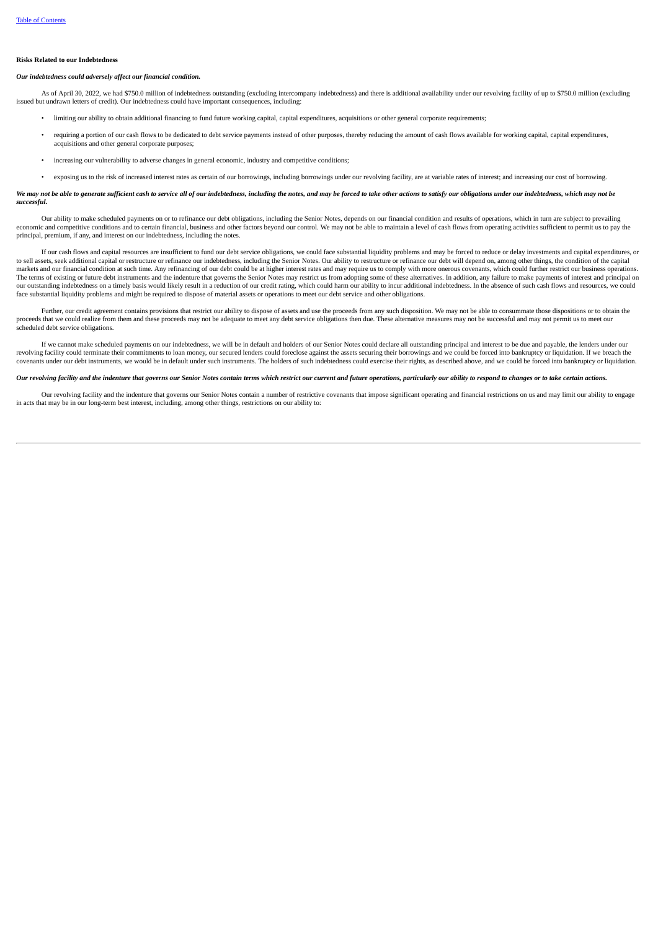### **Risks Related to our Indebtedness**

### *Our indebtedness could adversely affect our financial condition.*

As of April 30, 2022, we had \$750.0 million of indebtedness outstanding (excluding intercompany indebtedness) and there is additional availability under our revolving facility of up to \$750.0 million (excluding issued but undrawn letters of credit). Our indebtedness could have important consequences, including:

- limiting our ability to obtain additional financing to fund future working capital, capital expenditures, acquisitions or other general corporate requirements;
- requiring a portion of our cash flows to be dedicated to debt service payments instead of other purposes, thereby reducing the amount of cash flows available for working capital, capital expenditures, acquisitions and other general corporate purposes;
- increasing our vulnerability to adverse changes in general economic, industry and competitive conditions;
- exposing us to the risk of increased interest rates as certain of our borrowings, including borrowings under our revolving facility, are at variable rates of interest; and increasing our cost of borrowing.

#### We may not be able to generate sufficient cash to service all of our indebtedness, including the notes, and may be forced to take other actions to satisfy our obligations under our indebtedness, which may not be *successful.*

Our ability to make scheduled payments on or to refinance our debt obligations, including the Senior Notes, depends on our financial condition and results of operations, which in turn are subject to prevailing economic and competitive conditions and to certain financial, business and other factors beyond our control. We may not be able to maintain a level of cash flows from operating activities sufficient to permit us to pay the principal, premium, if any, and interest on our indebtedness, including the notes.

If our cash flows and capital resources are insufficient to fund our debt service obligations, we could face substantial liquidity problems and may be forced to reduce or delay investments and capital expenditures, or to sell assets, seek additional capital or restructure or refinance our indebtedness, including the Senior Notes. Our ability to restructure or refinance our debt will depend on, among other things, the condition of the ca markets and our financial condition at such time. Any refinancing of our debt could be at higher interest rates and may require us to comply with more onerous covenants, which could further restrict our business operations. The terms of existing or future debt instruments and the indenture that governs the Senior Notes may restrict us from adopting some of these alternatives. In addition, any failure to make payments of interest and principal our outstanding indebtedness on a timely basis would likely result in a reduction of our credit rating, which could harm our ability to incur additional indebtedness. In the absence of such cash flows and resources, we could face substantial liquidity problems and might be required to dispose of material assets or operations to meet our debt service and other obligations.

Further, our credit agreement contains provisions that restrict our ability to dispose of assets and use the proceeds from any such disposition. We may not be able to consummate those dispositions or to obtain the proceeds that we could realize from them and these proceeds may not be adequate to meet any debt service obligations then due. These alternative measures may not be successful and may not permit us to meet our scheduled debt service obligations.

If we cannot make scheduled payments on our indebtedness, we will be in default and holders of our Senior Notes could declare all outstanding principal and interest to be due and payable, the lenders under our revolving facility could terminate their commitments to loan money, our secured lenders could foreclose against the assets securing their borrowings and we could be forced into bankruptcy or liquidation. If we breach the covenants under our debt instruments, we would be in default under such instruments. The holders of such indebtedness could exercise their rights, as described above, and we could be forced into bankruptcy or liquidation.

#### Our revolving facility and the indenture that governs our Senior Notes contain terms which restrict our current and future operations, particularly our ability to respond to changes or to take certain actions

Our revolving facility and the indenture that governs our Senior Notes contain a number of restrictive covenants that impose significant operating and financial restrictions on us and may limit our ability to engage in acts that may be in our long-term best interest, including, among other things, restrictions on our ability to: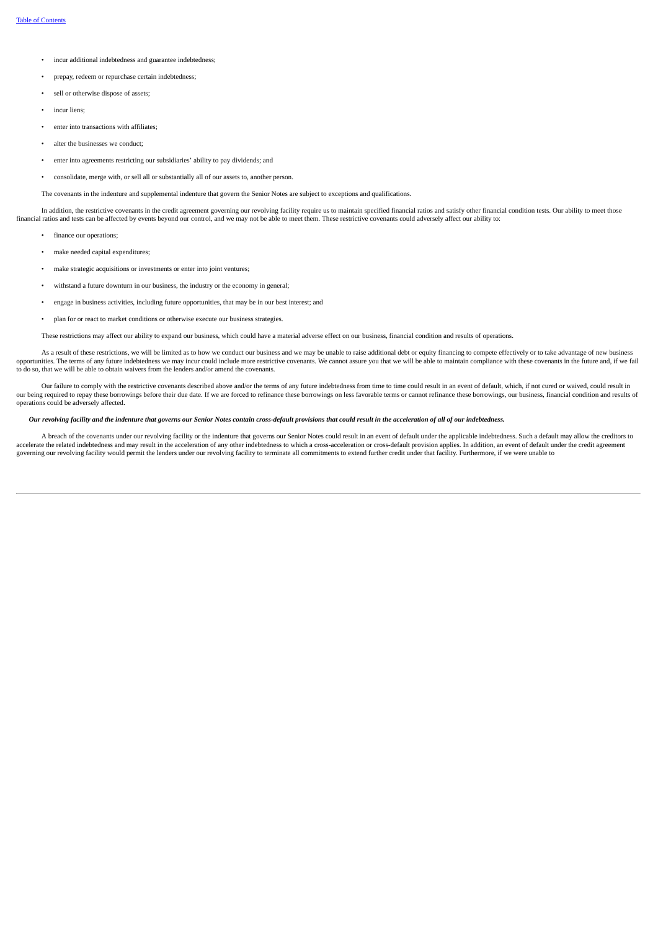- incur additional indebtedness and guarantee indebtedness;
- prepay, redeem or repurchase certain indebtedness;
- sell or otherwise dispose of assets;
- incur liens:
- enter into transactions with affiliates;
- alter the businesses we conduct;
- enter into agreements restricting our subsidiaries' ability to pay dividends; and
- consolidate, merge with, or sell all or substantially all of our assets to, another person.

The covenants in the indenture and supplemental indenture that govern the Senior Notes are subject to exceptions and qualifications.

In addition, the restrictive covenants in the credit agreement governing our revolving facility require us to maintain specified financial ratios and satisfy other financial condition tests. Our ability to meet those financial ratios and tests can be affected by events beyond our control, and we may not be able to meet them. These restrictive covenants could adversely affect our ability to:

- finance our operations;
- make needed capital expenditures;
- make strategic acquisitions or investments or enter into joint ventures;
- withstand a future downturn in our business, the industry or the economy in general;
- engage in business activities, including future opportunities, that may be in our best interest; and
- plan for or react to market conditions or otherwise execute our business strategies.

These restrictions may affect our ability to expand our business, which could have a material adverse effect on our business, financial condition and results of operations.

As a result of these restrictions, we will be limited as to how we conduct our business and we may be unable to raise additional debt or equity financing to compete effectively or to take advantage of new business opportunities. The terms of any future indebtedness we may incur could include more restrictive covenants. We cannot assure you that we will be able to maintain compliance with these covenants in the future and, if we fail

Our failure to comply with the restrictive covenants described above and/or the terms of any future indebtedness from time to time could result in an event of default, which, if not cured or waived, could result in our being required to repay these borrowings before their due date. If we are forced to refinance these borrowings on less favorable terms or cannot refinance these borrowings, our business, financial condition and result operations could be adversely affected.

# Our revolving facility and the indenture that governs our Senior Notes contain cross-default provisions that could result in the acceleration of all of our indebtedness.

A breach of the covenants under our revolving facility or the indenture that governs our Senior Notes could result in an event of default under the applicable indebtedness. Such a default may allow the creditors to acceler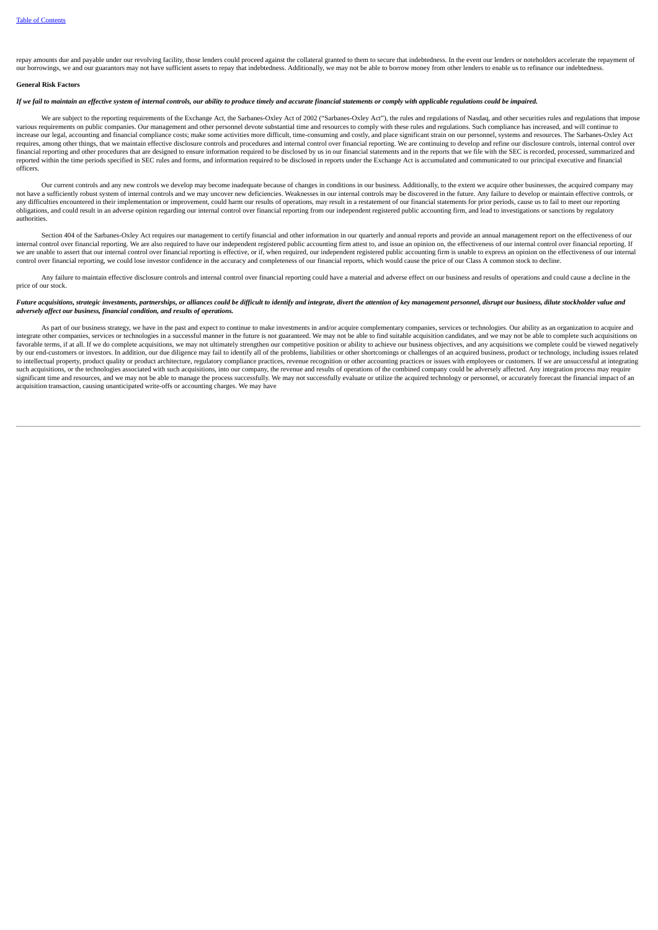repay amounts due and payable under our revolving facility, those lenders could proceed against the collateral granted to them to secure that indebtedness. In the event our lenders or noteholders accelerate the repayment o our borrowings, we and our guarantors may not have sufficient assets to repay that indebtedness. Additionally, we may not be able to borrow money from other lenders to enable us to refinance our indebtedness.

# **General Risk Factors**

# If we fail to maintain an effective system of internal controls, our ability to produce timely and accurate financial statements or comply with applicable regulations could be impaired.

We are subject to the reporting requirements of the Exchange Act, the Sarbanes-Oxley Act of 2002 ("Sarbanes-Oxley Act"), the rules and regulations of Nasdaq, and other securities rules and regulations that impose various requirements on public companies. Our management and other personnel devote substantial time and resources to comply with these rules and regulations. Such compliance has increased, and will continue to increase our legal, accounting and financial compliance costs; make some activities more difficult, time-consuming and costly, and place significant strain on our personnel, systems and resources. The Sarbanes-Oxley Act requires, among other things, that we maintain effective disclosure controls and procedures and internal control over financial reporting. We are continuing to develop and refine our disclosure controls, internal control o financial reporting and other procedures that are designed to ensure information required to be disclosed by us in our financial statements and in the reports that we file with the SEC is recorded, processed, summarized and reported within the time periods specified in SEC rules and forms, and information required to be disclosed in reports under the Exchange Act is accumulated and communicated to our principal executive and financial officers.

Our current controls and any new controls we develop may become inadequate because of changes in conditions in our business. Additionally, to the extent we acquire other businesses, the acquired company may not have a sufficiently robust system of internal controls and we may uncover new deficiencies. Weaknesses in our internal controls may be discovered in the future. Any failure to develop or maintain effective controls, or any difficulties encountered in their implementation or improvement, could harm our results of operations, may result in a restatement of our financial statements for prior periods, cause us to fail to meet our reporting obligations, and could result in an adverse opinion regarding our internal control over financial reporting from our independent registered public accounting firm, and lead to investigations or sanctions by regulatory authorities.

Section 404 of the Sarbanes-Oxley Act requires our management to certify financial and other information in our quarterly and annual reports and provide an annual management report on the effectiveness of our internal control over financial reporting. We are also required to have our independent registered public accounting firm attest to, and issue an opinion on, the effectiveness of our internal control over financial reporti control over financial reporting, we could lose investor confidence in the accuracy and completeness of our financial reports, which would cause the price of our Class A common stock to decline.

Any failure to maintain effective disclosure controls and internal control over financial reporting could have a material and adverse effect on our business and results of operations and could cause a decline in the price of our stock.

### Future acquisitions, strategic investments, partnerships, or alliances could be difficult to identify and integrate, divert the attention of key management personnel, disrupt our business, dilute stockholder value and *adversely affect our business, financial condition, and results of operations.*

As part of our business strategy, we have in the past and expect to continue to make investments in and/or acquire complementary companies, services or technologies. Our ability as an organization to acquire and integrate other companies, services or technologies in a successful manner in the future is not guaranteed. We may not be able to find suitable acquisition candidates, and we may not be able to complete such acquisitions on favorable terms, if at all. If we do complete acquisitions, we may not ultimately strengthen our competitive position or ability to achieve our business objectives, and any acquisitions we complete could be viewed negatively by our end-customers or investors. In addition, our due diligence may fail to identify all of the problems, liabilities or other shortcomings or challenges of an acquired business, product or technology, including issues r to intellectual property, product quality or product architecture, regulatory compliance practices, revenue recognition or other accounting practices or issues with employees or customers. If we are unsuccessful at integra significant time and resources, and we may not be able to manage the process successfully. We may not successfully evaluate or utilize the acquired technology or personnel, or accurately forecast the financial impact of an acquisition transaction, causing unanticipated write-offs or accounting charges. We may have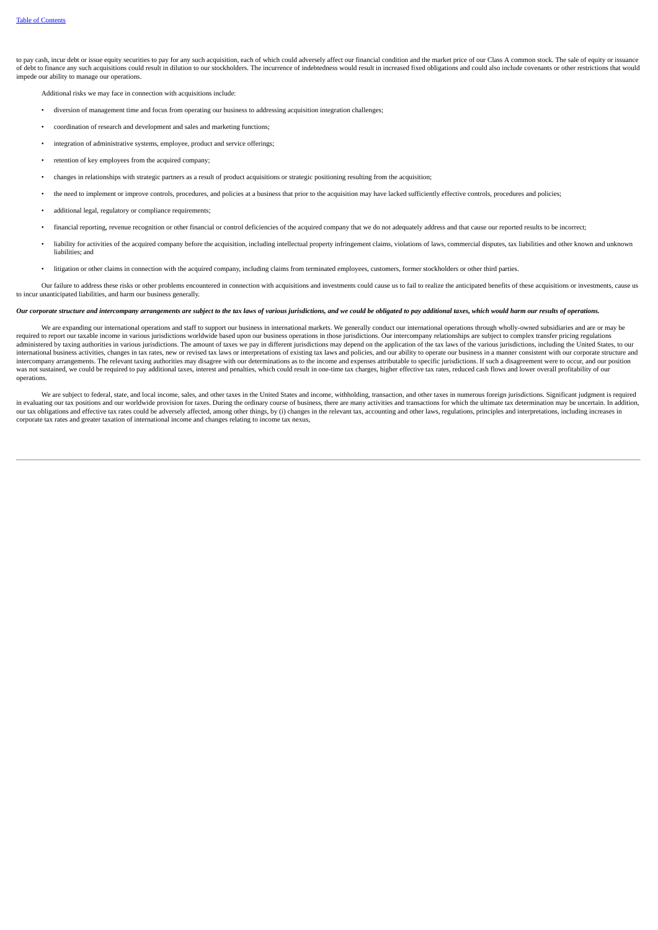to pay cash, incur debt or issue equity securities to pay for any such acquisition, each of which could adversely affect our financial condition and the market price of our Class A common stock. The sale of equity or issua of debt to finance any such acquisitions could result in dilution to our stockholders. The incurrence of indebtedness would result in increased fixed obligations and could also include covenants or other restrictions that impede our ability to manage our operations.

Additional risks we may face in connection with acquisitions include:

- diversion of management time and focus from operating our business to addressing acquisition integration challenges;
- coordination of research and development and sales and marketing functions;
- integration of administrative systems, employee, product and service offerings;
- retention of key employees from the acquired company;
- changes in relationships with strategic partners as a result of product acquisitions or strategic positioning resulting from the acquisition;
- the need to implement or improve controls, procedures, and policies at a business that prior to the acquisition may have lacked sufficiently effective controls, procedures and policies;
- additional legal, regulatory or compliance requirements;
- financial reporting, revenue recognition or other financial or control deficiencies of the acquired company that we do not adequately address and that cause our reported results to be incorrect;
- liability for activities of the acquired company before the acquisition, including intellectual property infringement claims, violations of laws, commercial disputes, tax liabilities and other known and unknown liabilities; and
- litigation or other claims in connection with the acquired company, including claims from terminated employees, customers, former stockholders or other third parties.

Our failure to address these risks or other problems encountered in connection with acquisitions and investments could cause us to fail to realize the anticipated benefits of these acquisitions or investments, cause us to incur unanticipated liabilities, and harm our business generally.

# Our corporate structure and intercompany arrangements are subject to the tax laws of various jurisdictions, and we could be obligated to pay additional taxes, which would harm our results of operations.

We are expanding our international operations and staff to support our business in international markets. We generally conduct our international operations through wholly-owned subsidiaries and are or may be required to report our taxable income in various jurisdictions worldwide based upon our business operations in those jurisdictions. Our intercompany relationships are subject to complex transfer pricing regulations administered by taxing authorities in various jurisdictions. The amount of taxes we pay in different jurisdictions may depend on the application of the tax laws of the various jurisdictions, including the United States, to international business activities, changes in tax rates, new or revised tax laws or interpretations of existing tax laws and policies, and our ability to operate our business in a manner consistent with our corporate struc intercompany arrangements. The relevant taxing authorities may disagree with our determinations as to the income and expenses attributable to specific jurisdictions. If such a disagreement were to occur, and our position<br>w operations.

We are subject to federal, state, and local income, sales, and other taxes in the United States and income, withholding, transaction, and other taxes in numerous foreign jurisdictions. Significant judgment is required in evaluating our tax positions and our worldwide provision for taxes. During the ordinary course of business, there are many activities and transactions for which the ultimate tax determination may be uncertain. In additi our tax obligations and effective tax rates could be adversely affected, among other things, by (i) changes in the relevant tax, accounting and other laws, regulations, principles and interpretations, including increases in corporate tax rates and greater taxation of international income and changes relating to income tax nexus,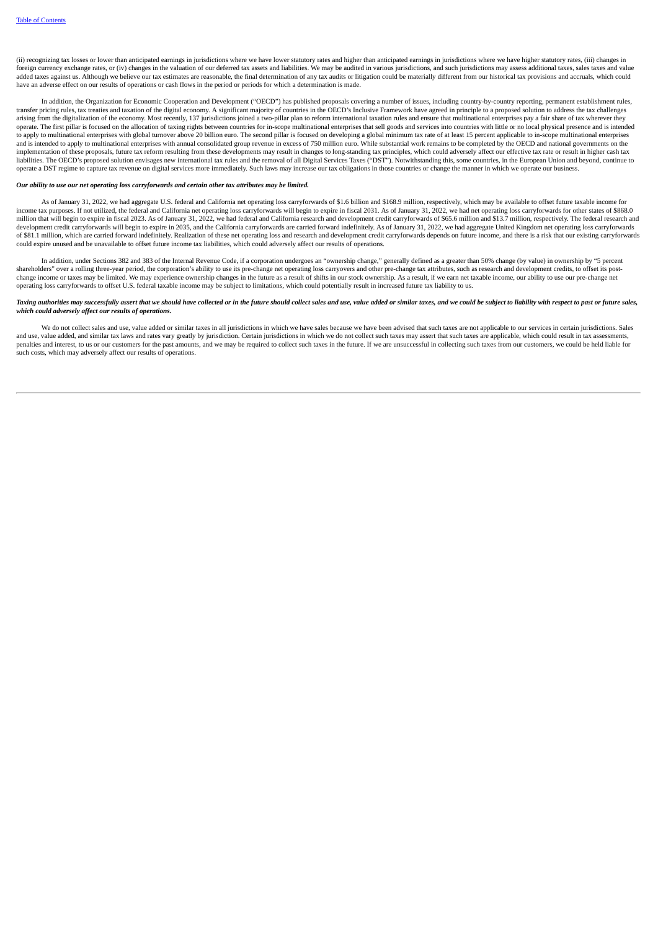(ii) recognizing tax losses or lower than anticipated earnings in jurisdictions where we have lower statutory rates and higher than anticipated earnings in jurisdictions where we have higher statutory rates, (iii) changes in foreign currency exchange rates, or (iv) changes in the valuation of our deferred tax assets and liabilities. We may be audited in various jurisdictions, and such jurisdictions may assess additional taxes, sales taxes and added taxes against us. Although we believe our tax estimates are reasonable, the final determination of any tax audits or litigation could be materially different from our historical tax provisions and accruals, which could have an adverse effect on our results of operations or cash flows in the period or periods for which a determination is made.

In addition, the Organization for Economic Cooperation and Development ("OECD") has published proposals covering a number of issues, including country-by-country reporting, permanent establishment rules, transfer pricing rules, tax treaties and taxation of the digital economy. A significant majority of countries in the OECD's Inclusive Framework have agreed in principle to a proposed solution to address the tax challenges<br> operate. The first pillar is focused on the allocation of taxing rights between countries for in-scope multinational enterprises that sell goods and services into countries with little or no local physical presence and is to apply to multinational enterprises with global turnover above 20 billion euro. The second pillar is focused on developing a global minimum tax rate of at least 15 percent applicable to in-scope multinational enterprises and is intended to apply to multinational enterprises with annual consolidated group revenue in excess of 750 million euro. While substantial work remains to be completed by the OECD and national governments on the and is implementation of these proposals, future tax reform resulting from these developments may result in changes to long-standing tax principles, which could adversely affect our effective tax rate or result in higher cash tax liabilities. The OECD's proposed solution envisages new international tax rules and the removal of all Digital Services Taxes ("DST"). Notwithstanding this, some countries, in the European Union and beyond, continue to operate a DST regime to capture tax revenue on digital services more immediately. Such laws may increase our tax obligations in those countries or change the manner in which we operate our business.

# *Our ability to use our net operating loss carryforwards and certain other tax attributes may be limited.*

As of January 31, 2022, we had aggregate U.S. federal and California net operating loss carryforwards of \$1.6 billion and \$168.9 million, respectively, which may be available to offset future taxable income for income tax purposes. If not utilized, the federal and California net operating loss carryforwards will begin to expire in fiscal 2031. As of January 31, 2022, we had net operating loss carryforwards for other states of \$86 million that will begin to expire in fiscal 2023. As of January 31, 2022, we had federal and California research and development credit carryforwards of \$65.6 million and \$13.7 million, respectively. The federal research a of \$81.1 million, which are carried forward indefinitely. Realization of these net operating loss and research and development credit carryforwards depends on future income, and there is a risk that our existing carryforwa could expire unused and be unavailable to offset future income tax liabilities, which could adversely affect our results of operations.

In addition, under Sections 382 and 383 of the Internal Revenue Code, if a corporation undergoes an "ownership change," generally defined as a greater than 50% change (by value) in ownership by "5 percent shareholders" over a rolling three-year period, the corporation's ability to use its pre-change net operating loss carryovers and other pre-change tax attributes, such as research and development credits, to offset its postchange income or taxes may be limited. We may experience ownership changes in the future as a result of shifts in our stock ownership. As a result, if we earn net taxable income, our ability to use our pre-change net operating loss carryforwards to offset U.S. federal taxable income may be subject to limitations, which could potentially result in increased future tax liability to us.

#### Taxing authorities may successfully assert that we should have collected or in the future should collect sales and use, value added or similar taxes, and we could be subject to liability with respect to past or future sale *which could adversely affect our results of operations.*

We do not collect sales and use, value added or similar taxes in all jurisdictions in which we have sales because we have been advised that such taxes are not applicable to our services in certain jurisdictions. Sales and use, value added, and similar tax laws and rates vary greatly by jurisdiction. Certain jurisdictions in which we do not collect such taxes may assert that such taxes are applicable, which could result in tax assessment penalties and interest, to us or our customers for the past amounts, and we may be required to collect such taxes in the future. If we are unsuccessful in collecting such taxes from our customers, we could be held liable for such costs, which may adversely affect our results of operations.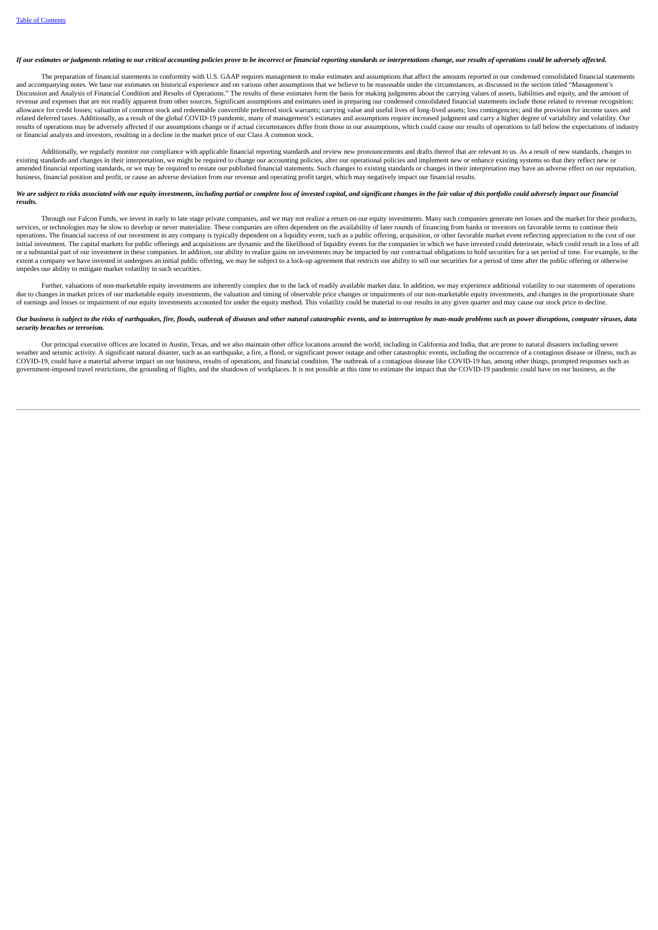### If our estimates or judaments relating to our critical accounting policies prove to be incorrect or financial reporting standards or interpretations change, our results of operations could be adversely affected.

The preparation of financial statements in conformity with U.S. GAAP requires management to make estimates and assumptions that affect the amounts reported in our condensed consolidated financial statements and accompanying notes. We base our estimates on historical experience and on various other assumptions that we believe to be reasonable under the circumstances, as discussed in the section titled "Management's not accomparing the angles of Financial Condition and Results of Operations." The results of these estimates form the basis for making judgments about the carrying values of assets, liabilities and equity, and the amount o revenue and expenses that are not readily apparent from other sources. Significant assumptions and estimates used in preparing our condensed consolidated financial statements include those related to revenue recognition; allowance for credit losses; valuation of common stock and redeemable convertible preferred stock warrants; carrying value and useful lives of long-lived assets; loss contingencies; and the provision for income taxes and related deferred taxes. Additionally, as a result of the global COVID-19 pandemic, many of management's estimates and assumptions require increased judgment and carry a higher degree of variability and volatility. Our results of operations may be adversely affected if our assumptions change or if actual circumstances differ from those in our assumptions, which could cause our results of operations to fall below the expectations of indus or financial analysts and investors, resulting in a decline in the market price of our Class A common stock.

Additionally, we regularly monitor our compliance with applicable financial reporting standards and review new pronouncements and drafts thereof that are relevant to us. As a result of new standards, changes to existing standards and changes in their interpretation, we might be required to change our accounting policies, alter our operational policies and implement new or enhance existing systems so that they reflect new or<br>amend business, financial position and profit, or cause an adverse deviation from our revenue and operating profit target, which may negatively impact our financial results.

#### We are subject to risks associated with our equity investments, including partial or complete loss of invested capital, and significant changes in the fair value of this portfolio could adversely impact our financial *results.*

Through our Falcon Funds, we invest in early to late stage private companies, and we may not realize a return on our equity investments. Many such companies generate net losses and the market for their products, services, or technologies may be slow to develop or never materialize. These companies are often dependent on the availability of later rounds of financing from banks or investors on favorable terms to continue their operations. The financial success of our investment in any company is typically dependent on a liquidity event, such as a public offering, acquisition, or other favorable market event reflecting appreciation to the cost of initial investment. The capital markets for public offerings and acquisitions are dynamic and the likelihood of liquidity events for the companies in which we have invested could deteriorate, which could result in a loss o or a substantial part of our investment in these companies. In addition, our ability to realize gains on investments may be impacted by our contractual obligations to hold securities for a set period of time. For example, extent a company we have invested in undergoes an initial public offering, we may be subject to a lock-up agreement that restricts our ability to sell our securities for a period of time after the public offering or otherw impedes our ability to mitigate market volatility in such securities.

Further, valuations of non-marketable equity investments are inherently complex due to the lack of readily available market data. In addition, we may experience additional volatility to our statements of operations due to changes in market prices of our marketable equity investments, the valuation and timing of observable price changes or impairments of our non-marketable equity investments, and changes in the proportionate share of earnings and losses or impairment of our equity investments accounted for under the equity method. This volatility could be material to our results in any given quarter and may cause our stock price to decline.

# Our business is subject to the risks of earthquakes, fire, floods, outbreak of diseases and other natural catastrophic events, and to interruption by man-made problems such as power disruptions, computer viruses, data *security breaches or terrorism.*

Our principal executive offices are located in Austin, Texas, and we also maintain other office locations around the world, including in California and India, that are prone to natural disasters including severe veather and seismic activity. A significant natural disaster, such as an earthquake, a fire, a flood, or significant power outage and other catastrophic events, including the occurrence of a contagious disease or illness, COVID-19, could have a material adverse impact on our business, results of operations, and financial condition. The outbreak of a contagious disease like COVID-19 has, among other things, prompted responses such as  $\frac{1}{2}$  government-imposed travel restrictions, the grounding of flights, and the shutdown of workplaces. It is not possible at this time to estimate the impact that the COVID-19 pandemic could have on our business, as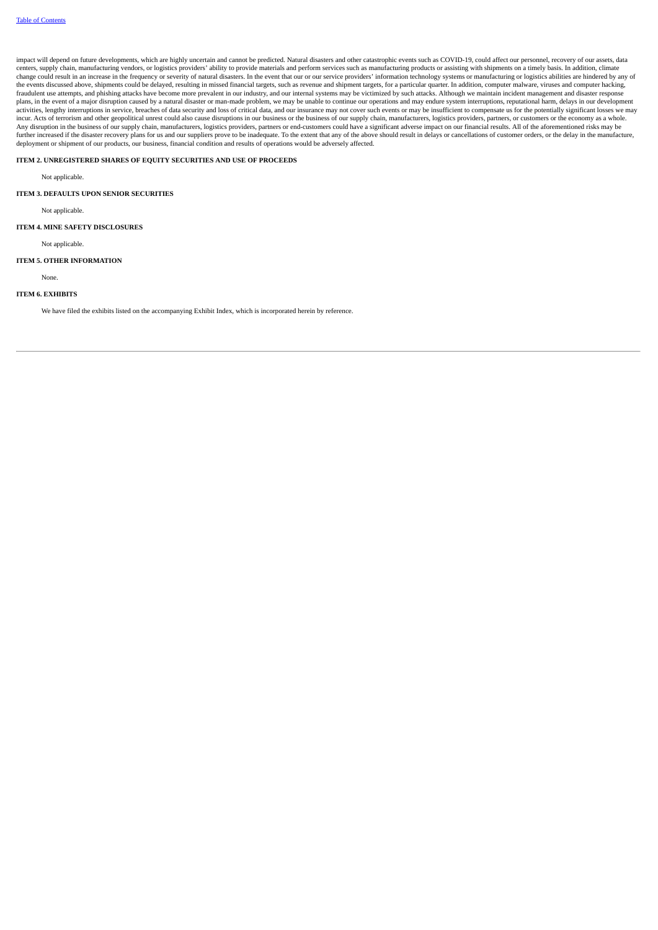impact will depend on future developments, which are highly uncertain and cannot be predicted. Natural disasters and other catastrophic events such as COVID-19, could affect our personnel, recovery of our assets, data centers, supply chain, manufacturing vendors, or logistics providers' ability to provide materials and perform services such as manufacturing products or assisting with shipments on a timely basis. In addition, climate change could result in an increase in the frequency or severity of natural disasters. In the event that our or our service providers' information technology systems or manufacturing or logistics abilities are hindered by a fraudulent use attempts, and phishing attacks have become more prevalent in our industry, and our internal systems may be victimized by such attacks. Although we maintain incident management and disaster response plans, in the event of a major disruption caused by a natural disaster or man-made problem, we may be unable to continue our operations and may endure system interruptions, reputational harm, delays in our development activities, lengthy interruptions in service, breaches of data security and loss of critical data, and our insurance may not cover such events or may be insufficient to compensate us for the potentially significant losses Any disruption in the business of our supply chain, manufacturers, logistics providers, partners or end-customers could have a significant adverse impact on our financial results. All of the aforementioned risks may be further increased if the disaster recovery plans for us and our suppliers prove to be inadequate. To the extent that any of the above should result in delays or cancellations of customer orders, or the delay in the manufac

## **ITEM 2. UNREGISTERED SHARES OF EQUITY SECURITIES AND USE OF PROCEEDS**

Not applicable.

#### **ITEM 3. DEFAULTS UPON SENIOR SECURITIES**

Not applicable.

## **ITEM 4. MINE SAFETY DISCLOSURES**

Not applicable.

## **ITEM 5. OTHER INFORMATION**

None.

### **ITEM 6. EXHIBITS**

We have filed the exhibits listed on the accompanying Exhibit Index, which is incorporated herein by reference.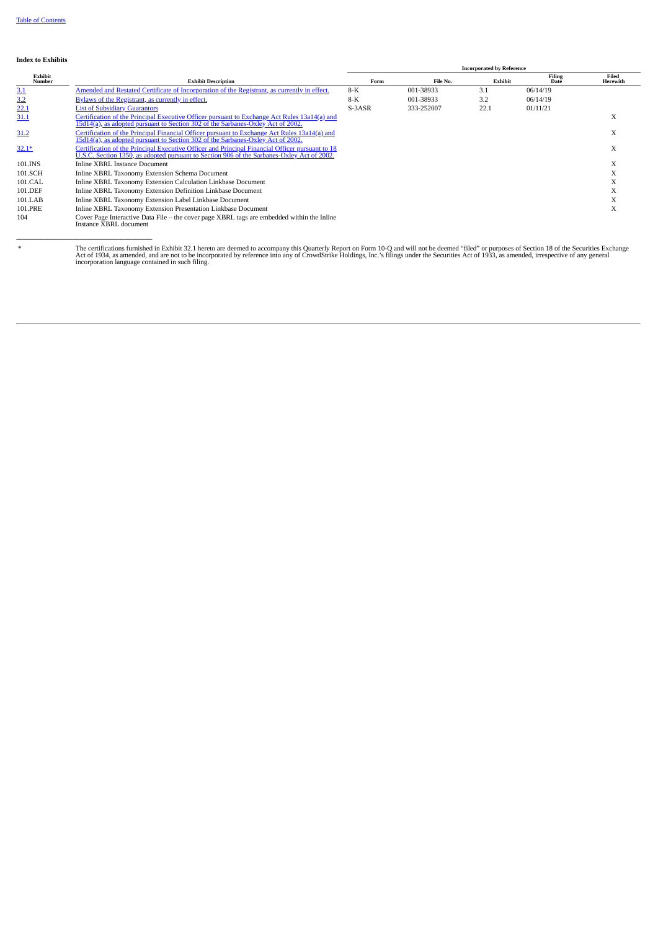## **Index to Exhibits**

**\_\_\_\_\_\_\_\_\_\_\_\_\_\_\_\_\_\_\_\_\_\_\_\_\_\_\_\_\_\_\_\_\_\_\_\_\_\_\_**

|                   |                                                                                                                                                                                               | <b>Incorporated by Reference</b> |            |         |                       |                   |
|-------------------|-----------------------------------------------------------------------------------------------------------------------------------------------------------------------------------------------|----------------------------------|------------|---------|-----------------------|-------------------|
| Exhibit<br>Number | <b>Exhibit Description</b>                                                                                                                                                                    | Form                             | File No.   | Exhibit | <b>Filing</b><br>Date | Filed<br>Herewith |
| 3.1               | Amended and Restated Certificate of Incorporation of the Registrant, as currently in effect.                                                                                                  | $8-K$                            | 001-38933  | 3.1     | 06/14/19              |                   |
| 3.2               | Bylaws of the Registrant, as currently in effect.                                                                                                                                             | $8-K$                            | 001-38933  | 3.2     | 06/14/19              |                   |
| 22.1              | <b>List of Subsidiary Guarantors</b>                                                                                                                                                          | S-3ASR                           | 333-252007 | 22.1    | 01/11/21              |                   |
| 31.1              | Certification of the Principal Executive Officer pursuant to Exchange Act Rules 13a14(a) and<br>15d14(a), as adopted pursuant to Section 302 of the Sarbanes-Oxley Act of 2002.               |                                  |            |         |                       | A                 |
| 31.2              | Certification of the Principal Financial Officer pursuant to Exchange Act Rules 13a14(a) and<br>15d14(a), as adopted pursuant to Section 302 of the Sarbanes-Oxley Act of 2002.               |                                  |            |         |                       | A                 |
| $32.1*$           | Certification of the Principal Executive Officer and Principal Financial Officer pursuant to 18<br>U.S.C. Section 1350, as adopted pursuant to Section 906 of the Sarbanes-Oxley Act of 2002. |                                  |            |         |                       | X                 |
| 101.INS           | Inline XBRL Instance Document                                                                                                                                                                 |                                  |            |         |                       | A                 |
| 101.SCH           | Inline XBRL Taxonomy Extension Schema Document                                                                                                                                                |                                  |            |         |                       |                   |
| 101.CAL           | Inline XBRL Taxonomy Extension Calculation Linkbase Document                                                                                                                                  |                                  |            |         |                       | $\lambda$         |
| 101.DEF           | Inline XBRL Taxonomy Extension Definition Linkbase Document                                                                                                                                   |                                  |            |         |                       | $\lambda$         |
| 101.LAB           | Inline XBRL Taxonomy Extension Label Linkbase Document                                                                                                                                        |                                  |            |         |                       |                   |
| 101.PRE           | Inline XBRL Taxonomy Extension Presentation Linkbase Document                                                                                                                                 |                                  |            |         |                       | $\lambda$         |
| 104               | Cover Page Interactive Data File – the cover page XBRL tags are embedded within the Inline<br>Instance XBRL document                                                                          |                                  |            |         |                       |                   |

\* The certifications fumished in Exhibit 32.1 hereto are deemed to accompany this Quarterly Report on Form 10-Q and will not be deemed "filed" or purposes of Section 18 of the Securities Exchange<br>Act of 1934, as amended, a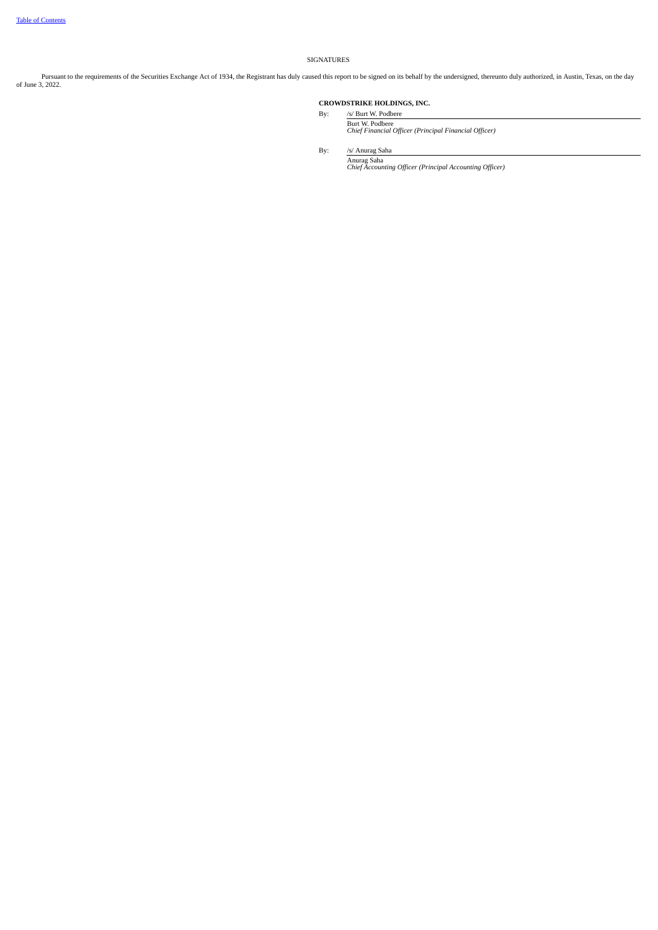## SIGNATURES

Pursuant to the requirements of the Securities Exchange Act of 1934, the Registrant has duly caused this report to be signed on its behalf by the undersigned, thereunto duly authorized, in Austin, Texas, on the day<br>of June

# **CROWDSTRIKE HOLDINGS, INC.**

By: /s/ Burt W. Podbere Burt W. Podbere *Chief Financial Officer (Principal Financial Officer)*

By: /s/ Anurag Saha

Anurag Saha *Chief Accounting Officer (Principal Accounting Officer)*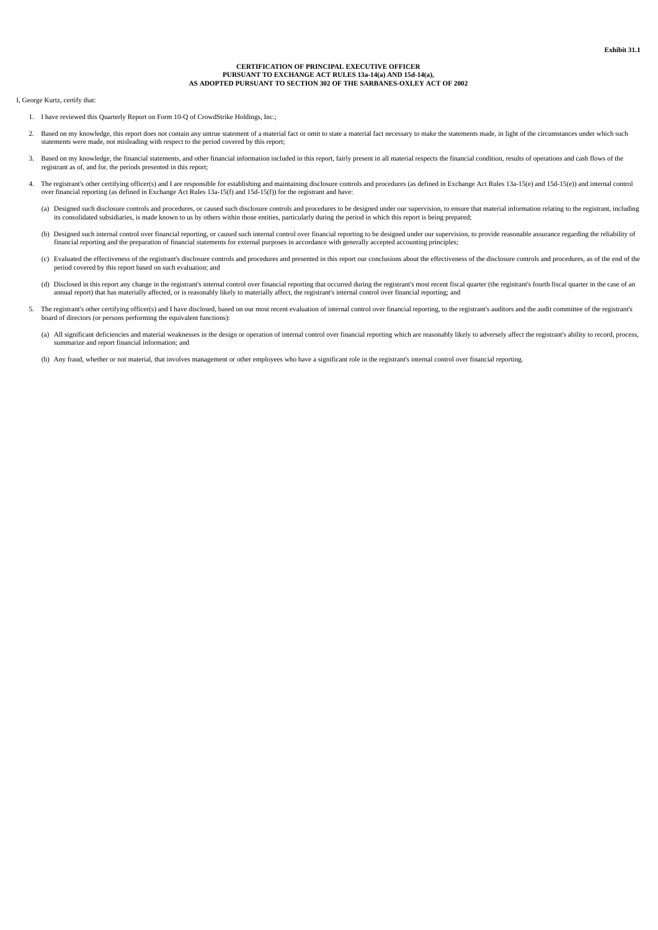## **CERTIFICATION OF PRINCIPAL EXECUTIVE OFFICER PURSUANT TO EXCHANGE ACT RULES 13a-14(a) AND 15d-14(a), AS ADOPTED PURSUANT TO SECTION 302 OF THE SARBANES-OXLEY ACT OF 2002**

<span id="page-75-0"></span>I, George Kurtz, certify that:

- 1. I have reviewed this Quarterly Report on Form 10-Q of CrowdStrike Holdings, Inc.;
- 2. Based on my knowledge, this report does not contain any untrue statement of a material fact or omit to state a material fact necessary to make the statements made, in light of the circumstances under which such statements were made, not misleading with respect to the period covered by this report;
- 3. Based on my knowledge, the financial statements, and other financial information included in this report, fairly present in all material respects the financial condition, results of operations and cash flows of the registrant as of, and for, the periods presented in this report;
- 4. The registrant's other certifying officer(s) and I are responsible for establishing and maintaining disclosure controls and procedures (as defined in Exchange Act Rules 13a-15(e) and 15d-15(e)) and internal control over financial reporting (as defined in Exchange Act Rules 13a-15(f) and 15d-15(f)) for the registrant and have:
	- (a) Designed such disclosure controls and procedures, or caused such disclosure controls and procedures to be designed under our supervision, to ensure that material information relating to the registrant, including its consolidated subsidiaries, is made known to us by others within those entities, particularly during the period in which this report is being prepared;
	- (b) Designed such internal control over financial reporting, or caused such internal control over financial reporting to be designed under our supervision, to provide reasonable assurance regarding the reliability of financial reporting and the preparation of financial statements for external purposes in accordance with generally accepted accounting principles;
	- (c) Evaluated the effectiveness of the registrant's disclosure controls and procedures and presented in this report our conclusions about the effectiveness of the disclosure controls and procedures, as of the end of the period covered by this report based on such evaluation; and
	- (d) Disclosed in this report any change in the registrant's internal control over financial reporting that occurred during the registrant's most recent fiscal quarter (the registrant's fourth fiscal quarter in the case of an annual report) that has materially affected, or is reasonably likely to materially affect, the registrant's internal control over financial reporting; and
- 5. The registrant's other certifying officer(s) and I have disclosed, based on our most recent evaluation of internal control over financial reporting, to the registrant's auditors and the audit committee of the registrant's board of directors (or persons performing the equivalent functions):
	- (a) All significant deficiencies and material weaknesses in the design or operation of internal control over financial reporting which are reasonably likely to adversely affect the registrant's ability to record, process, summarize and report financial information; and
	- (b) Any fraud, whether or not material, that involves management or other employees who have a significant role in the registrant's internal control over financial reporting.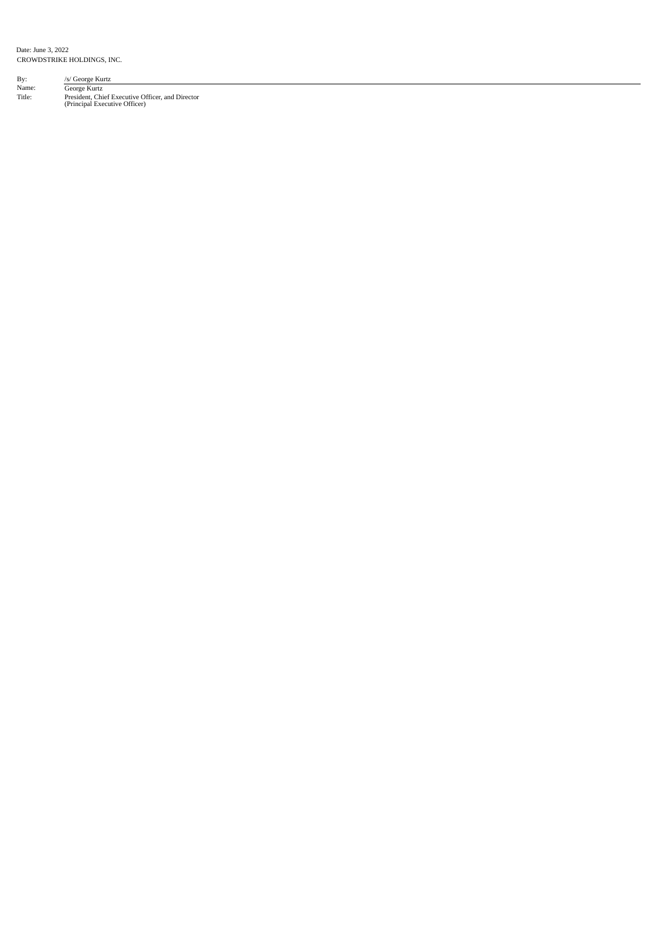Date: June 3, 2022 CROWDSTRIKE HOLDINGS, INC.

| By:    | /s/ George Kurtz                                                                  |  |
|--------|-----------------------------------------------------------------------------------|--|
| Name:  | George Kurtz                                                                      |  |
| Title: | President, Chief Executive Officer, and Director<br>(Principal Executive Officer) |  |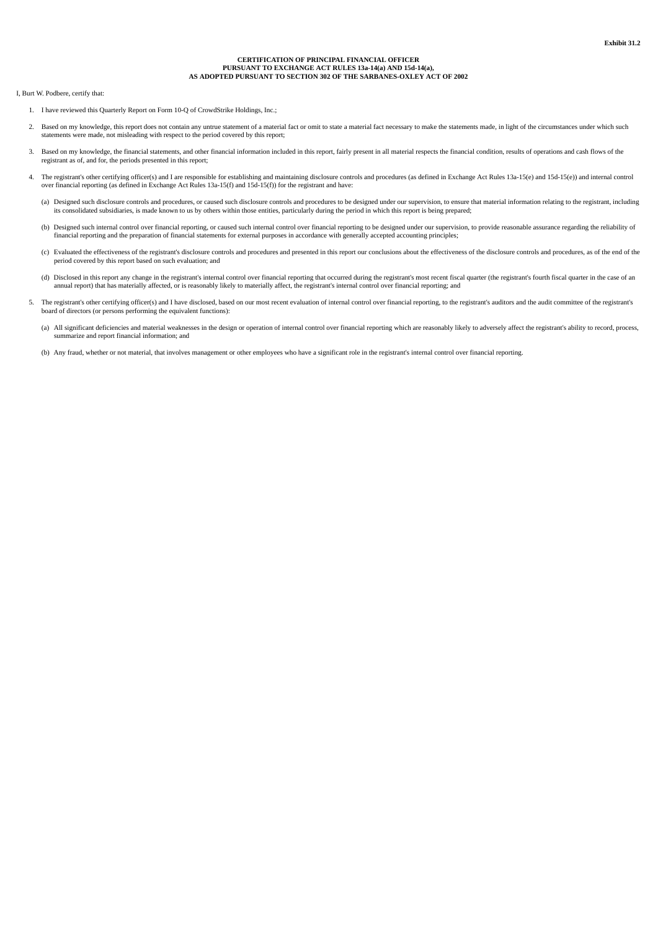### **CERTIFICATION OF PRINCIPAL FINANCIAL OFFICER PURSUANT TO EXCHANGE ACT RULES 13a-14(a) AND 15d-14(a), AS ADOPTED PURSUANT TO SECTION 302 OF THE SARBANES-OXLEY ACT OF 2002**

<span id="page-77-0"></span>I, Burt W. Podbere, certify that:

- 1. I have reviewed this Quarterly Report on Form 10-Q of CrowdStrike Holdings, Inc.;
- 2. Based on my knowledge, this report does not contain any untrue statement of a material fact or omit to state a material fact necessary to make the statements made, in light of the circumstances under which such statements were made, not misleading with respect to the period covered by this report;
- 3. Based on my knowledge, the financial statements, and other financial information included in this report, fairly present in all material respects the financial condition, results of operations and cash flows of the registrant as of, and for, the periods presented in this report;
- 4. The registrant's other certifying officer(s) and I are responsible for establishing and maintaining disclosure controls and procedures (as defined in Exchange Act Rules 13a-15(e) and 15d-15(e)) and internal control over financial reporting (as defined in Exchange Act Rules 13a-15(f) and 15d-15(f)) for the registrant and have:
	- (a) Designed such disclosure controls and procedures, or caused such disclosure controls and procedures to be designed under our supervision, to ensure that material information relating to the registrant, including its consolidated subsidiaries, is made known to us by others within those entities, particularly during the period in which this report is being prepared;
	- (b) Designed such internal control over financial reporting, or caused such internal control over financial reporting to be designed under our supervision, to provide reasonable assurance regarding the reliability of financial reporting and the preparation of financial statements for external purposes in accordance with generally accepted accounting principles;
	- (c) Evaluated the effectiveness of the registrant's disclosure controls and procedures and presented in this report our conclusions about the effectiveness of the disclosure controls and procedures, as of the end of the period covered by this report based on such evaluation; and
	- (d) Disclosed in this report any change in the registrant's internal control over financial reporting that occurred during the registrant's most recent fiscal quarter (the registrant's fourth fiscal quarter in the case of an annual report) that has materially affected, or is reasonably likely to materially affect, the registrant's internal control over financial reporting; and
- 5. The registrant's other certifying officer(s) and I have disclosed, based on our most recent evaluation of internal control over financial reporting, to the registrant's auditors and the audit committee of the registrant's board of directors (or persons performing the equivalent functions):
	- (a) All significant deficiencies and material weaknesses in the design or operation of internal control over financial reporting which are reasonably likely to adversely affect the registrant's ability to record, process, summarize and report financial information; and
	- (b) Any fraud, whether or not material, that involves management or other employees who have a significant role in the registrant's internal control over financial reporting.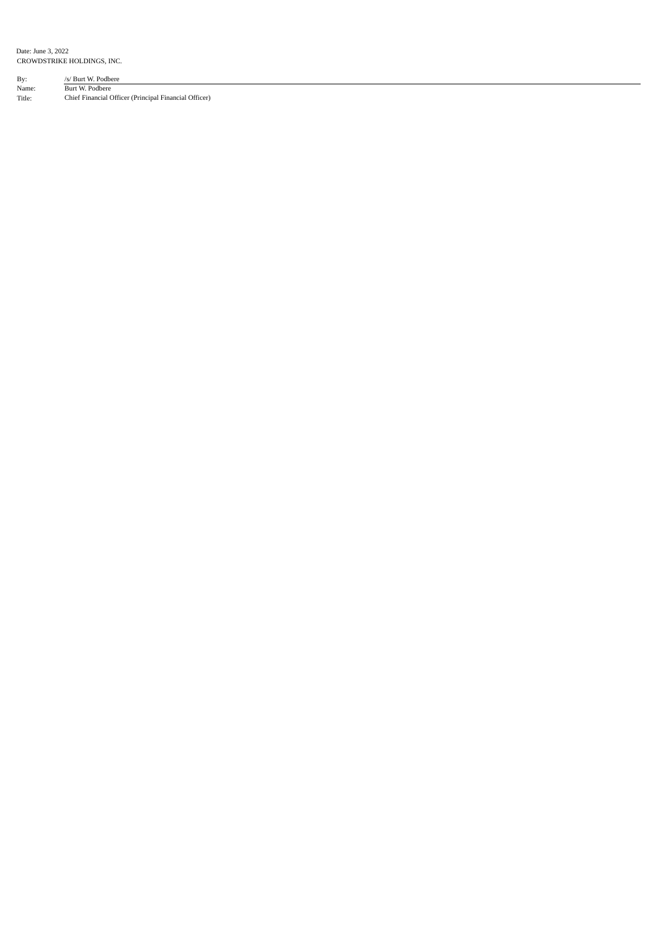Date: June 3, 2022 CROWDSTRIKE HOLDINGS, INC.

By: /s/ Burt W. Podbere Name: Burt W. Podbere Title: Chief Financial Officer (Principal Financial Officer)